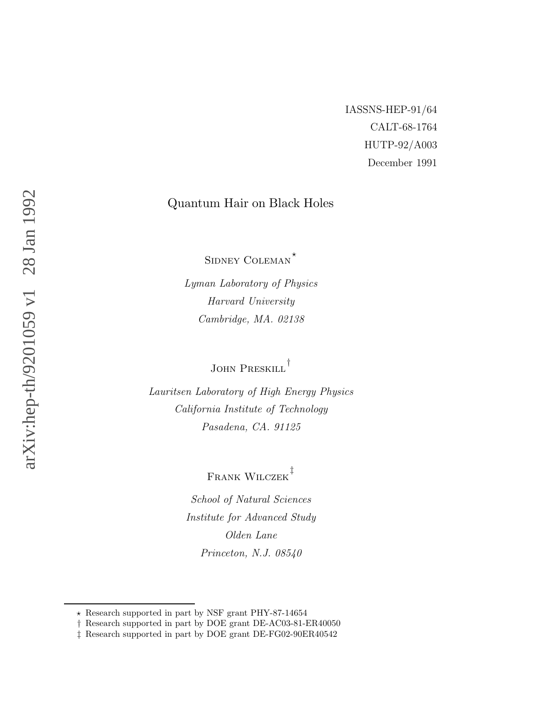IASSNS-HEP-91/64 CALT-68-1764 HUTP-92/A003 December 1991

# Quantum Hair on Black Holes

SIDNEY COLEMAN<sup>★</sup>

Lyman Laboratory of Physics Harvard University Cambridge, MA. 02138

JOHN PRESKILL<sup>†</sup>

Lauritsen Laboratory of High Energy Physics California Institute of Technology Pasadena, CA. 91125

Frank Wilczek‡

School of Natural Sciences Institute for Advanced Study Olden Lane Princeton, N.J. 08540

 $\star\,$  Research supported in part by NSF grant PHY-87-14654

<sup>†</sup> Research supported in part by DOE grant DE-AC03-81-ER40050

<sup>‡</sup> Research supported in part by DOE grant DE-FG02-90ER40542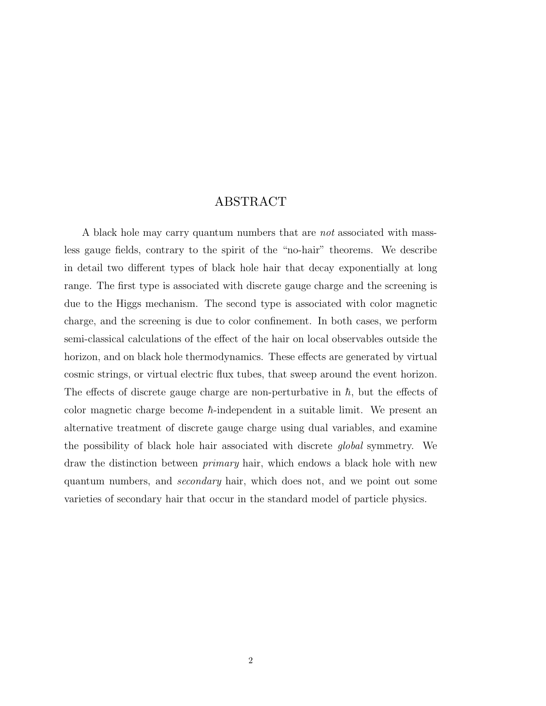## ABSTRACT

A black hole may carry quantum numbers that are not associated with massless gauge fields, contrary to the spirit of the "no-hair" theorems. We describe in detail two different types of black hole hair that decay exponentially at long range. The first type is associated with discrete gauge charge and the screening is due to the Higgs mechanism. The second type is associated with color magnetic charge, and the screening is due to color confinement. In both cases, we perform semi-classical calculations of the effect of the hair on local observables outside the horizon, and on black hole thermodynamics. These effects are generated by virtual cosmic strings, or virtual electric flux tubes, that sweep around the event horizon. The effects of discrete gauge charge are non-perturbative in  $\hbar$ , but the effects of color magnetic charge become  $\hbar$ -independent in a suitable limit. We present an alternative treatment of discrete gauge charge using dual variables, and examine the possibility of black hole hair associated with discrete global symmetry. We draw the distinction between *primary* hair, which endows a black hole with new quantum numbers, and secondary hair, which does not, and we point out some varieties of secondary hair that occur in the standard model of particle physics.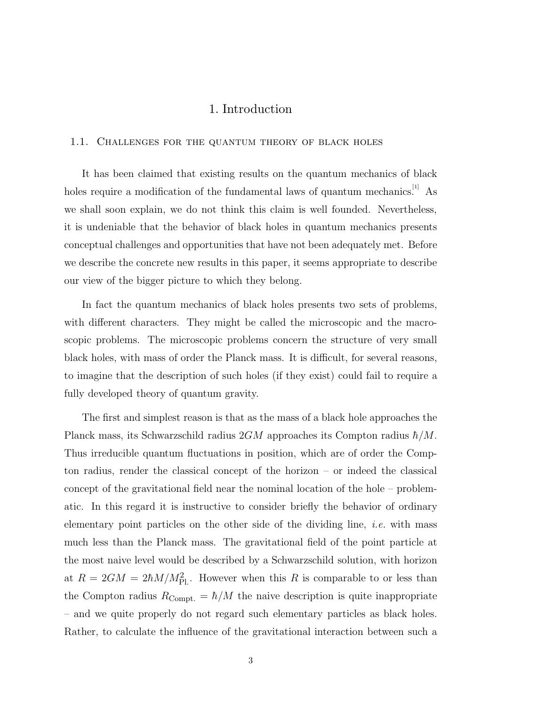# 1. Introduction

### 1.1. Challenges for the quantum theory of black holes

It has been claimed that existing results on the quantum mechanics of black holes require a modification of the fundamental laws of quantum mechanics.<sup>[1]</sup> As we shall soon explain, we do not think this claim is well founded. Nevertheless, it is undeniable that the behavior of black holes in quantum mechanics presents conceptual challenges and opportunities that have not been adequately met. Before we describe the concrete new results in this paper, it seems appropriate to describe our view of the bigger picture to which they belong.

In fact the quantum mechanics of black holes presents two sets of problems, with different characters. They might be called the microscopic and the macroscopic problems. The microscopic problems concern the structure of very small black holes, with mass of order the Planck mass. It is difficult, for several reasons, to imagine that the description of such holes (if they exist) could fail to require a fully developed theory of quantum gravity.

The first and simplest reason is that as the mass of a black hole approaches the Planck mass, its Schwarzschild radius  $2GM$  approaches its Compton radius  $\hbar/M$ . Thus irreducible quantum fluctuations in position, which are of order the Compton radius, render the classical concept of the horizon – or indeed the classical concept of the gravitational field near the nominal location of the hole – problematic. In this regard it is instructive to consider briefly the behavior of ordinary elementary point particles on the other side of the dividing line, *i.e.* with mass much less than the Planck mass. The gravitational field of the point particle at the most naive level would be described by a Schwarzschild solution, with horizon at  $R = 2GM = 2\hbar M/M_{\rm Pl}^2$ . However when this R is comparable to or less than the Compton radius  $R_{\text{Compt.}} = \hbar/M$  the naive description is quite inappropriate – and we quite properly do not regard such elementary particles as black holes. Rather, to calculate the influence of the gravitational interaction between such a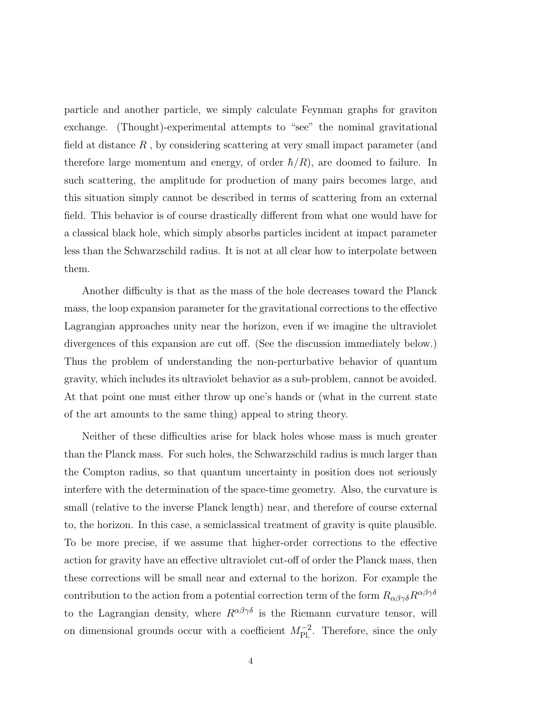particle and another particle, we simply calculate Feynman graphs for graviton exchange. (Thought)-experimental attempts to "see" the nominal gravitational field at distance  $R$ , by considering scattering at very small impact parameter (and therefore large momentum and energy, of order  $\hbar/R$ , are doomed to failure. In such scattering, the amplitude for production of many pairs becomes large, and this situation simply cannot be described in terms of scattering from an external field. This behavior is of course drastically different from what one would have for a classical black hole, which simply absorbs particles incident at impact parameter less than the Schwarzschild radius. It is not at all clear how to interpolate between them.

Another difficulty is that as the mass of the hole decreases toward the Planck mass, the loop expansion parameter for the gravitational corrections to the effective Lagrangian approaches unity near the horizon, even if we imagine the ultraviolet divergences of this expansion are cut off. (See the discussion immediately below.) Thus the problem of understanding the non-perturbative behavior of quantum gravity, which includes its ultraviolet behavior as a sub-problem, cannot be avoided. At that point one must either throw up one's hands or (what in the current state of the art amounts to the same thing) appeal to string theory.

Neither of these difficulties arise for black holes whose mass is much greater than the Planck mass. For such holes, the Schwarzschild radius is much larger than the Compton radius, so that quantum uncertainty in position does not seriously interfere with the determination of the space-time geometry. Also, the curvature is small (relative to the inverse Planck length) near, and therefore of course external to, the horizon. In this case, a semiclassical treatment of gravity is quite plausible. To be more precise, if we assume that higher-order corrections to the effective action for gravity have an effective ultraviolet cut-off of order the Planck mass, then these corrections will be small near and external to the horizon. For example the contribution to the action from a potential correction term of the form  $R_{\alpha\beta\gamma\delta}R^{\alpha\beta\gamma\delta}$ to the Lagrangian density, where  $R^{\alpha\beta\gamma\delta}$  is the Riemann curvature tensor, will on dimensional grounds occur with a coefficient  $M_{\text{Pl}}^{-2}$ . Therefore, since the only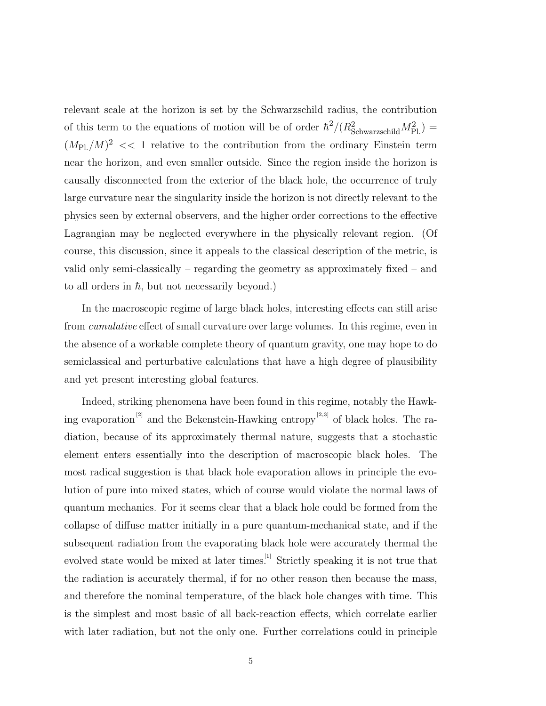relevant scale at the horizon is set by the Schwarzschild radius, the contribution of this term to the equations of motion will be of order  $\hbar^2/(R_{\text{Schwarzschild}}^2 M_{\text{Pl.}}^2)$  =  $(M_{\rm Pl}/M)^2$  << 1 relative to the contribution from the ordinary Einstein term near the horizon, and even smaller outside. Since the region inside the horizon is causally disconnected from the exterior of the black hole, the occurrence of truly large curvature near the singularity inside the horizon is not directly relevant to the physics seen by external observers, and the higher order corrections to the effective Lagrangian may be neglected everywhere in the physically relevant region. (Of course, this discussion, since it appeals to the classical description of the metric, is valid only semi-classically – regarding the geometry as approximately fixed – and  $\,$ to all orders in  $\hbar$ , but not necessarily beyond.)

In the macroscopic regime of large black holes, interesting effects can still arise from cumulative effect of small curvature over large volumes. In this regime, even in the absence of a workable complete theory of quantum gravity, one may hope to do semiclassical and perturbative calculations that have a high degree of plausibility and yet present interesting global features.

Indeed, striking phenomena have been found in this regime, notably the Hawking evaporation<sup>[2]</sup> and the Bekenstein-Hawking entropy<sup>[2,3]</sup> of black holes. The radiation, because of its approximately thermal nature, suggests that a stochastic element enters essentially into the description of macroscopic black holes. The most radical suggestion is that black hole evaporation allows in principle the evolution of pure into mixed states, which of course would violate the normal laws of quantum mechanics. For it seems clear that a black hole could be formed from the collapse of diffuse matter initially in a pure quantum-mechanical state, and if the subsequent radiation from the evaporating black hole were accurately thermal the evolved state would be mixed at later times.<sup>[1]</sup> Strictly speaking it is not true that the radiation is accurately thermal, if for no other reason then because the mass, and therefore the nominal temperature, of the black hole changes with time. This is the simplest and most basic of all back-reaction effects, which correlate earlier with later radiation, but not the only one. Further correlations could in principle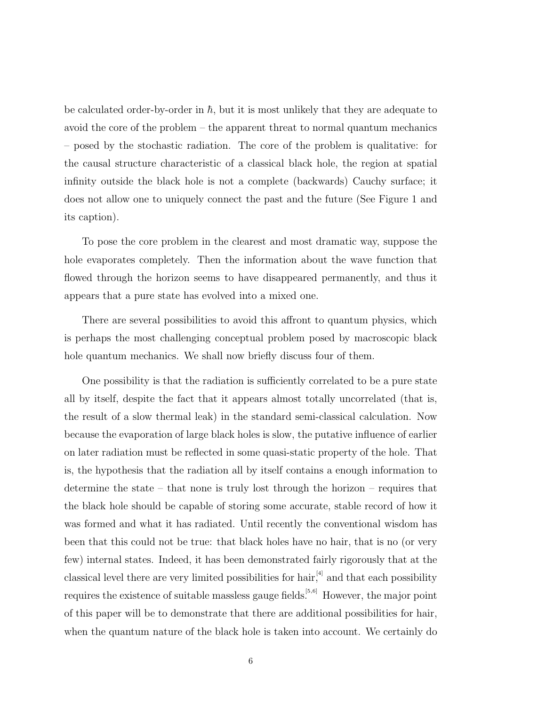be calculated order-by-order in  $\hbar$ , but it is most unlikely that they are adequate to avoid the core of the problem – the apparent threat to normal quantum mechanics – posed by the stochastic radiation. The core of the problem is qualitative: for the causal structure characteristic of a classical black hole, the region at spatial infinity outside the black hole is not a complete (backwards) Cauchy surface; it does not allow one to uniquely connect the past and the future (See Figure 1 and its caption).

To pose the core problem in the clearest and most dramatic way, suppose the hole evaporates completely. Then the information about the wave function that flowed through the horizon seems to have disappeared permanently, and thus it appears that a pure state has evolved into a mixed one.

There are several possibilities to avoid this affront to quantum physics, which is perhaps the most challenging conceptual problem posed by macroscopic black hole quantum mechanics. We shall now briefly discuss four of them.

One possibility is that the radiation is sufficiently correlated to be a pure state all by itself, despite the fact that it appears almost totally uncorrelated (that is, the result of a slow thermal leak) in the standard semi-classical calculation. Now because the evaporation of large black holes is slow, the putative influence of earlier on later radiation must be reflected in some quasi-static property of the hole. That is, the hypothesis that the radiation all by itself contains a enough information to determine the state – that none is truly lost through the horizon – requires that the black hole should be capable of storing some accurate, stable record of how it was formed and what it has radiated. Until recently the conventional wisdom has been that this could not be true: that black holes have no hair, that is no (or very few) internal states. Indeed, it has been demonstrated fairly rigorously that at the classical level there are very limited possibilities for hair,<sup>[4]</sup> and that each possibility requires the existence of suitable massless gauge fields.<sup>[5,6]</sup> However, the major point of this paper will be to demonstrate that there are additional possibilities for hair, when the quantum nature of the black hole is taken into account. We certainly do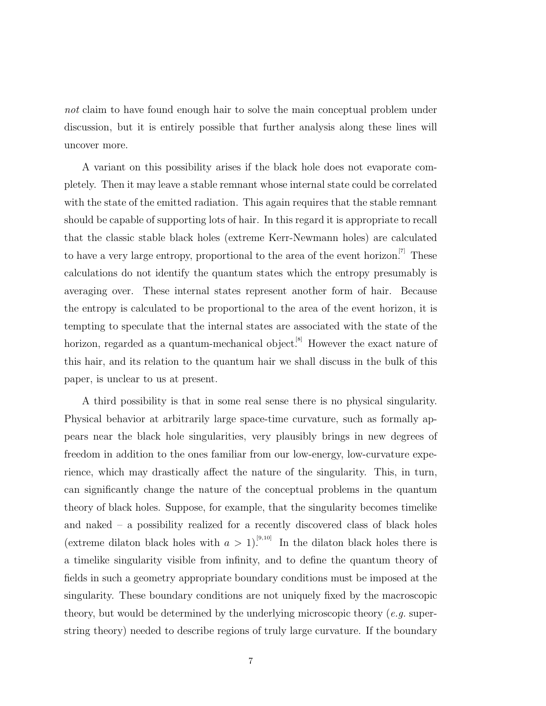not claim to have found enough hair to solve the main conceptual problem under discussion, but it is entirely possible that further analysis along these lines will uncover more.

A variant on this possibility arises if the black hole does not evaporate completely. Then it may leave a stable remnant whose internal state could be correlated with the state of the emitted radiation. This again requires that the stable remnant should be capable of supporting lots of hair. In this regard it is appropriate to recall that the classic stable black holes (extreme Kerr-Newmann holes) are calculated to have a very large entropy, proportional to the area of the event horizon.<sup>[7]</sup> These calculations do not identify the quantum states which the entropy presumably is averaging over. These internal states represent another form of hair. Because the entropy is calculated to be proportional to the area of the event horizon, it is tempting to speculate that the internal states are associated with the state of the horizon, regarded as a quantum-mechanical object.<sup>[8]</sup> However the exact nature of this hair, and its relation to the quantum hair we shall discuss in the bulk of this paper, is unclear to us at present.

A third possibility is that in some real sense there is no physical singularity. Physical behavior at arbitrarily large space-time curvature, such as formally appears near the black hole singularities, very plausibly brings in new degrees of freedom in addition to the ones familiar from our low-energy, low-curvature experience, which may drastically affect the nature of the singularity. This, in turn, can significantly change the nature of the conceptual problems in the quantum theory of black holes. Suppose, for example, that the singularity becomes timelike and naked – a possibility realized for a recently discovered class of black holes (extreme dilaton black holes with  $a > 1$ ).<sup>[9,10]</sup> In the dilaton black holes there is a timelike singularity visible from infinity, and to define the quantum theory of fields in such a geometry appropriate boundary conditions must be imposed at the singularity. These boundary conditions are not uniquely fixed by the macroscopic theory, but would be determined by the underlying microscopic theory  $(e.g.$  superstring theory) needed to describe regions of truly large curvature. If the boundary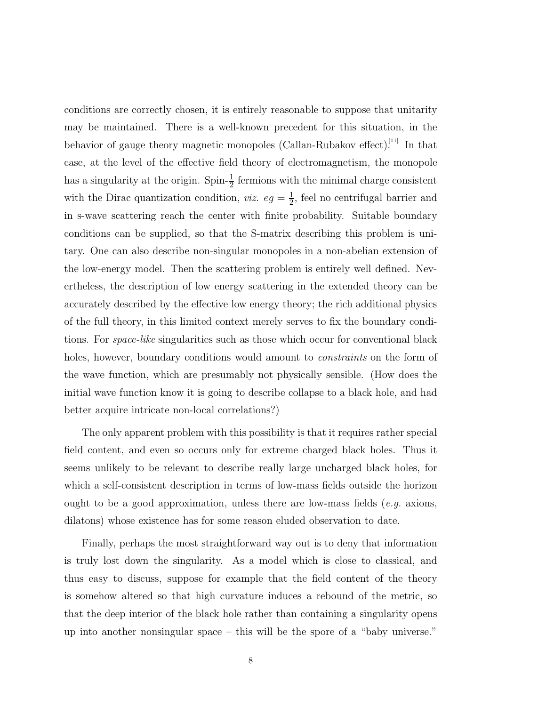conditions are correctly chosen, it is entirely reasonable to suppose that unitarity may be maintained. There is a well-known precedent for this situation, in the behavior of gauge theory magnetic monopoles (Callan-Rubakov effect).<sup>[11]</sup> In that case, at the level of the effective field theory of electromagnetism, the monopole has a singularity at the origin. Spin- $\frac{1}{2}$  fermions with the minimal charge consistent with the Dirac quantization condition, *viz.*  $eg = \frac{1}{2}$  $\frac{1}{2}$ , feel no centrifugal barrier and in s-wave scattering reach the center with finite probability. Suitable boundary conditions can be supplied, so that the S-matrix describing this problem is unitary. One can also describe non-singular monopoles in a non-abelian extension of the low-energy model. Then the scattering problem is entirely well defined. Nevertheless, the description of low energy scattering in the extended theory can be accurately described by the effective low energy theory; the rich additional physics of the full theory, in this limited context merely serves to fix the boundary conditions. For space-like singularities such as those which occur for conventional black holes, however, boundary conditions would amount to *constraints* on the form of the wave function, which are presumably not physically sensible. (How does the initial wave function know it is going to describe collapse to a black hole, and had better acquire intricate non-local correlations?)

The only apparent problem with this possibility is that it requires rather special field content, and even so occurs only for extreme charged black holes. Thus it seems unlikely to be relevant to describe really large uncharged black holes, for which a self-consistent description in terms of low-mass fields outside the horizon ought to be a good approximation, unless there are low-mass fields (*e.g.* axions, dilatons) whose existence has for some reason eluded observation to date.

Finally, perhaps the most straightforward way out is to deny that information is truly lost down the singularity. As a model which is close to classical, and thus easy to discuss, suppose for example that the field content of the theory is somehow altered so that high curvature induces a rebound of the metric, so that the deep interior of the black hole rather than containing a singularity opens up into another nonsingular space – this will be the spore of a "baby universe."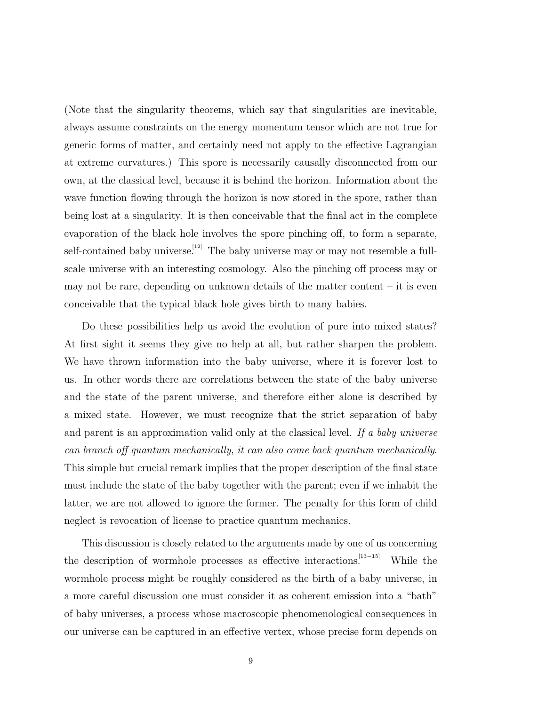(Note that the singularity theorems, which say that singularities are inevitable, always assume constraints on the energy momentum tensor which are not true for generic forms of matter, and certainly need not apply to the effective Lagrangian at extreme curvatures.) This spore is necessarily causally disconnected from our own, at the classical level, because it is behind the horizon. Information about the wave function flowing through the horizon is now stored in the spore, rather than being lost at a singularity. It is then conceivable that the final act in the complete evaporation of the black hole involves the spore pinching off, to form a separate, self-contained baby universe.<sup>[12]</sup> The baby universe may or may not resemble a fullscale universe with an interesting cosmology. Also the pinching off process may or may not be rare, depending on unknown details of the matter content  $-$  it is even conceivable that the typical black hole gives birth to many babies.

Do these possibilities help us avoid the evolution of pure into mixed states? At first sight it seems they give no help at all, but rather sharpen the problem. We have thrown information into the baby universe, where it is forever lost to us. In other words there are correlations between the state of the baby universe and the state of the parent universe, and therefore either alone is described by a mixed state. However, we must recognize that the strict separation of baby and parent is an approximation valid only at the classical level. If a baby universe can branch off quantum mechanically, it can also come back quantum mechanically. This simple but crucial remark implies that the proper description of the final state must include the state of the baby together with the parent; even if we inhabit the latter, we are not allowed to ignore the former. The penalty for this form of child neglect is revocation of license to practice quantum mechanics.

This discussion is closely related to the arguments made by one of us concerning the description of wormhole processes as effective interactions.<sup>[13−15]</sup> While the wormhole process might be roughly considered as the birth of a baby universe, in a more careful discussion one must consider it as coherent emission into a "bath" of baby universes, a process whose macroscopic phenomenological consequences in our universe can be captured in an effective vertex, whose precise form depends on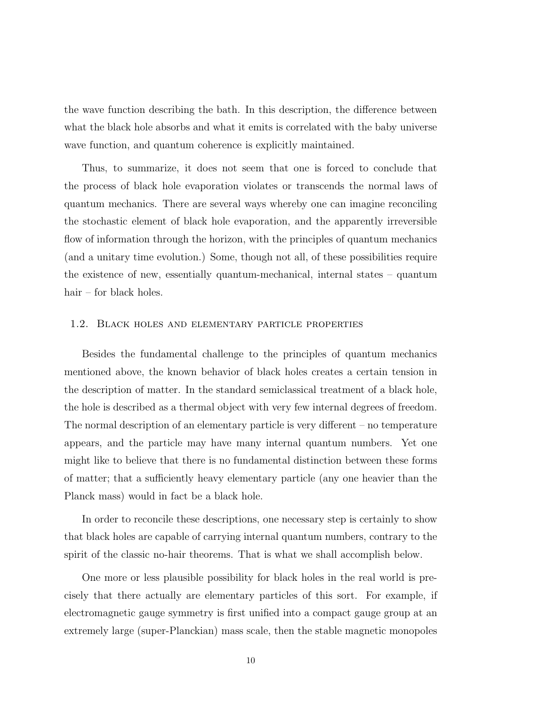the wave function describing the bath. In this description, the difference between what the black hole absorbs and what it emits is correlated with the baby universe wave function, and quantum coherence is explicitly maintained.

Thus, to summarize, it does not seem that one is forced to conclude that the process of black hole evaporation violates or transcends the normal laws of quantum mechanics. There are several ways whereby one can imagine reconciling the stochastic element of black hole evaporation, and the apparently irreversible flow of information through the horizon, with the principles of quantum mechanics (and a unitary time evolution.) Some, though not all, of these possibilities require the existence of new, essentially quantum-mechanical, internal states – quantum hair – for black holes.

#### 1.2. Black holes and elementary particle properties

Besides the fundamental challenge to the principles of quantum mechanics mentioned above, the known behavior of black holes creates a certain tension in the description of matter. In the standard semiclassical treatment of a black hole, the hole is described as a thermal object with very few internal degrees of freedom. The normal description of an elementary particle is very different – no temperature appears, and the particle may have many internal quantum numbers. Yet one might like to believe that there is no fundamental distinction between these forms of matter; that a sufficiently heavy elementary particle (any one heavier than the Planck mass) would in fact be a black hole.

In order to reconcile these descriptions, one necessary step is certainly to show that black holes are capable of carrying internal quantum numbers, contrary to the spirit of the classic no-hair theorems. That is what we shall accomplish below.

One more or less plausible possibility for black holes in the real world is precisely that there actually are elementary particles of this sort. For example, if electromagnetic gauge symmetry is first unified into a compact gauge group at an extremely large (super-Planckian) mass scale, then the stable magnetic monopoles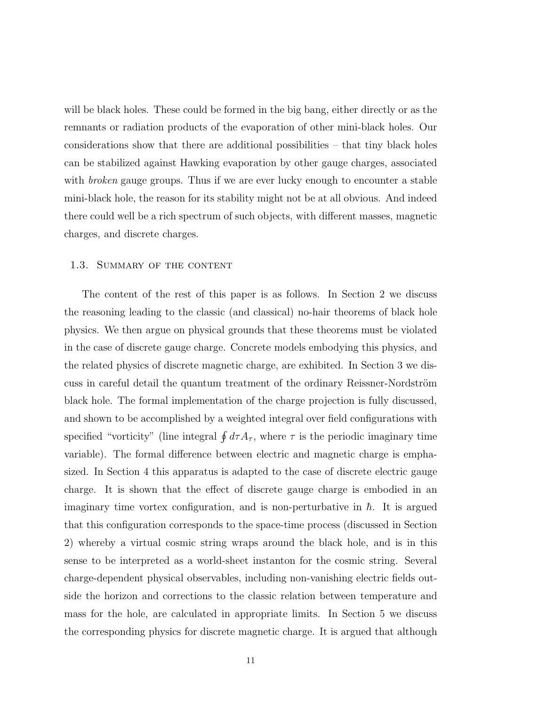will be black holes. These could be formed in the big bang, either directly or as the remnants or radiation products of the evaporation of other mini-black holes. Our considerations show that there are additional possibilities – that tiny black holes can be stabilized against Hawking evaporation by other gauge charges, associated with *broken* gauge groups. Thus if we are ever lucky enough to encounter a stable mini-black hole, the reason for its stability might not be at all obvious. And indeed there could well be a rich spectrum of such objects, with different masses, magnetic charges, and discrete charges.

#### 1.3. SUMMARY OF THE CONTENT

The content of the rest of this paper is as follows. In Section 2 we discuss the reasoning leading to the classic (and classical) no-hair theorems of black hole physics. We then argue on physical grounds that these theorems must be violated in the case of discrete gauge charge. Concrete models embodying this physics, and the related physics of discrete magnetic charge, are exhibited. In Section 3 we discuss in careful detail the quantum treatment of the ordinary Reissner-Nordström black hole. The formal implementation of the charge projection is fully discussed, and shown to be accomplished by a weighted integral over field configurations with specified "vorticity" (line integral  $\oint d\tau A_{\tau}$ , where  $\tau$  is the periodic imaginary time variable). The formal difference between electric and magnetic charge is emphasized. In Section 4 this apparatus is adapted to the case of discrete electric gauge charge. It is shown that the effect of discrete gauge charge is embodied in an imaginary time vortex configuration, and is non-perturbative in  $\hbar$ . It is argued that this configuration corresponds to the space-time process (discussed in Section 2) whereby a virtual cosmic string wraps around the black hole, and is in this sense to be interpreted as a world-sheet instanton for the cosmic string. Several charge-dependent physical observables, including non-vanishing electric fields outside the horizon and corrections to the classic relation between temperature and mass for the hole, are calculated in appropriate limits. In Section 5 we discuss the corresponding physics for discrete magnetic charge. It is argued that although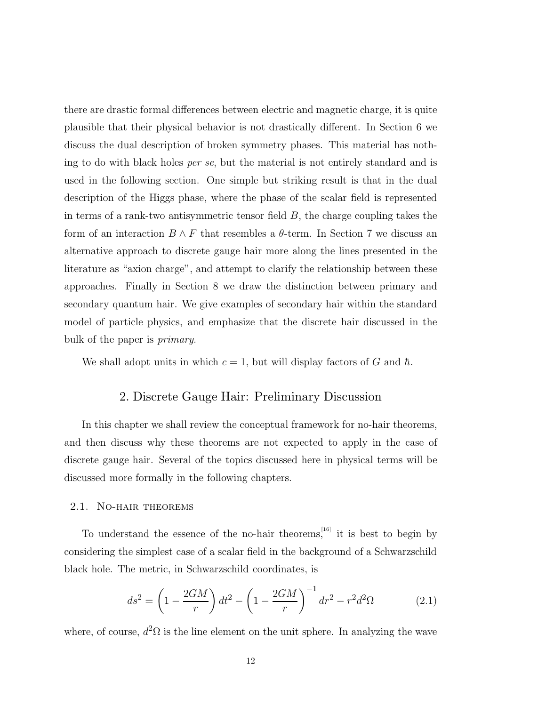there are drastic formal differences between electric and magnetic charge, it is quite plausible that their physical behavior is not drastically different. In Section 6 we discuss the dual description of broken symmetry phases. This material has nothing to do with black holes per se, but the material is not entirely standard and is used in the following section. One simple but striking result is that in the dual description of the Higgs phase, where the phase of the scalar field is represented in terms of a rank-two antisymmetric tensor field  $B$ , the charge coupling takes the form of an interaction  $B \wedge F$  that resembles a  $\theta$ -term. In Section 7 we discuss an alternative approach to discrete gauge hair more along the lines presented in the literature as "axion charge", and attempt to clarify the relationship between these approaches. Finally in Section 8 we draw the distinction between primary and secondary quantum hair. We give examples of secondary hair within the standard model of particle physics, and emphasize that the discrete hair discussed in the bulk of the paper is *primary*.

We shall adopt units in which  $c = 1$ , but will display factors of G and  $\hbar$ .

## 2. Discrete Gauge Hair: Preliminary Discussion

In this chapter we shall review the conceptual framework for no-hair theorems, and then discuss why these theorems are not expected to apply in the case of discrete gauge hair. Several of the topics discussed here in physical terms will be discussed more formally in the following chapters.

### 2.1. No-hair theorems

To understand the essence of the no-hair theorems,<sup>[16]</sup> it is best to begin by considering the simplest case of a scalar field in the background of a Schwarzschild black hole. The metric, in Schwarzschild coordinates, is

$$
ds^{2} = \left(1 - \frac{2GM}{r}\right)dt^{2} - \left(1 - \frac{2GM}{r}\right)^{-1}dr^{2} - r^{2}d^{2}\Omega
$$
 (2.1)

where, of course,  $d^2\Omega$  is the line element on the unit sphere. In analyzing the wave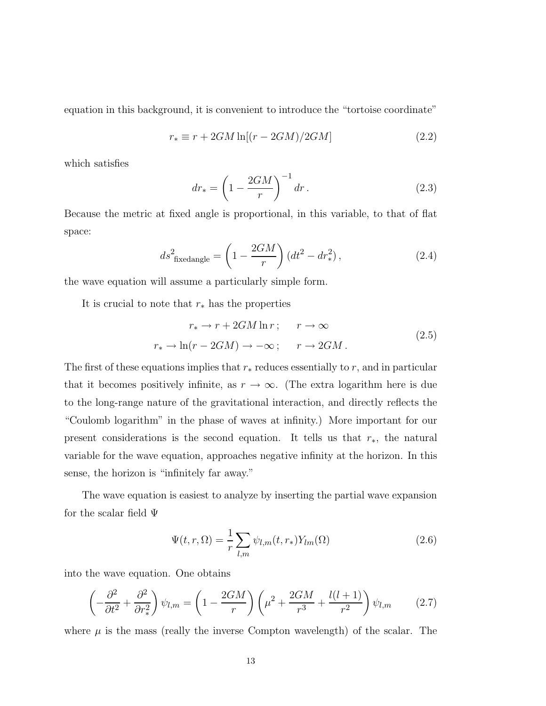equation in this background, it is convenient to introduce the "tortoise coordinate"

$$
r_* \equiv r + 2GM \ln[(r - 2GM)/2GM] \tag{2.2}
$$

which satisfies

$$
dr_* = \left(1 - \frac{2GM}{r}\right)^{-1} dr.
$$
\n(2.3)

Because the metric at fixed angle is proportional, in this variable, to that of flat space:

$$
ds_{\text{ fixedangle}}^2 = \left(1 - \frac{2GM}{r}\right) \left(dt^2 - dr_*^2\right),\tag{2.4}
$$

the wave equation will assume a particularly simple form.

It is crucial to note that  $r_*$  has the properties

$$
r_* \to r + 2GM \ln r; \qquad r \to \infty
$$
  

$$
r_* \to \ln(r - 2GM) \to -\infty; \qquad r \to 2GM.
$$
 (2.5)

The first of these equations implies that  $r_*$  reduces essentially to r, and in particular that it becomes positively infinite, as  $r \to \infty$ . (The extra logarithm here is due to the long-range nature of the gravitational interaction, and directly reflects the "Coulomb logarithm" in the phase of waves at infinity.) More important for our present considerations is the second equation. It tells us that  $r_*,$  the natural variable for the wave equation, approaches negative infinity at the horizon. In this sense, the horizon is "infinitely far away."

The wave equation is easiest to analyze by inserting the partial wave expansion for the scalar field  $\Psi$ 

$$
\Psi(t,r,\Omega) = \frac{1}{r} \sum_{l,m} \psi_{l,m}(t,r_*) Y_{lm}(\Omega)
$$
\n(2.6)

into the wave equation. One obtains

$$
\left(-\frac{\partial^2}{\partial t^2} + \frac{\partial^2}{\partial r_*^2}\right)\psi_{l,m} = \left(1 - \frac{2GM}{r}\right)\left(\mu^2 + \frac{2GM}{r^3} + \frac{l(l+1)}{r^2}\right)\psi_{l,m} \tag{2.7}
$$

where  $\mu$  is the mass (really the inverse Compton wavelength) of the scalar. The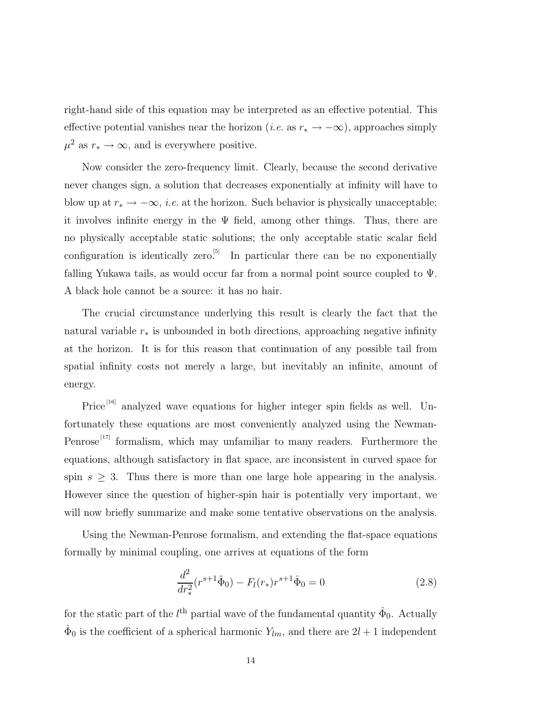right-hand side of this equation may be interpreted as an effective potential. This effective potential vanishes near the horizon (*i.e.* as  $r_* \to -\infty$ ), approaches simply  $\mu^2$  as  $r_* \to \infty$ , and is everywhere positive.

Now consider the zero-frequency limit. Clearly, because the second derivative never changes sign, a solution that decreases exponentially at infinity will have to blow up at  $r_* \to -\infty$ , *i.e.* at the horizon. Such behavior is physically unacceptable: it involves infinite energy in the  $\Psi$  field, among other things. Thus, there are no physically acceptable static solutions; the only acceptable static scalar field configuration is identically zero.<sup>[5]</sup> In particular there can be no exponentially falling Yukawa tails, as would occur far from a normal point source coupled to Ψ. A black hole cannot be a source: it has no hair.

The crucial circumstance underlying this result is clearly the fact that the natural variable  $r_*$  is unbounded in both directions, approaching negative infinity at the horizon. It is for this reason that continuation of any possible tail from spatial infinity costs not merely a large, but inevitably an infinite, amount of energy.

Price<sup>[16]</sup> analyzed wave equations for higher integer spin fields as well. Unfortunately these equations are most conveniently analyzed using the Newman-Penrose<sup>[17]</sup> formalism, which may unfamiliar to many readers. Furthermore the equations, although satisfactory in flat space, are inconsistent in curved space for spin  $s \geq 3$ . Thus there is more than one large hole appearing in the analysis. However since the question of higher-spin hair is potentially very important, we will now briefly summarize and make some tentative observations on the analysis.

Using the Newman-Penrose formalism, and extending the flat-space equations formally by minimal coupling, one arrives at equations of the form

$$
\frac{d^2}{dr_*^2}(r^{s+1}\hat{\Phi}_0) - F_l(r_*)r^{s+1}\hat{\Phi}_0 = 0
$$
\n(2.8)

for the static part of the  $l<sup>th</sup>$  partial wave of the fundamental quantity  $\hat{\Phi}_0$ . Actually  $\hat{\Phi}_0$  is the coefficient of a spherical harmonic  $Y_{lm}$ , and there are  $2l + 1$  independent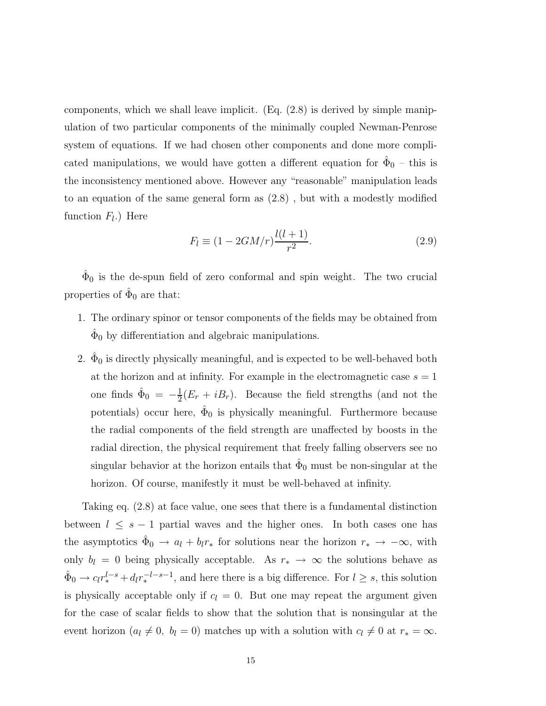components, which we shall leave implicit. (Eq. (2.8) is derived by simple manipulation of two particular components of the minimally coupled Newman-Penrose system of equations. If we had chosen other components and done more complicated manipulations, we would have gotten a different equation for  $\hat{\Phi}_0$  – this is the inconsistency mentioned above. However any "reasonable" manipulation leads to an equation of the same general form as (2.8) , but with a modestly modified function  $F_l$ .) Here

$$
F_l \equiv (1 - 2GM/r) \frac{l(l+1)}{r^2}.
$$
\n(2.9)

 $\hat{\Phi}_0$  is the de-spun field of zero conformal and spin weight. The two crucial properties of  $\hat{\Phi}_0$  are that:

- 1. The ordinary spinor or tensor components of the fields may be obtained from  $\hat{\Phi}_0$  by differentiation and algebraic manipulations.
- 2.  $\hat{\Phi}_0$  is directly physically meaningful, and is expected to be well-behaved both at the horizon and at infinity. For example in the electromagnetic case  $s = 1$ one finds  $\hat{\Phi}_0 = -\frac{1}{2}$  $\frac{1}{2}(E_r + iB_r)$ . Because the field strengths (and not the potentials) occur here,  $\hat{\Phi}_0$  is physically meaningful. Furthermore because the radial components of the field strength are unaffected by boosts in the radial direction, the physical requirement that freely falling observers see no singular behavior at the horizon entails that  $\hat{\Phi}_0$  must be non-singular at the horizon. Of course, manifestly it must be well-behaved at infinity.

Taking eq. (2.8) at face value, one sees that there is a fundamental distinction between  $l \leq s - 1$  partial waves and the higher ones. In both cases one has the asymptotics  $\hat{\Phi}_0 \to a_l + b_l r_*$  for solutions near the horizon  $r_* \to -\infty$ , with only  $b_l = 0$  being physically acceptable. As  $r_* \to \infty$  the solutions behave as  $\hat{\Phi}_0 \to c_l r_*^{l-s} + d_l r_*^{-l-s-1}$ , and here there is a big difference. For  $l \geq s$ , this solution is physically acceptable only if  $c_l = 0$ . But one may repeat the argument given for the case of scalar fields to show that the solution that is nonsingular at the event horizon ( $a_l \neq 0$ ,  $b_l = 0$ ) matches up with a solution with  $c_l \neq 0$  at  $r_* = \infty$ .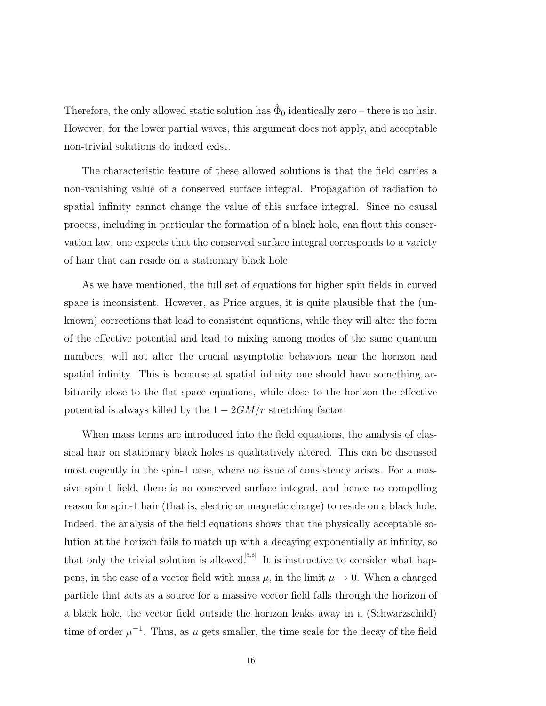Therefore, the only allowed static solution has  $\hat{\Phi}_0$  identically zero – there is no hair. However, for the lower partial waves, this argument does not apply, and acceptable non-trivial solutions do indeed exist.

The characteristic feature of these allowed solutions is that the field carries a non-vanishing value of a conserved surface integral. Propagation of radiation to spatial infinity cannot change the value of this surface integral. Since no causal process, including in particular the formation of a black hole, can flout this conservation law, one expects that the conserved surface integral corresponds to a variety of hair that can reside on a stationary black hole.

As we have mentioned, the full set of equations for higher spin fields in curved space is inconsistent. However, as Price argues, it is quite plausible that the (unknown) corrections that lead to consistent equations, while they will alter the form of the effective potential and lead to mixing among modes of the same quantum numbers, will not alter the crucial asymptotic behaviors near the horizon and spatial infinity. This is because at spatial infinity one should have something arbitrarily close to the flat space equations, while close to the horizon the effective potential is always killed by the  $1 - 2GM/r$  stretching factor.

When mass terms are introduced into the field equations, the analysis of classical hair on stationary black holes is qualitatively altered. This can be discussed most cogently in the spin-1 case, where no issue of consistency arises. For a massive spin-1 field, there is no conserved surface integral, and hence no compelling reason for spin-1 hair (that is, electric or magnetic charge) to reside on a black hole. Indeed, the analysis of the field equations shows that the physically acceptable solution at the horizon fails to match up with a decaying exponentially at infinity, so that only the trivial solution is allowed.<sup>[5,6]</sup> It is instructive to consider what happens, in the case of a vector field with mass  $\mu$ , in the limit  $\mu \to 0$ . When a charged particle that acts as a source for a massive vector field falls through the horizon of a black hole, the vector field outside the horizon leaks away in a (Schwarzschild) time of order  $\mu^{-1}$ . Thus, as  $\mu$  gets smaller, the time scale for the decay of the field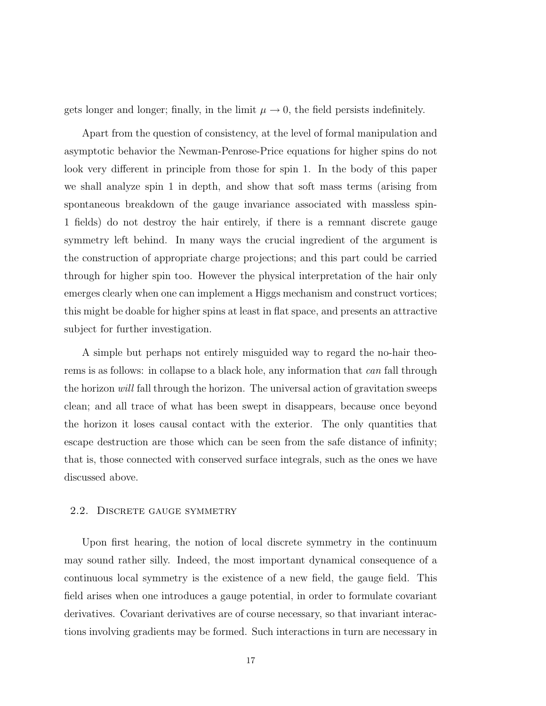gets longer and longer; finally, in the limit  $\mu \rightarrow 0$ , the field persists indefinitely.

Apart from the question of consistency, at the level of formal manipulation and asymptotic behavior the Newman-Penrose-Price equations for higher spins do not look very different in principle from those for spin 1. In the body of this paper we shall analyze spin 1 in depth, and show that soft mass terms (arising from spontaneous breakdown of the gauge invariance associated with massless spin-1 fields) do not destroy the hair entirely, if there is a remnant discrete gauge symmetry left behind. In many ways the crucial ingredient of the argument is the construction of appropriate charge projections; and this part could be carried through for higher spin too. However the physical interpretation of the hair only emerges clearly when one can implement a Higgs mechanism and construct vortices; this might be doable for higher spins at least in flat space, and presents an attractive subject for further investigation.

A simple but perhaps not entirely misguided way to regard the no-hair theorems is as follows: in collapse to a black hole, any information that *can* fall through the horizon will fall through the horizon. The universal action of gravitation sweeps clean; and all trace of what has been swept in disappears, because once beyond the horizon it loses causal contact with the exterior. The only quantities that escape destruction are those which can be seen from the safe distance of infinity; that is, those connected with conserved surface integrals, such as the ones we have discussed above.

#### 2.2. DISCRETE GAUGE SYMMETRY

Upon first hearing, the notion of local discrete symmetry in the continuum may sound rather silly. Indeed, the most important dynamical consequence of a continuous local symmetry is the existence of a new field, the gauge field. This field arises when one introduces a gauge potential, in order to formulate covariant derivatives. Covariant derivatives are of course necessary, so that invariant interactions involving gradients may be formed. Such interactions in turn are necessary in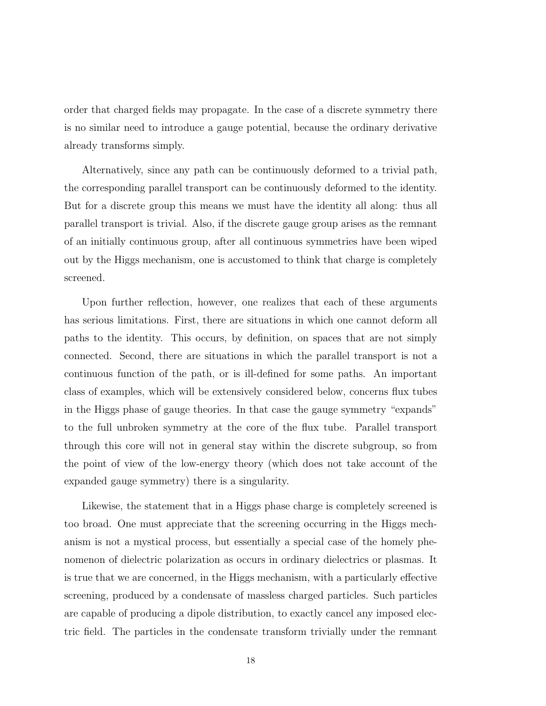order that charged fields may propagate. In the case of a discrete symmetry there is no similar need to introduce a gauge potential, because the ordinary derivative already transforms simply.

Alternatively, since any path can be continuously deformed to a trivial path, the corresponding parallel transport can be continuously deformed to the identity. But for a discrete group this means we must have the identity all along: thus all parallel transport is trivial. Also, if the discrete gauge group arises as the remnant of an initially continuous group, after all continuous symmetries have been wiped out by the Higgs mechanism, one is accustomed to think that charge is completely screened.

Upon further reflection, however, one realizes that each of these arguments has serious limitations. First, there are situations in which one cannot deform all paths to the identity. This occurs, by definition, on spaces that are not simply connected. Second, there are situations in which the parallel transport is not a continuous function of the path, or is ill-defined for some paths. An important class of examples, which will be extensively considered below, concerns flux tubes in the Higgs phase of gauge theories. In that case the gauge symmetry "expands" to the full unbroken symmetry at the core of the flux tube. Parallel transport through this core will not in general stay within the discrete subgroup, so from the point of view of the low-energy theory (which does not take account of the expanded gauge symmetry) there is a singularity.

Likewise, the statement that in a Higgs phase charge is completely screened is too broad. One must appreciate that the screening occurring in the Higgs mechanism is not a mystical process, but essentially a special case of the homely phenomenon of dielectric polarization as occurs in ordinary dielectrics or plasmas. It is true that we are concerned, in the Higgs mechanism, with a particularly effective screening, produced by a condensate of massless charged particles. Such particles are capable of producing a dipole distribution, to exactly cancel any imposed electric field. The particles in the condensate transform trivially under the remnant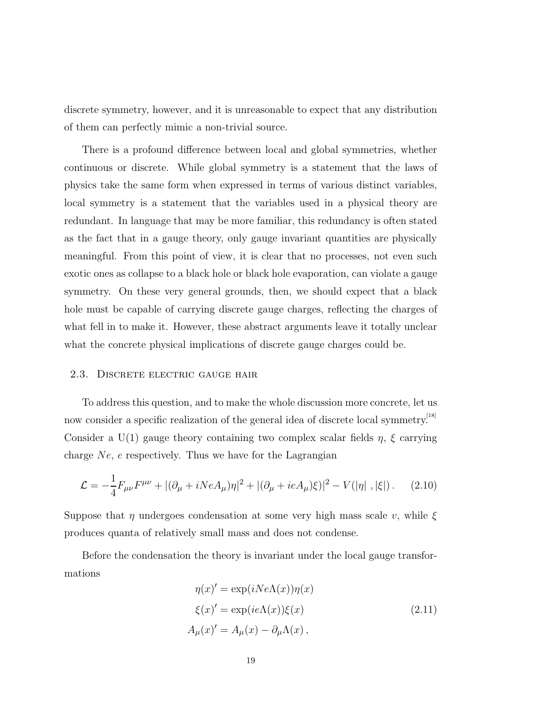discrete symmetry, however, and it is unreasonable to expect that any distribution of them can perfectly mimic a non-trivial source.

There is a profound difference between local and global symmetries, whether continuous or discrete. While global symmetry is a statement that the laws of physics take the same form when expressed in terms of various distinct variables, local symmetry is a statement that the variables used in a physical theory are redundant. In language that may be more familiar, this redundancy is often stated as the fact that in a gauge theory, only gauge invariant quantities are physically meaningful. From this point of view, it is clear that no processes, not even such exotic ones as collapse to a black hole or black hole evaporation, can violate a gauge symmetry. On these very general grounds, then, we should expect that a black hole must be capable of carrying discrete gauge charges, reflecting the charges of what fell in to make it. However, these abstract arguments leave it totally unclear what the concrete physical implications of discrete gauge charges could be.

#### 2.3. Discrete electric gauge hair

To address this question, and to make the whole discussion more concrete, let us now consider a specific realization of the general idea of discrete local symmetry.<sup>[18]</sup> Consider a U(1) gauge theory containing two complex scalar fields  $\eta$ ,  $\xi$  carrying charge Ne, e respectively. Thus we have for the Lagrangian

$$
\mathcal{L} = -\frac{1}{4}F_{\mu\nu}F^{\mu\nu} + |(\partial_{\mu} + iNeA_{\mu})\eta|^2 + |(\partial_{\mu} + ieA_{\mu})\xi)|^2 - V(|\eta|, |\xi|). \tag{2.10}
$$

Suppose that  $\eta$  undergoes condensation at some very high mass scale v, while  $\xi$ produces quanta of relatively small mass and does not condense.

Before the condensation the theory is invariant under the local gauge transformations

$$
\eta(x)' = \exp(iNe\Lambda(x))\eta(x)
$$
  

$$
\xi(x)' = \exp(ie\Lambda(x))\xi(x)
$$
  

$$
A_{\mu}(x)' = A_{\mu}(x) - \partial_{\mu}\Lambda(x),
$$
\n(2.11)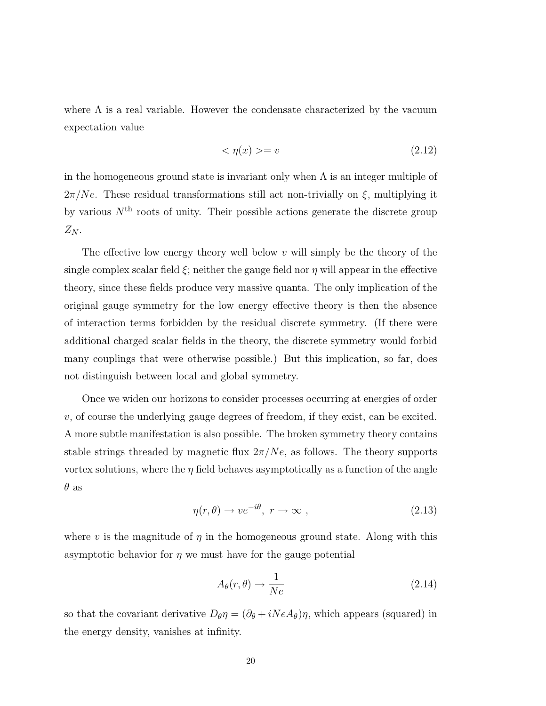where  $\Lambda$  is a real variable. However the condensate characterized by the vacuum expectation value

$$
\langle \eta(x) \rangle = v \tag{2.12}
$$

in the homogeneous ground state is invariant only when  $\Lambda$  is an integer multiple of  $2\pi/Ne$ . These residual transformations still act non-trivially on  $\xi$ , multiplying it by various  $N^{\text{th}}$  roots of unity. Their possible actions generate the discrete group  $Z_N$ .

The effective low energy theory well below  $v$  will simply be the theory of the single complex scalar field  $\xi$ ; neither the gauge field nor  $\eta$  will appear in the effective theory, since these fields produce very massive quanta. The only implication of the original gauge symmetry for the low energy effective theory is then the absence of interaction terms forbidden by the residual discrete symmetry. (If there were additional charged scalar fields in the theory, the discrete symmetry would forbid many couplings that were otherwise possible.) But this implication, so far, does not distinguish between local and global symmetry.

Once we widen our horizons to consider processes occurring at energies of order  $v$ , of course the underlying gauge degrees of freedom, if they exist, can be excited. A more subtle manifestation is also possible. The broken symmetry theory contains stable strings threaded by magnetic flux  $2\pi/Ne$ , as follows. The theory supports vortex solutions, where the  $\eta$  field behaves asymptotically as a function of the angle  $\theta$  as

$$
\eta(r,\theta) \to v e^{-i\theta}, \ r \to \infty \ , \tag{2.13}
$$

where v is the magnitude of  $\eta$  in the homogeneous ground state. Along with this asymptotic behavior for  $\eta$  we must have for the gauge potential

$$
A_{\theta}(r,\theta) \to \frac{1}{Ne} \tag{2.14}
$$

so that the covariant derivative  $D_{\theta} \eta = (\partial_{\theta} + iNeA_{\theta})\eta$ , which appears (squared) in the energy density, vanishes at infinity.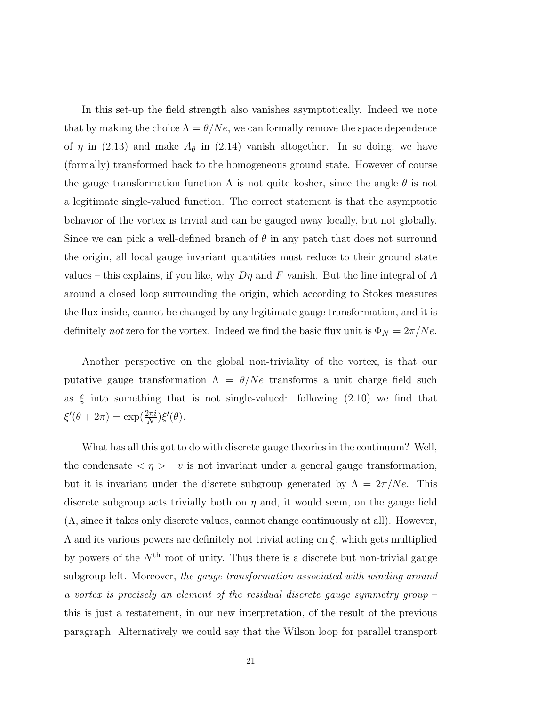In this set-up the field strength also vanishes asymptotically. Indeed we note that by making the choice  $\Lambda = \theta/N_e$ , we can formally remove the space dependence of  $\eta$  in (2.13) and make  $A_{\theta}$  in (2.14) vanish altogether. In so doing, we have (formally) transformed back to the homogeneous ground state. However of course the gauge transformation function  $\Lambda$  is not quite kosher, since the angle  $\theta$  is not a legitimate single-valued function. The correct statement is that the asymptotic behavior of the vortex is trivial and can be gauged away locally, but not globally. Since we can pick a well-defined branch of  $\theta$  in any patch that does not surround the origin, all local gauge invariant quantities must reduce to their ground state values – this explains, if you like, why  $D\eta$  and F vanish. But the line integral of A around a closed loop surrounding the origin, which according to Stokes measures the flux inside, cannot be changed by any legitimate gauge transformation, and it is definitely not zero for the vortex. Indeed we find the basic flux unit is  $\Phi_N = 2\pi / Ne$ .

Another perspective on the global non-triviality of the vortex, is that our putative gauge transformation  $\Lambda = \theta/N_e$  transforms a unit charge field such as  $\xi$  into something that is not single-valued: following  $(2.10)$  we find that  $\xi'(\theta + 2\pi) = \exp(\frac{2\pi i}{N})\xi'(\theta).$ 

What has all this got to do with discrete gauge theories in the continuum? Well, the condensate  $\langle \eta \rangle = v$  is not invariant under a general gauge transformation, but it is invariant under the discrete subgroup generated by  $\Lambda = 2\pi / Ne$ . This discrete subgroup acts trivially both on  $\eta$  and, it would seem, on the gauge field  $(\Lambda, \text{ since it takes only discrete values, cannot change continuously at all}).$  However, Λ and its various powers are definitely not trivial acting on ξ, which gets multiplied by powers of the  $N<sup>th</sup>$  root of unity. Thus there is a discrete but non-trivial gauge subgroup left. Moreover, the gauge transformation associated with winding around a vortex is precisely an element of the residual discrete gauge symmetry group – this is just a restatement, in our new interpretation, of the result of the previous paragraph. Alternatively we could say that the Wilson loop for parallel transport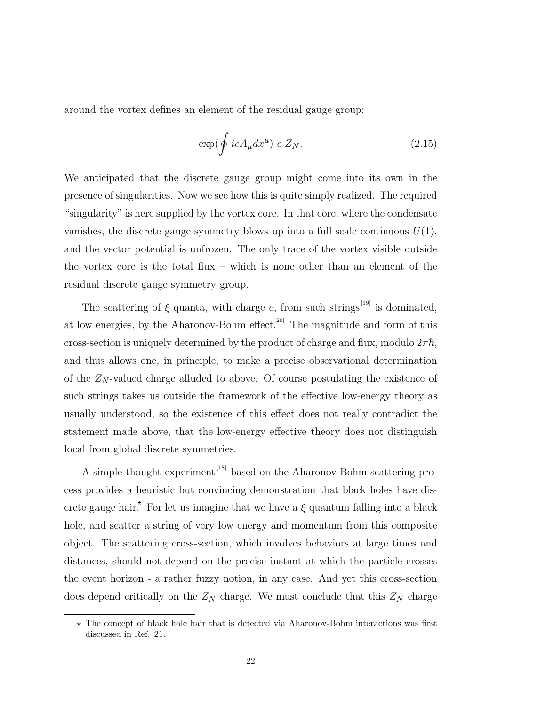around the vortex defines an element of the residual gauge group:

$$
\exp(\oint ieA_{\mu}dx^{\mu}) \epsilon Z_N. \tag{2.15}
$$

We anticipated that the discrete gauge group might come into its own in the presence of singularities. Now we see how this is quite simply realized. The required "singularity" is here supplied by the vortex core. In that core, where the condensate vanishes, the discrete gauge symmetry blows up into a full scale continuous  $U(1)$ , and the vector potential is unfrozen. The only trace of the vortex visible outside the vortex core is the total flux – which is none other than an element of the residual discrete gauge symmetry group.

The scattering of  $\xi$  quanta, with charge e, from such strings<sup>[19]</sup> is dominated, at low energies, by the Aharonov-Bohm effect.<sup>[20]</sup> The magnitude and form of this cross-section is uniquely determined by the product of charge and flux, modulo  $2\pi\hbar$ , and thus allows one, in principle, to make a precise observational determination of the  $Z_N$ -valued charge alluded to above. Of course postulating the existence of such strings takes us outside the framework of the effective low-energy theory as usually understood, so the existence of this effect does not really contradict the statement made above, that the low-energy effective theory does not distinguish local from global discrete symmetries.

A simple thought experiment<sup>[18]</sup> based on the Aharonov-Bohm scattering process provides a heuristic but convincing demonstration that black holes have discrete gauge hair.<sup>\*</sup> For let us imagine that we have a  $\xi$  quantum falling into a black hole, and scatter a string of very low energy and momentum from this composite object. The scattering cross-section, which involves behaviors at large times and distances, should not depend on the precise instant at which the particle crosses the event horizon - a rather fuzzy notion, in any case. And yet this cross-section does depend critically on the  $Z_N$  charge. We must conclude that this  $Z_N$  charge

 $\star$  The concept of black hole hair that is detected via Aharonov-Bohm interactions was first discussed in Ref. 21.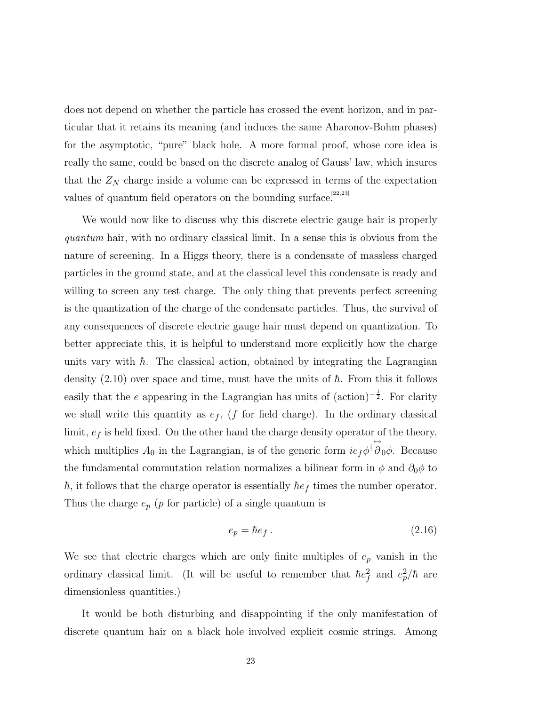does not depend on whether the particle has crossed the event horizon, and in particular that it retains its meaning (and induces the same Aharonov-Bohm phases) for the asymptotic, "pure" black hole. A more formal proof, whose core idea is really the same, could be based on the discrete analog of Gauss' law, which insures that the  $Z_N$  charge inside a volume can be expressed in terms of the expectation values of quantum field operators on the bounding surface.<sup>[22,23]</sup>

We would now like to discuss why this discrete electric gauge hair is properly quantum hair, with no ordinary classical limit. In a sense this is obvious from the nature of screening. In a Higgs theory, there is a condensate of massless charged particles in the ground state, and at the classical level this condensate is ready and willing to screen any test charge. The only thing that prevents perfect screening is the quantization of the charge of the condensate particles. Thus, the survival of any consequences of discrete electric gauge hair must depend on quantization. To better appreciate this, it is helpful to understand more explicitly how the charge units vary with  $\hbar$ . The classical action, obtained by integrating the Lagrangian density  $(2.10)$  over space and time, must have the units of  $\hbar$ . From this it follows easily that the e appearing in the Lagrangian has units of  $(\text{action})^{-\frac{1}{2}}$ . For clarity we shall write this quantity as  $e_f$ , (f for field charge). In the ordinary classical limit,  $e_f$  is held fixed. On the other hand the charge density operator of the theory, which multiplies  $A_0$  in the Lagrangian, is of the generic form  $ie_f\phi^{\dagger} \overleftrightarrow{\partial}_0 \phi$ . Because the fundamental commutation relation normalizes a bilinear form in  $\phi$  and  $\partial_0 \phi$  to  $\hbar$ , it follows that the charge operator is essentially  $\hbar e_f$  times the number operator. Thus the charge  $e_p$  (p for particle) of a single quantum is

$$
e_p = \hbar e_f. \tag{2.16}
$$

We see that electric charges which are only finite multiples of  $e_p$  vanish in the ordinary classical limit. (It will be useful to remember that  $\hbar e_f^2$  and  $e_p^2/\hbar$  are dimensionless quantities.)

It would be both disturbing and disappointing if the only manifestation of discrete quantum hair on a black hole involved explicit cosmic strings. Among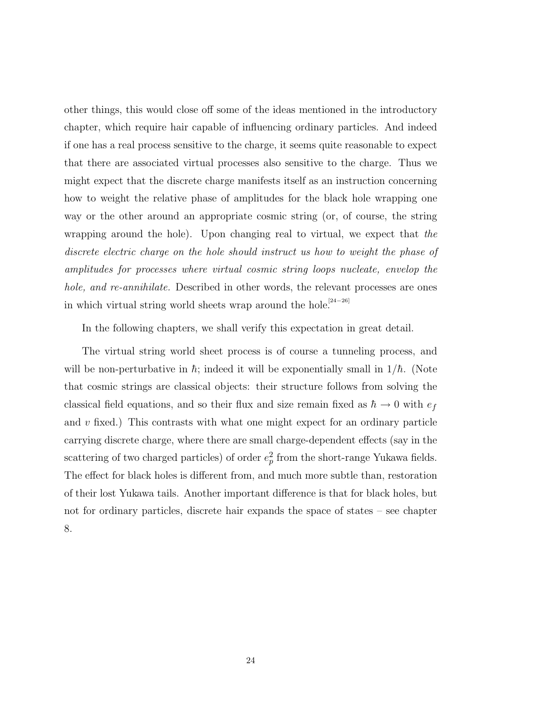other things, this would close off some of the ideas mentioned in the introductory chapter, which require hair capable of influencing ordinary particles. And indeed if one has a real process sensitive to the charge, it seems quite reasonable to expect that there are associated virtual processes also sensitive to the charge. Thus we might expect that the discrete charge manifests itself as an instruction concerning how to weight the relative phase of amplitudes for the black hole wrapping one way or the other around an appropriate cosmic string (or, of course, the string wrapping around the hole). Upon changing real to virtual, we expect that the discrete electric charge on the hole should instruct us how to weight the phase of amplitudes for processes where virtual cosmic string loops nucleate, envelop the hole, and re-annihilate. Described in other words, the relevant processes are ones in which virtual string world sheets wrap around the hole.<sup>[24−26]</sup>

In the following chapters, we shall verify this expectation in great detail.

The virtual string world sheet process is of course a tunneling process, and will be non-perturbative in  $\hbar$ ; indeed it will be exponentially small in  $1/\hbar$ . (Note that cosmic strings are classical objects: their structure follows from solving the classical field equations, and so their flux and size remain fixed as  $\hbar\to 0$  with  $e_f$ and  $v$  fixed.) This contrasts with what one might expect for an ordinary particle carrying discrete charge, where there are small charge-dependent effects (say in the scattering of two charged particles) of order  $e_p^2$  from the short-range Yukawa fields. The effect for black holes is different from, and much more subtle than, restoration of their lost Yukawa tails. Another important difference is that for black holes, but not for ordinary particles, discrete hair expands the space of states – see chapter 8.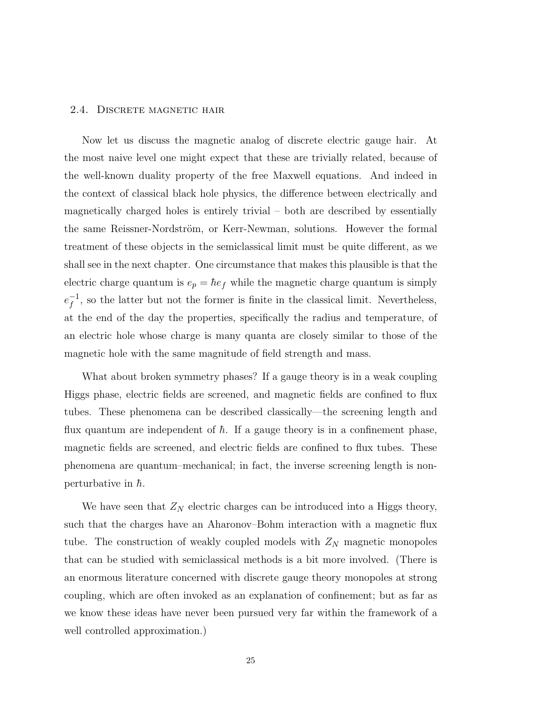#### 2.4. DISCRETE MAGNETIC HAIR

Now let us discuss the magnetic analog of discrete electric gauge hair. At the most naive level one might expect that these are trivially related, because of the well-known duality property of the free Maxwell equations. And indeed in the context of classical black hole physics, the difference between electrically and magnetically charged holes is entirely trivial – both are described by essentially the same Reissner-Nordström, or Kerr-Newman, solutions. However the formal treatment of these objects in the semiclassical limit must be quite different, as we shall see in the next chapter. One circumstance that makes this plausible is that the electric charge quantum is  $e_p = \hbar e_f$  while the magnetic charge quantum is simply  $e_f^{-1}$ , so the latter but not the former is finite in the classical limit. Nevertheless, at the end of the day the properties, specifically the radius and temperature, of an electric hole whose charge is many quanta are closely similar to those of the magnetic hole with the same magnitude of field strength and mass.

What about broken symmetry phases? If a gauge theory is in a weak coupling Higgs phase, electric fields are screened, and magnetic fields are confined to flux tubes. These phenomena can be described classically—the screening length and flux quantum are independent of  $\hbar$ . If a gauge theory is in a confinement phase, magnetic fields are screened, and electric fields are confined to flux tubes. These phenomena are quantum–mechanical; in fact, the inverse screening length is nonperturbative in  $\hbar$ .

We have seen that  $Z_N$  electric charges can be introduced into a Higgs theory, such that the charges have an Aharonov–Bohm interaction with a magnetic flux tube. The construction of weakly coupled models with  $Z_N$  magnetic monopoles that can be studied with semiclassical methods is a bit more involved. (There is an enormous literature concerned with discrete gauge theory monopoles at strong coupling, which are often invoked as an explanation of confinement; but as far as we know these ideas have never been pursued very far within the framework of a well controlled approximation.)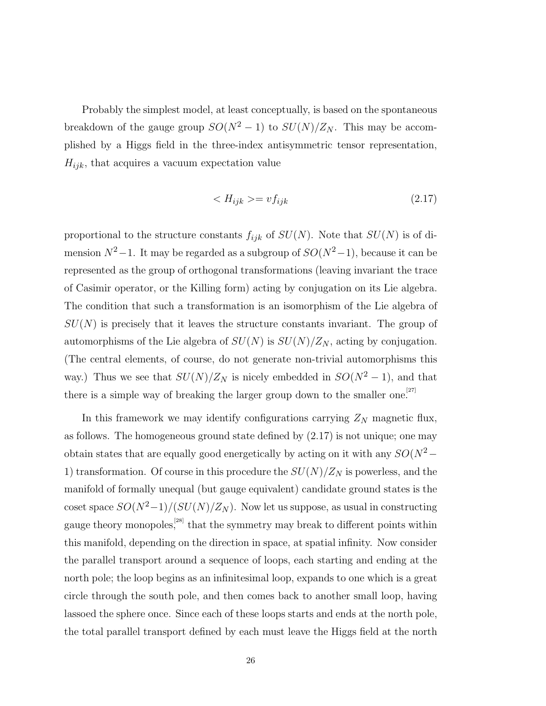Probably the simplest model, at least conceptually, is based on the spontaneous breakdown of the gauge group  $SO(N^2-1)$  to  $SU(N)/Z_N$ . This may be accomplished by a Higgs field in the three-index antisymmetric tensor representation,  $H_{ijk}$ , that acquires a vacuum expectation value

$$
\langle H_{ijk} \rangle = v f_{ijk} \tag{2.17}
$$

proportional to the structure constants  $f_{ijk}$  of  $SU(N)$ . Note that  $SU(N)$  is of dimension  $N^2-1$ . It may be regarded as a subgroup of  $SO(N^2-1)$ , because it can be represented as the group of orthogonal transformations (leaving invariant the trace of Casimir operator, or the Killing form) acting by conjugation on its Lie algebra. The condition that such a transformation is an isomorphism of the Lie algebra of  $SU(N)$  is precisely that it leaves the structure constants invariant. The group of automorphisms of the Lie algebra of  $SU(N)$  is  $SU(N)/Z_N$ , acting by conjugation. (The central elements, of course, do not generate non-trivial automorphisms this way.) Thus we see that  $SU(N)/Z_N$  is nicely embedded in  $SO(N^2-1)$ , and that there is a simple way of breaking the larger group down to the smaller one.<sup>[27]</sup>

In this framework we may identify configurations carrying  $Z_N$  magnetic flux, as follows. The homogeneous ground state defined by (2.17) is not unique; one may obtain states that are equally good energetically by acting on it with any  $SO(N^2-$ 1) transformation. Of course in this procedure the  $SU(N)/Z_N$  is powerless, and the manifold of formally unequal (but gauge equivalent) candidate ground states is the coset space  $SO(N^2-1)/(SU(N)/Z_N)$ . Now let us suppose, as usual in constructing gauge theory monopoles,<sup>[28]</sup> that the symmetry may break to different points within this manifold, depending on the direction in space, at spatial infinity. Now consider the parallel transport around a sequence of loops, each starting and ending at the north pole; the loop begins as an infinitesimal loop, expands to one which is a great circle through the south pole, and then comes back to another small loop, having lassoed the sphere once. Since each of these loops starts and ends at the north pole, the total parallel transport defined by each must leave the Higgs field at the north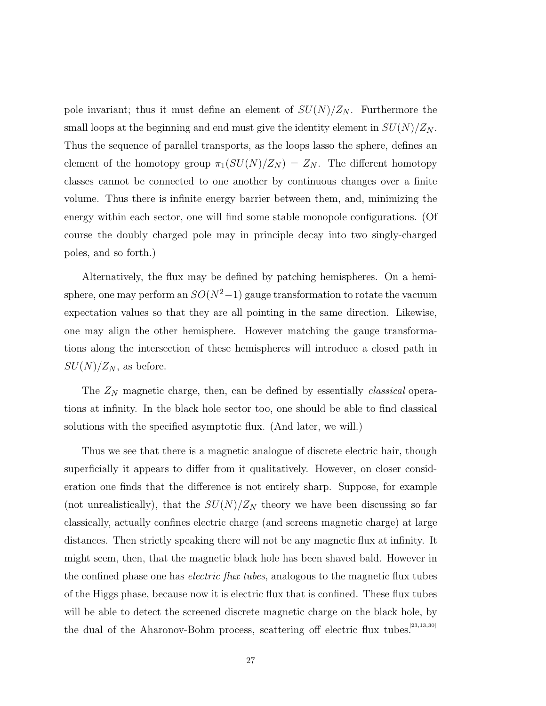pole invariant; thus it must define an element of  $SU(N)/Z_N$ . Furthermore the small loops at the beginning and end must give the identity element in  $SU(N)/Z_N$ . Thus the sequence of parallel transports, as the loops lasso the sphere, defines an element of the homotopy group  $\pi_1(SU(N)/Z_N) = Z_N$ . The different homotopy classes cannot be connected to one another by continuous changes over a finite volume. Thus there is infinite energy barrier between them, and, minimizing the energy within each sector, one will find some stable monopole configurations. (Of course the doubly charged pole may in principle decay into two singly-charged poles, and so forth.)

Alternatively, the flux may be defined by patching hemispheres. On a hemisphere, one may perform an  $SO(N^2-1)$  gauge transformation to rotate the vacuum expectation values so that they are all pointing in the same direction. Likewise, one may align the other hemisphere. However matching the gauge transformations along the intersection of these hemispheres will introduce a closed path in  $SU(N)/Z_N$ , as before.

The  $Z_N$  magnetic charge, then, can be defined by essentially *classical* operations at infinity. In the black hole sector too, one should be able to find classical solutions with the specified asymptotic flux. (And later, we will.)

Thus we see that there is a magnetic analogue of discrete electric hair, though superficially it appears to differ from it qualitatively. However, on closer consideration one finds that the difference is not entirely sharp. Suppose, for example (not unrealistically), that the  $SU(N)/Z_N$  theory we have been discussing so far classically, actually confines electric charge (and screens magnetic charge) at large distances. Then strictly speaking there will not be any magnetic flux at infinity. It might seem, then, that the magnetic black hole has been shaved bald. However in the confined phase one has *electric flux tubes*, analogous to the magnetic flux tubes of the Higgs phase, because now it is electric flux that is confined. These flux tubes will be able to detect the screened discrete magnetic charge on the black hole, by the dual of the Aharonov-Bohm process, scattering off electric flux tubes.<sup>[23,13,30]</sup>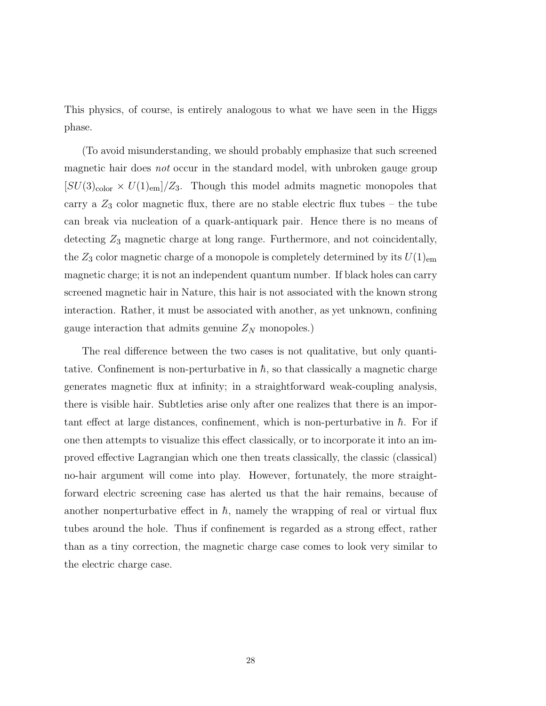This physics, of course, is entirely analogous to what we have seen in the Higgs phase.

(To avoid misunderstanding, we should probably emphasize that such screened magnetic hair does not occur in the standard model, with unbroken gauge group  $[SU(3)_{\text{color}} \times U(1)_{\text{em}}]/Z_3$ . Though this model admits magnetic monopoles that carry a  $Z_3$  color magnetic flux, there are no stable electric flux tubes – the tube can break via nucleation of a quark-antiquark pair. Hence there is no means of detecting  $Z_3$  magnetic charge at long range. Furthermore, and not coincidentally, the  $Z_3$  color magnetic charge of a monopole is completely determined by its  $U(1)_{\text{em}}$ magnetic charge; it is not an independent quantum number. If black holes can carry screened magnetic hair in Nature, this hair is not associated with the known strong interaction. Rather, it must be associated with another, as yet unknown, confining gauge interaction that admits genuine  $Z_N$  monopoles.)

The real difference between the two cases is not qualitative, but only quantitative. Confinement is non-perturbative in  $\hbar$ , so that classically a magnetic charge generates magnetic flux at infinity; in a straightforward weak-coupling analysis, there is visible hair. Subtleties arise only after one realizes that there is an important effect at large distances, confinement, which is non-perturbative in  $\hbar$ . For if one then attempts to visualize this effect classically, or to incorporate it into an improved effective Lagrangian which one then treats classically, the classic (classical) no-hair argument will come into play. However, fortunately, the more straightforward electric screening case has alerted us that the hair remains, because of another nonperturbative effect in  $\hbar$ , namely the wrapping of real or virtual flux tubes around the hole. Thus if confinement is regarded as a strong effect, rather than as a tiny correction, the magnetic charge case comes to look very similar to the electric charge case.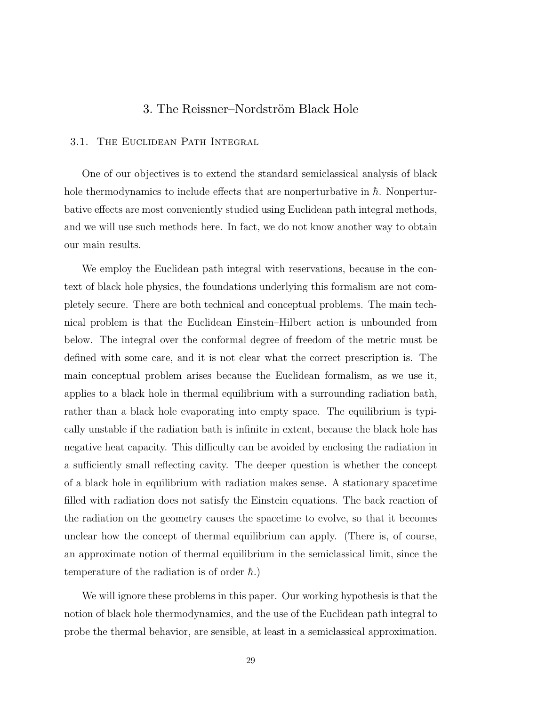# 3. The Reissner–Nordström Black Hole

## 3.1. The Euclidean Path Integral

One of our objectives is to extend the standard semiclassical analysis of black hole thermodynamics to include effects that are nonperturbative in  $\hbar$ . Nonperturbative effects are most conveniently studied using Euclidean path integral methods, and we will use such methods here. In fact, we do not know another way to obtain our main results.

We employ the Euclidean path integral with reservations, because in the context of black hole physics, the foundations underlying this formalism are not completely secure. There are both technical and conceptual problems. The main technical problem is that the Euclidean Einstein–Hilbert action is unbounded from below. The integral over the conformal degree of freedom of the metric must be defined with some care, and it is not clear what the correct prescription is. The main conceptual problem arises because the Euclidean formalism, as we use it, applies to a black hole in thermal equilibrium with a surrounding radiation bath, rather than a black hole evaporating into empty space. The equilibrium is typically unstable if the radiation bath is infinite in extent, because the black hole has negative heat capacity. This difficulty can be avoided by enclosing the radiation in a sufficiently small reflecting cavity. The deeper question is whether the concept of a black hole in equilibrium with radiation makes sense. A stationary spacetime filled with radiation does not satisfy the Einstein equations. The back reaction of the radiation on the geometry causes the spacetime to evolve, so that it becomes unclear how the concept of thermal equilibrium can apply. (There is, of course, an approximate notion of thermal equilibrium in the semiclassical limit, since the temperature of the radiation is of order  $\hbar$ .)

We will ignore these problems in this paper. Our working hypothesis is that the notion of black hole thermodynamics, and the use of the Euclidean path integral to probe the thermal behavior, are sensible, at least in a semiclassical approximation.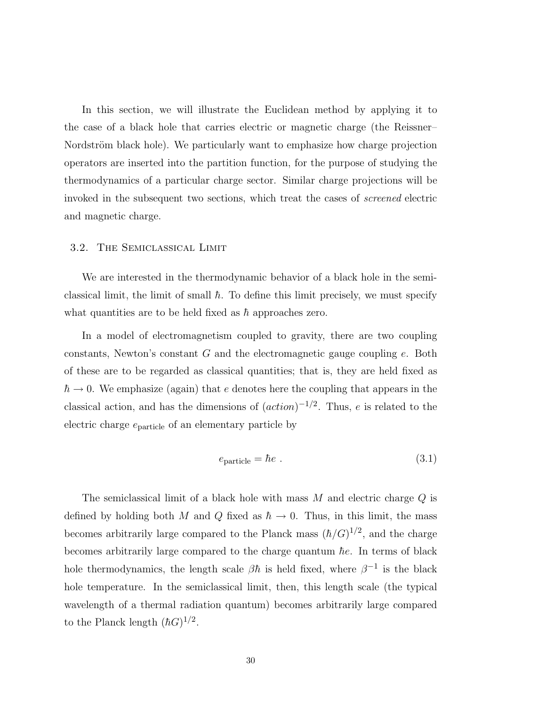In this section, we will illustrate the Euclidean method by applying it to the case of a black hole that carries electric or magnetic charge (the Reissner– Nordström black hole). We particularly want to emphasize how charge projection operators are inserted into the partition function, for the purpose of studying the thermodynamics of a particular charge sector. Similar charge projections will be invoked in the subsequent two sections, which treat the cases of screened electric and magnetic charge.

#### 3.2. The Semiclassical Limit

We are interested in the thermodynamic behavior of a black hole in the semiclassical limit, the limit of small  $\hbar$ . To define this limit precisely, we must specify what quantities are to be held fixed as  $\hbar$  approaches zero.

In a model of electromagnetism coupled to gravity, there are two coupling constants, Newton's constant  $G$  and the electromagnetic gauge coupling  $e$ . Both of these are to be regarded as classical quantities; that is, they are held fixed as  $\hbar \rightarrow 0$ . We emphasize (again) that e denotes here the coupling that appears in the classical action, and has the dimensions of  $(\text{action})^{-1/2}$ . Thus, e is related to the electric charge  $e_{\text{particle}}$  of an elementary particle by

$$
e_{\text{particle}} = \hbar e \tag{3.1}
$$

The semiclassical limit of a black hole with mass M and electric charge Q is defined by holding both M and Q fixed as  $\hbar \to 0$ . Thus, in this limit, the mass becomes arbitrarily large compared to the Planck mass  $(\hbar/G)^{1/2}$ , and the charge becomes arbitrarily large compared to the charge quantum  $\hbar e$ . In terms of black hole thermodynamics, the length scale  $\beta \hbar$  is held fixed, where  $\beta^{-1}$  is the black hole temperature. In the semiclassical limit, then, this length scale (the typical wavelength of a thermal radiation quantum) becomes arbitrarily large compared to the Planck length  $(\hbar G)^{1/2}$ .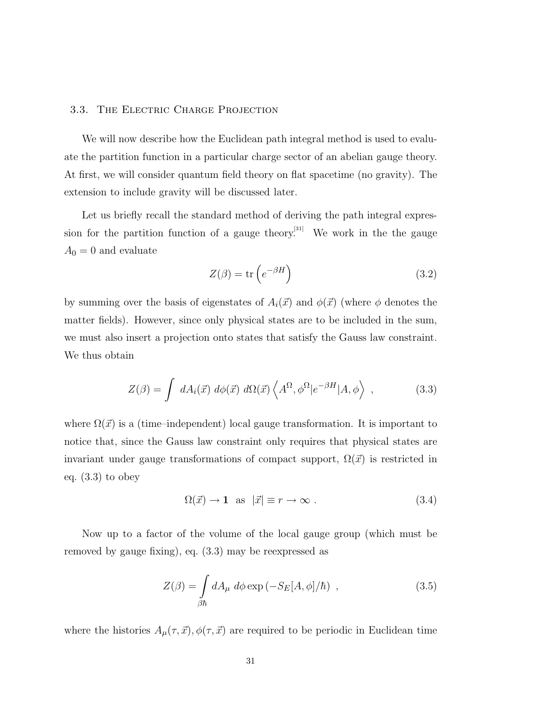#### 3.3. The Electric Charge Projection

We will now describe how the Euclidean path integral method is used to evaluate the partition function in a particular charge sector of an abelian gauge theory. At first, we will consider quantum field theory on flat spacetime (no gravity). The extension to include gravity will be discussed later.

Let us briefly recall the standard method of deriving the path integral expression for the partition function of a gauge theory.<sup>[31]</sup> We work in the the gauge  $A_0 = 0$  and evaluate

$$
Z(\beta) = \text{tr}\left(e^{-\beta H}\right) \tag{3.2}
$$

by summing over the basis of eigenstates of  $A_i(\vec{x})$  and  $\phi(\vec{x})$  (where  $\phi$  denotes the matter fields). However, since only physical states are to be included in the sum, we must also insert a projection onto states that satisfy the Gauss law constraint. We thus obtain

$$
Z(\beta) = \int dA_i(\vec{x}) d\phi(\vec{x}) d\Omega(\vec{x}) \left\langle A^{\Omega}, \phi^{\Omega} | e^{-\beta H} | A, \phi \right\rangle , \qquad (3.3)
$$

where  $\Omega(\vec{x})$  is a (time–independent) local gauge transformation. It is important to notice that, since the Gauss law constraint only requires that physical states are invariant under gauge transformations of compact support,  $\Omega(\vec{x})$  is restricted in eq.  $(3.3)$  to obey

$$
\Omega(\vec{x}) \to \mathbf{1} \text{ as } |\vec{x}| \equiv r \to \infty. \tag{3.4}
$$

Now up to a factor of the volume of the local gauge group (which must be removed by gauge fixing), eq. (3.3) may be reexpressed as

$$
Z(\beta) = \int_{\beta \hbar} dA_{\mu} d\phi \exp(-S_E[A, \phi]/\hbar) , \qquad (3.5)
$$

where the histories  $A_{\mu}(\tau,\vec{x}), \phi(\tau,\vec{x})$  are required to be periodic in Euclidean time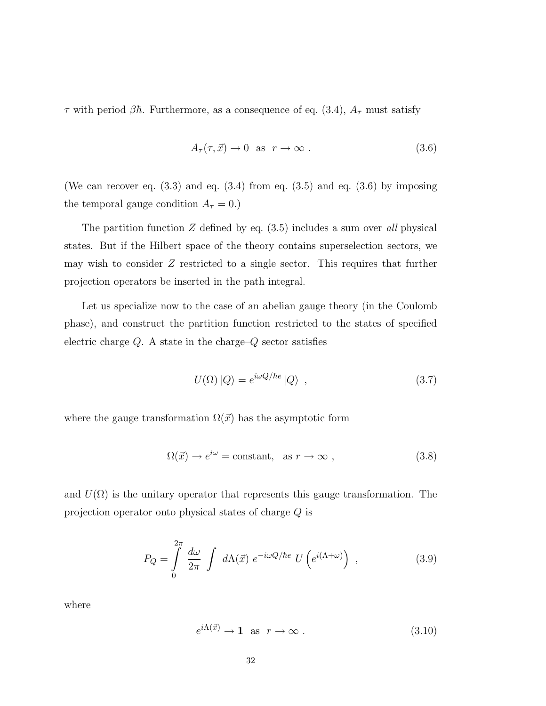τ with period βh. Furthermore, as a consequence of eq. (3.4),  $A<sub>τ</sub>$  must satisfy

$$
A_{\tau}(\tau, \vec{x}) \to 0 \quad \text{as} \quad r \to \infty \tag{3.6}
$$

(We can recover eq.  $(3.3)$  and eq.  $(3.4)$  from eq.  $(3.5)$  and eq.  $(3.6)$  by imposing the temporal gauge condition  $A_{\tau} = 0.$ )

The partition function  $Z$  defined by eq.  $(3.5)$  includes a sum over all physical states. But if the Hilbert space of the theory contains superselection sectors, we may wish to consider Z restricted to a single sector. This requires that further projection operators be inserted in the path integral.

Let us specialize now to the case of an abelian gauge theory (in the Coulomb phase), and construct the partition function restricted to the states of specified electric charge  $Q$ . A state in the charge– $Q$  sector satisfies

$$
U(\Omega) |Q\rangle = e^{i\omega Q/\hbar e} |Q\rangle , \qquad (3.7)
$$

where the gauge transformation  $\Omega(\vec{x})$  has the asymptotic form

$$
\Omega(\vec{x}) \to e^{i\omega} = \text{constant}, \text{ as } r \to \infty ,
$$
\n(3.8)

and  $U(\Omega)$  is the unitary operator that represents this gauge transformation. The projection operator onto physical states of charge Q is

$$
P_Q = \int_{0}^{2\pi} \frac{d\omega}{2\pi} \int d\Lambda(\vec{x}) e^{-i\omega Q/\hbar e} U\left(e^{i(\Lambda+\omega)}\right) , \qquad (3.9)
$$

where

$$
e^{i\Lambda(\vec{x})} \to \mathbf{1} \text{ as } r \to \infty. \tag{3.10}
$$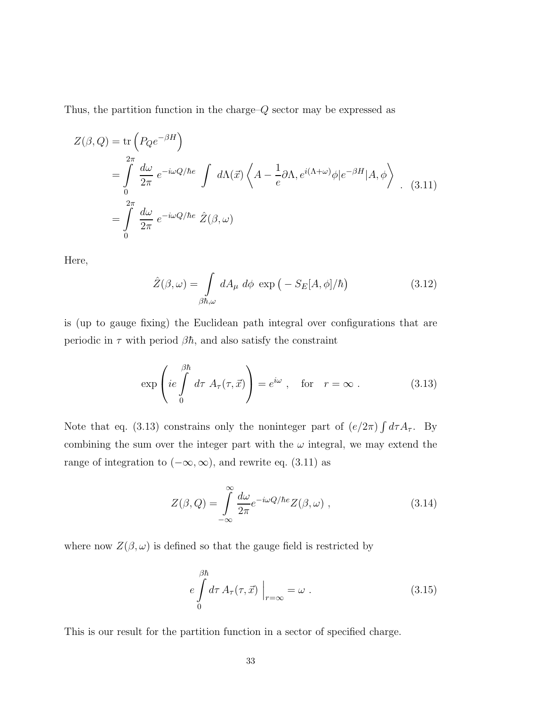Thus, the partition function in the charge– $Q$  sector may be expressed as

$$
Z(\beta, Q) = \text{tr}\left(P_{Q}e^{-\beta H}\right)
$$
  
=  $\int_{0}^{2\pi} \frac{d\omega}{2\pi} e^{-i\omega Q/\hbar e} \int d\Lambda(\vec{x}) \left\langle A - \frac{1}{e} \partial \Lambda, e^{i(\Lambda + \omega)} \phi | e^{-\beta H} | A, \phi \right\rangle$  (3.11)  
=  $\int_{0}^{2\pi} \frac{d\omega}{2\pi} e^{-i\omega Q/\hbar e} \hat{Z}(\beta, \omega)$ 

Here,

$$
\hat{Z}(\beta,\omega) = \int_{\beta\hbar,\omega} dA_{\mu} d\phi \exp\left(-S_{E}[A,\phi]/\hbar\right)
$$
(3.12)

is (up to gauge fixing) the Euclidean path integral over configurations that are periodic in  $\tau$  with period  $\beta\hbar$ , and also satisfy the constraint

$$
\exp\left(i e \int_{0}^{\beta \hbar} d\tau \, A_{\tau}(\tau, \vec{x})\right) = e^{i \omega} , \quad \text{for} \quad r = \infty . \tag{3.13}
$$

Note that eq. (3.13) constrains only the noninteger part of  $(e/2\pi) \int d\tau A_{\tau}$ . By combining the sum over the integer part with the  $\omega$  integral, we may extend the range of integration to  $(-\infty, \infty)$ , and rewrite eq. (3.11) as

$$
Z(\beta, Q) = \int_{-\infty}^{\infty} \frac{d\omega}{2\pi} e^{-i\omega Q/\hbar e} Z(\beta, \omega) , \qquad (3.14)
$$

where now  $Z(\beta,\omega)$  is defined so that the gauge field is restricted by

$$
e \int_{0}^{\beta \hbar} d\tau \, A_{\tau}(\tau, \vec{x}) \Big|_{r=\infty} = \omega . \tag{3.15}
$$

This is our result for the partition function in a sector of specified charge.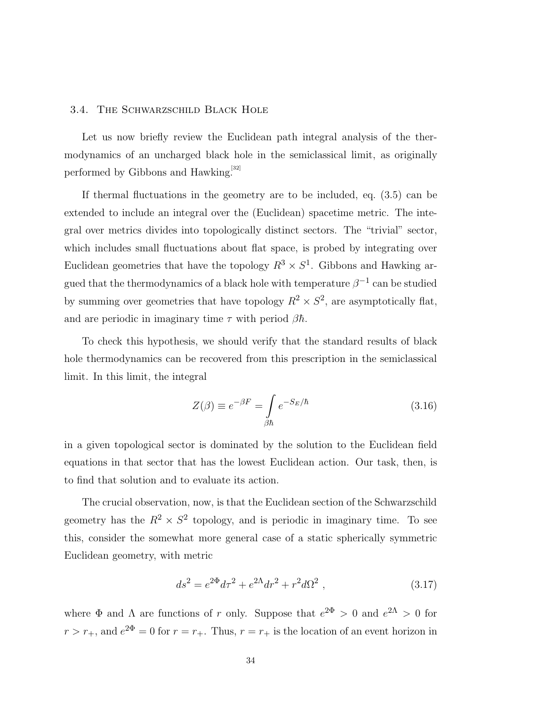#### 3.4. The Schwarzschild Black Hole

Let us now briefly review the Euclidean path integral analysis of the thermodynamics of an uncharged black hole in the semiclassical limit, as originally performed by Gibbons and Hawking.<sup>[32]</sup>

If thermal fluctuations in the geometry are to be included, eq. (3.5) can be extended to include an integral over the (Euclidean) spacetime metric. The integral over metrics divides into topologically distinct sectors. The "trivial" sector, which includes small fluctuations about flat space, is probed by integrating over Euclidean geometries that have the topology  $R^3 \times S^1$ . Gibbons and Hawking argued that the thermodynamics of a black hole with temperature  $\beta^{-1}$  can be studied by summing over geometries that have topology  $R^2 \times S^2$ , are asymptotically flat, and are periodic in imaginary time  $\tau$  with period  $\beta \hbar$ .

To check this hypothesis, we should verify that the standard results of black hole thermodynamics can be recovered from this prescription in the semiclassical limit. In this limit, the integral

$$
Z(\beta) \equiv e^{-\beta F} = \int_{\beta \hbar} e^{-S_E/\hbar}
$$
 (3.16)

in a given topological sector is dominated by the solution to the Euclidean field equations in that sector that has the lowest Euclidean action. Our task, then, is to find that solution and to evaluate its action.

The crucial observation, now, is that the Euclidean section of the Schwarzschild geometry has the  $R^2 \times S^2$  topology, and is periodic in imaginary time. To see this, consider the somewhat more general case of a static spherically symmetric Euclidean geometry, with metric

$$
ds^{2} = e^{2\Phi}d\tau^{2} + e^{2\Lambda}dr^{2} + r^{2}d\Omega^{2} , \qquad (3.17)
$$

where  $\Phi$  and  $\Lambda$  are functions of r only. Suppose that  $e^{2\Phi} > 0$  and  $e^{2\Lambda} > 0$  for  $r > r_+$ , and  $e^{2\Phi} = 0$  for  $r = r_+$ . Thus,  $r = r_+$  is the location of an event horizon in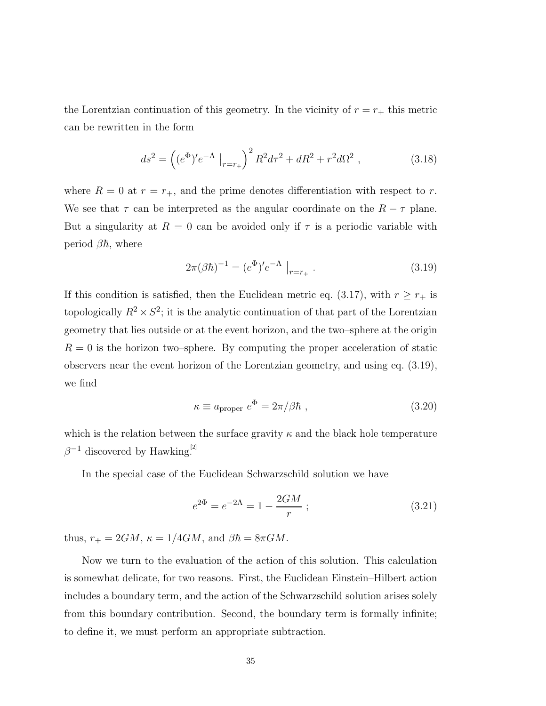the Lorentzian continuation of this geometry. In the vicinity of  $r = r_+$  this metric can be rewritten in the form

$$
ds^{2} = \left( (e^{\Phi})' e^{-\Lambda} \Big|_{r=r_{+}} \right)^{2} R^{2} d\tau^{2} + dR^{2} + r^{2} d\Omega^{2} , \qquad (3.18)
$$

where  $R = 0$  at  $r = r_{+}$ , and the prime denotes differentiation with respect to r. We see that  $\tau$  can be interpreted as the angular coordinate on the  $R - \tau$  plane. But a singularity at  $R = 0$  can be avoided only if  $\tau$  is a periodic variable with period  $\beta\hbar$ , where

$$
2\pi(\beta\hbar)^{-1} = (e^{\Phi})' e^{-\Lambda} \big|_{r=r_+} . \tag{3.19}
$$

If this condition is satisfied, then the Euclidean metric eq. (3.17), with  $r \ge r_+$  is topologically  $R^2 \times S^2$ ; it is the analytic continuation of that part of the Lorentzian geometry that lies outside or at the event horizon, and the two–sphere at the origin  $R = 0$  is the horizon two–sphere. By computing the proper acceleration of static observers near the event horizon of the Lorentzian geometry, and using eq. (3.19), we find

$$
\kappa \equiv a_{\text{proper}} \ e^{\Phi} = 2\pi/\beta \hbar \ , \qquad (3.20)
$$

which is the relation between the surface gravity  $\kappa$  and the black hole temperature  $\beta^{-1}$  discovered by Hawking.<sup>[2]</sup>

In the special case of the Euclidean Schwarzschild solution we have

$$
e^{2\Phi} = e^{-2\Lambda} = 1 - \frac{2GM}{r} ; \qquad (3.21)
$$

thus,  $r_+ = 2GM, \, \kappa = 1/4GM,$  and  $\beta \hbar = 8\pi GM.$ 

Now we turn to the evaluation of the action of this solution. This calculation is somewhat delicate, for two reasons. First, the Euclidean Einstein–Hilbert action includes a boundary term, and the action of the Schwarzschild solution arises solely from this boundary contribution. Second, the boundary term is formally infinite; to define it, we must perform an appropriate subtraction.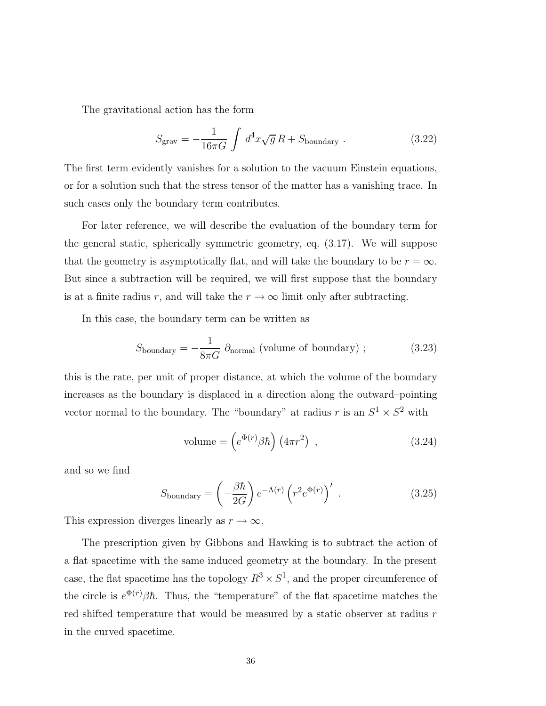The gravitational action has the form

$$
S_{\text{grav}} = -\frac{1}{16\pi G} \int d^4x \sqrt{g} R + S_{\text{boundary}} . \qquad (3.22)
$$

The first term evidently vanishes for a solution to the vacuum Einstein equations, or for a solution such that the stress tensor of the matter has a vanishing trace. In such cases only the boundary term contributes.

For later reference, we will describe the evaluation of the boundary term for the general static, spherically symmetric geometry, eq. (3.17). We will suppose that the geometry is asymptotically flat, and will take the boundary to be  $r = \infty$ . But since a subtraction will be required, we will first suppose that the boundary is at a finite radius r, and will take the  $r \to \infty$  limit only after subtracting.

In this case, the boundary term can be written as

$$
S_{\text{boundary}} = -\frac{1}{8\pi G} \partial_{\text{normal}} \text{ (volume of boundary)} ; \qquad (3.23)
$$

this is the rate, per unit of proper distance, at which the volume of the boundary increases as the boundary is displaced in a direction along the outward–pointing vector normal to the boundary. The "boundary" at radius r is an  $S^1 \times S^2$  with

$$
volume = \left(e^{\Phi(r)}\beta\hbar\right)\left(4\pi r^2\right) ,\qquad (3.24)
$$

and so we find

$$
S_{\text{boundary}} = \left(-\frac{\beta \hbar}{2G}\right) e^{-\Lambda(r)} \left(r^2 e^{\Phi(r)}\right)' \,. \tag{3.25}
$$

This expression diverges linearly as  $r \to \infty$ .

The prescription given by Gibbons and Hawking is to subtract the action of a flat spacetime with the same induced geometry at the boundary. In the present case, the flat spacetime has the topology  $R^3 \times S^1$ , and the proper circumference of the circle is  $e^{\Phi(r)}\beta\hbar$ . Thus, the "temperature" of the flat spacetime matches the red shifted temperature that would be measured by a static observer at radius r in the curved spacetime.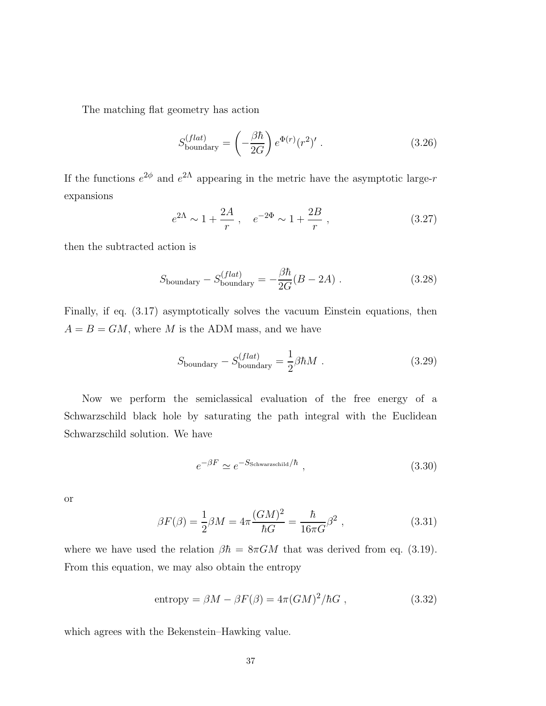The matching flat geometry has action

$$
S_{\text{boundary}}^{(flat)} = \left(-\frac{\beta \hbar}{2G}\right) e^{\Phi(r)} (r^2)' \tag{3.26}
$$

If the functions  $e^{2\phi}$  and  $e^{2\Lambda}$  appearing in the metric have the asymptotic large-r expansions

$$
e^{2\Lambda} \sim 1 + \frac{2A}{r}
$$
,  $e^{-2\Phi} \sim 1 + \frac{2B}{r}$ , (3.27)

then the subtracted action is

$$
S_{\text{boundary}} - S_{\text{boundary}}^{(flat)} = -\frac{\beta \hbar}{2G} (B - 2A) \tag{3.28}
$$

Finally, if eq. (3.17) asymptotically solves the vacuum Einstein equations, then  $A = B = GM$ , where M is the ADM mass, and we have

$$
S_{\text{boundary}} - S_{\text{boundary}}^{(flat)} = \frac{1}{2} \beta \hbar M \ . \tag{3.29}
$$

Now we perform the semiclassical evaluation of the free energy of a Schwarzschild black hole by saturating the path integral with the Euclidean Schwarzschild solution. We have

$$
e^{-\beta F} \simeq e^{-S_{\text{Schwarzschild}}/\hbar} \;, \tag{3.30}
$$

or

$$
\beta F(\beta) = \frac{1}{2}\beta M = 4\pi \frac{(GM)^2}{\hbar G} = \frac{\hbar}{16\pi G} \beta^2 , \qquad (3.31)
$$

where we have used the relation  $\beta \hbar = 8\pi GM$  that was derived from eq. (3.19). From this equation, we may also obtain the entropy

entropy = 
$$
\beta M - \beta F(\beta) = 4\pi (GM)^2/\hbar G
$$
, (3.32)

which agrees with the Bekenstein–Hawking value.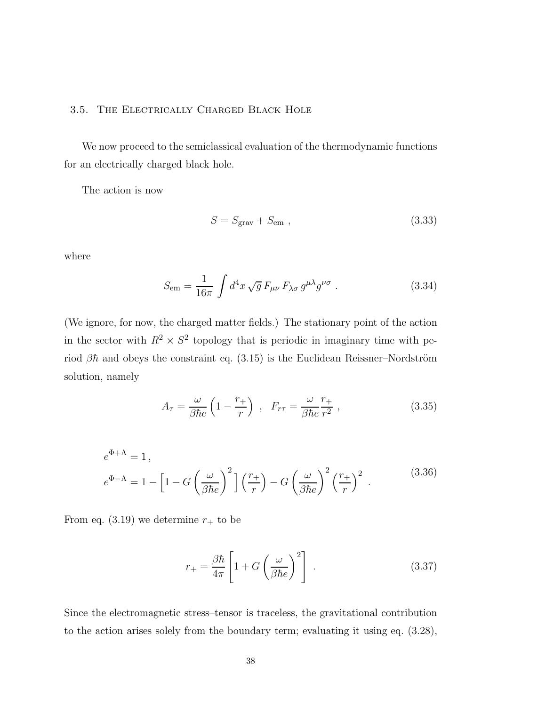## 3.5. The Electrically Charged Black Hole

We now proceed to the semiclassical evaluation of the thermodynamic functions for an electrically charged black hole.

The action is now

$$
S = S_{\text{grav}} + S_{\text{em}} \,, \tag{3.33}
$$

where

$$
S_{\rm em} = \frac{1}{16\pi} \int d^4x \sqrt{g} F_{\mu\nu} F_{\lambda\sigma} g^{\mu\lambda} g^{\nu\sigma} . \tag{3.34}
$$

(We ignore, for now, the charged matter fields.) The stationary point of the action in the sector with  $R^2 \times S^2$  topology that is periodic in imaginary time with period  $\beta \hbar$  and obeys the constraint eq. (3.15) is the Euclidean Reissner–Nordström solution, namely

$$
A_{\tau} = \frac{\omega}{\beta \hbar e} \left( 1 - \frac{r_+}{r} \right) , \quad F_{r\tau} = \frac{\omega}{\beta \hbar e} \frac{r_+}{r^2} , \tag{3.35}
$$

$$
e^{\Phi + \Lambda} = 1,
$$
  

$$
e^{\Phi - \Lambda} = 1 - \left[1 - G\left(\frac{\omega}{\beta \hbar e}\right)^2\right] \left(\frac{r_+}{r}\right) - G\left(\frac{\omega}{\beta \hbar e}\right)^2 \left(\frac{r_+}{r}\right)^2.
$$
 (3.36)

From eq. (3.19) we determine  $r_{+}$  to be

$$
r_{+} = \frac{\beta \hbar}{4\pi} \left[ 1 + G \left( \frac{\omega}{\beta \hbar e} \right)^{2} \right] \tag{3.37}
$$

Since the electromagnetic stress–tensor is traceless, the gravitational contribution to the action arises solely from the boundary term; evaluating it using eq. (3.28),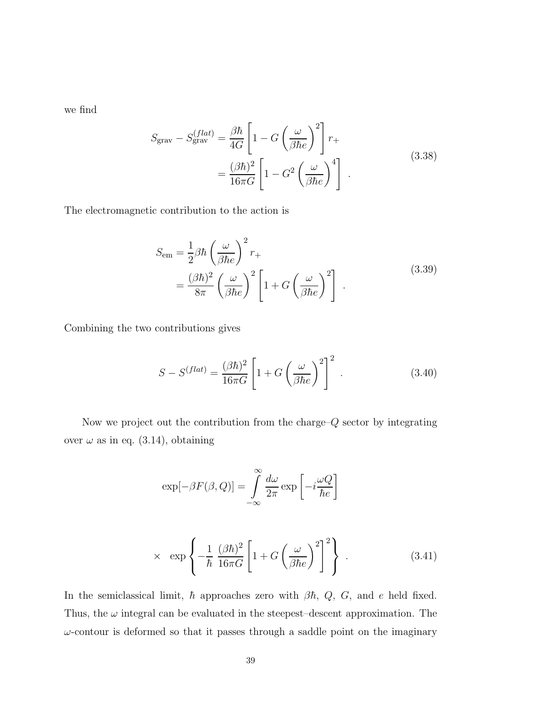we find

$$
S_{\text{grav}} - S_{\text{grav}}^{(flat)} = \frac{\beta \hbar}{4G} \left[ 1 - G \left( \frac{\omega}{\beta \hbar e} \right)^2 \right] r_+
$$
  
= 
$$
\frac{(\beta \hbar)^2}{16\pi G} \left[ 1 - G^2 \left( \frac{\omega}{\beta \hbar e} \right)^4 \right] .
$$
 (3.38)

The electromagnetic contribution to the action is

$$
S_{\text{em}} = \frac{1}{2} \beta \hbar \left(\frac{\omega}{\beta \hbar e}\right)^2 r_+
$$
  
= 
$$
\frac{(\beta \hbar)^2}{8\pi} \left(\frac{\omega}{\beta \hbar e}\right)^2 \left[1 + G\left(\frac{\omega}{\beta \hbar e}\right)^2\right].
$$
 (3.39)

Combining the two contributions gives

$$
S - S^{(flat)} = \frac{(\beta \hbar)^2}{16\pi G} \left[ 1 + G \left( \frac{\omega}{\beta \hbar e} \right)^2 \right]^2 \,. \tag{3.40}
$$

Now we project out the contribution from the charge– $Q$  sector by integrating over  $\omega$  as in eq. (3.14), obtaining

$$
\exp[-\beta F(\beta, Q)] = \int_{-\infty}^{\infty} \frac{d\omega}{2\pi} \exp\left[-i\frac{\omega Q}{\hbar e}\right]
$$

$$
\times \exp\left\{-\frac{1}{\hbar} \frac{(\beta \hbar)^2}{16\pi G} \left[1 + G\left(\frac{\omega}{\beta \hbar e}\right)^2\right]^2\right\}.
$$
(3.41)

In the semiclassical limit,  $\hbar$  approaches zero with  $\beta \hbar$ ,  $Q$ ,  $G$ , and e held fixed. Thus, the  $\omega$  integral can be evaluated in the steepest–descent approximation. The  $\omega$ -contour is deformed so that it passes through a saddle point on the imaginary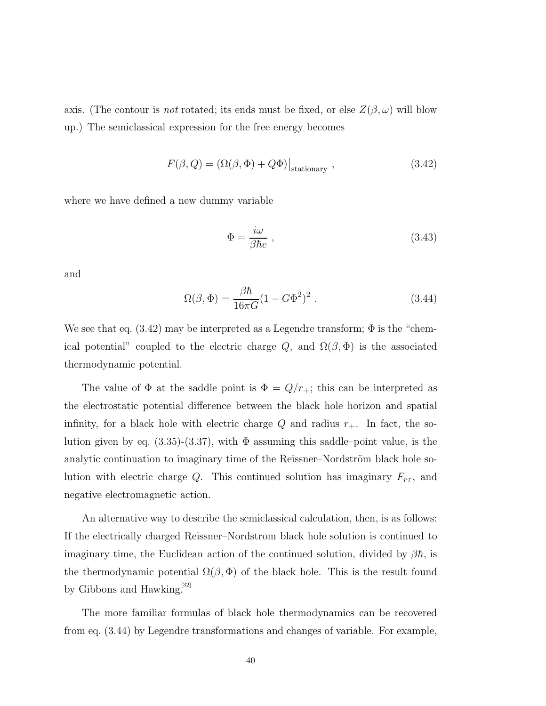axis. (The contour is *not* rotated; its ends must be fixed, or else  $Z(\beta,\omega)$  will blow up.) The semiclassical expression for the free energy becomes

$$
F(\beta, Q) = (\Omega(\beta, \Phi) + Q\Phi)|_{\text{stationary}} , \qquad (3.42)
$$

where we have defined a new dummy variable

$$
\Phi = \frac{i\omega}{\beta\hbar e} \,,\tag{3.43}
$$

and

$$
\Omega(\beta, \Phi) = \frac{\beta \hbar}{16\pi G} (1 - G\Phi^2)^2 . \qquad (3.44)
$$

We see that eq.  $(3.42)$  may be interpreted as a Legendre transform;  $\Phi$  is the "chemical potential" coupled to the electric charge  $Q$ , and  $\Omega(\beta, \Phi)$  is the associated thermodynamic potential.

The value of  $\Phi$  at the saddle point is  $\Phi = Q/r_+$ ; this can be interpreted as the electrostatic potential difference between the black hole horizon and spatial infinity, for a black hole with electric charge  $Q$  and radius  $r_{+}$ . In fact, the solution given by eq.  $(3.35)-(3.37)$ , with  $\Phi$  assuming this saddle–point value, is the analytic continuation to imaginary time of the Reissner–Nordström black hole solution with electric charge Q. This continued solution has imaginary  $F_{r\tau}$ , and negative electromagnetic action.

An alternative way to describe the semiclassical calculation, then, is as follows: If the electrically charged Reissner–Nordstrom black hole solution is continued to imaginary time, the Euclidean action of the continued solution, divided by  $\beta \hbar$ , is the thermodynamic potential  $\Omega(\beta, \Phi)$  of the black hole. This is the result found by Gibbons and Hawking. $^{[32]}$ 

The more familiar formulas of black hole thermodynamics can be recovered from eq. (3.44) by Legendre transformations and changes of variable. For example,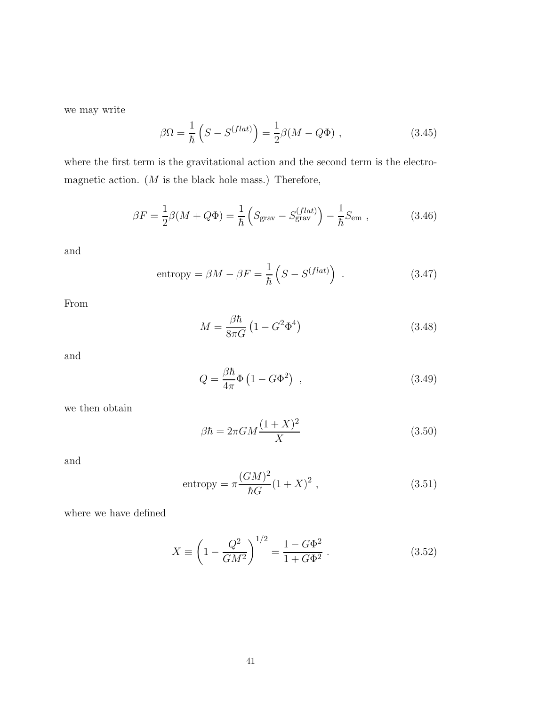we may write

$$
\beta \Omega = \frac{1}{\hbar} \left( S - S^{(flat)} \right) = \frac{1}{2} \beta (M - Q\Phi) , \qquad (3.45)
$$

where the first term is the gravitational action and the second term is the electromagnetic action.  $(M \text{ is the black hole mass.})$  Therefore,

$$
\beta F = \frac{1}{2}\beta(M + Q\Phi) = \frac{1}{\hbar} \left( S_{\text{grav}} - S_{\text{grav}}^{(flat)} \right) - \frac{1}{\hbar} S_{\text{em}} , \qquad (3.46)
$$

and

entropy = 
$$
\beta M - \beta F = \frac{1}{\hbar} \left( S - S^{(flat)} \right)
$$
. (3.47)

From

$$
M = \frac{\beta \hbar}{8\pi G} \left( 1 - G^2 \Phi^4 \right) \tag{3.48}
$$

and

$$
Q = \frac{\beta \hbar}{4\pi} \Phi \left( 1 - G \Phi^2 \right) , \qquad (3.49)
$$

we then obtain

$$
\beta \hbar = 2\pi GM \frac{(1+X)^2}{X} \tag{3.50}
$$

and

entropy = 
$$
\pi \frac{(GM)^2}{\hbar G} (1+X)^2
$$
, (3.51)

where we have defined

$$
X \equiv \left(1 - \frac{Q^2}{GM^2}\right)^{1/2} = \frac{1 - G\Phi^2}{1 + G\Phi^2} \,. \tag{3.52}
$$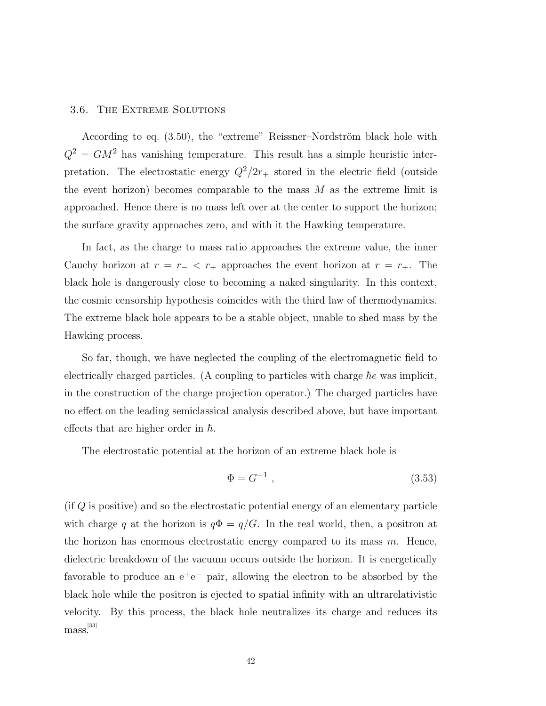#### 3.6. The Extreme Solutions

According to eq.  $(3.50)$ , the "extreme" Reissner–Nordström black hole with  $Q^2 = GM^2$  has vanishing temperature. This result has a simple heuristic interpretation. The electrostatic energy  $Q^2/2r_+$  stored in the electric field (outside the event horizon) becomes comparable to the mass  $M$  as the extreme limit is approached. Hence there is no mass left over at the center to support the horizon; the surface gravity approaches zero, and with it the Hawking temperature.

In fact, as the charge to mass ratio approaches the extreme value, the inner Cauchy horizon at  $r = r_+ < r_+$  approaches the event horizon at  $r = r_+$ . The black hole is dangerously close to becoming a naked singularity. In this context, the cosmic censorship hypothesis coincides with the third law of thermodynamics. The extreme black hole appears to be a stable object, unable to shed mass by the Hawking process.

So far, though, we have neglected the coupling of the electromagnetic field to electrically charged particles. (A coupling to particles with charge  $\hbar e$  was implicit, in the construction of the charge projection operator.) The charged particles have no effect on the leading semiclassical analysis described above, but have important effects that are higher order in  $\hbar$ .

The electrostatic potential at the horizon of an extreme black hole is

$$
\Phi = G^{-1} \tag{3.53}
$$

(if  $Q$  is positive) and so the electrostatic potential energy of an elementary particle with charge q at the horizon is  $q\Phi = q/G$ . In the real world, then, a positron at the horizon has enormous electrostatic energy compared to its mass  $m$ . Hence, dielectric breakdown of the vacuum occurs outside the horizon. It is energetically favorable to produce an  $e^+e^-$  pair, allowing the electron to be absorbed by the black hole while the positron is ejected to spatial infinity with an ultrarelativistic velocity. By this process, the black hole neutralizes its charge and reduces its mass. [33]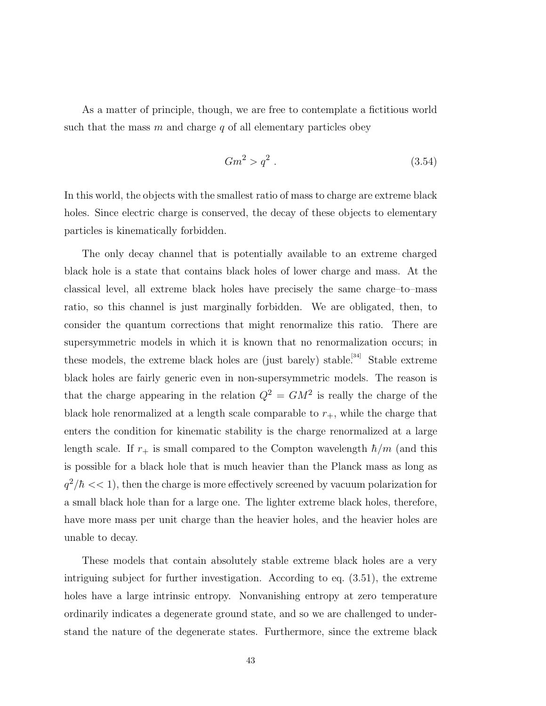As a matter of principle, though, we are free to contemplate a fictitious world such that the mass  $m$  and charge  $q$  of all elementary particles obey

$$
Gm^2 > q^2 \tag{3.54}
$$

In this world, the objects with the smallest ratio of mass to charge are extreme black holes. Since electric charge is conserved, the decay of these objects to elementary particles is kinematically forbidden.

The only decay channel that is potentially available to an extreme charged black hole is a state that contains black holes of lower charge and mass. At the classical level, all extreme black holes have precisely the same charge–to–mass ratio, so this channel is just marginally forbidden. We are obligated, then, to consider the quantum corrections that might renormalize this ratio. There are supersymmetric models in which it is known that no renormalization occurs; in these models, the extreme black holes are (just barely) stable.<sup>[34]</sup> Stable extreme black holes are fairly generic even in non-supersymmetric models. The reason is that the charge appearing in the relation  $Q^2 = GM^2$  is really the charge of the black hole renormalized at a length scale comparable to  $r_{+}$ , while the charge that enters the condition for kinematic stability is the charge renormalized at a large length scale. If  $r_+$  is small compared to the Compton wavelength  $\hbar/m$  (and this is possible for a black hole that is much heavier than the Planck mass as long as  $q^2/\hbar \ll 1$ , then the charge is more effectively screened by vacuum polarization for a small black hole than for a large one. The lighter extreme black holes, therefore, have more mass per unit charge than the heavier holes, and the heavier holes are unable to decay.

These models that contain absolutely stable extreme black holes are a very intriguing subject for further investigation. According to eq. (3.51), the extreme holes have a large intrinsic entropy. Nonvanishing entropy at zero temperature ordinarily indicates a degenerate ground state, and so we are challenged to understand the nature of the degenerate states. Furthermore, since the extreme black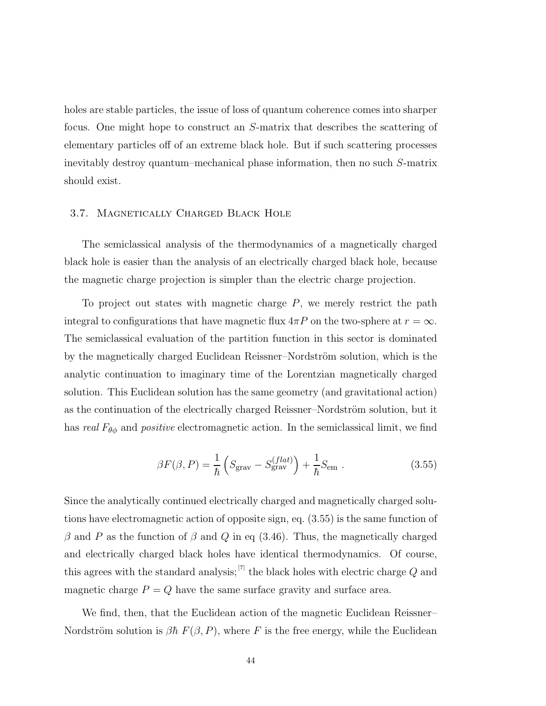holes are stable particles, the issue of loss of quantum coherence comes into sharper focus. One might hope to construct an S-matrix that describes the scattering of elementary particles off of an extreme black hole. But if such scattering processes inevitably destroy quantum–mechanical phase information, then no such S-matrix should exist.

#### 3.7. Magnetically Charged Black Hole

The semiclassical analysis of the thermodynamics of a magnetically charged black hole is easier than the analysis of an electrically charged black hole, because the magnetic charge projection is simpler than the electric charge projection.

To project out states with magnetic charge  $P$ , we merely restrict the path integral to configurations that have magnetic flux  $4\pi P$  on the two-sphere at  $r = \infty$ . The semiclassical evaluation of the partition function in this sector is dominated by the magnetically charged Euclidean Reissner–Nordström solution, which is the analytic continuation to imaginary time of the Lorentzian magnetically charged solution. This Euclidean solution has the same geometry (and gravitational action) as the continuation of the electrically charged Reissner–Nordström solution, but it has real  $F_{\theta\phi}$  and positive electromagnetic action. In the semiclassical limit, we find

$$
\beta F(\beta, P) = \frac{1}{\hbar} \left( S_{\text{grav}} - S_{\text{grav}}^{(flat)} \right) + \frac{1}{\hbar} S_{\text{em}} . \tag{3.55}
$$

Since the analytically continued electrically charged and magnetically charged solutions have electromagnetic action of opposite sign, eq. (3.55) is the same function of β and P as the function of β and Q in eq (3.46). Thus, the magnetically charged and electrically charged black holes have identical thermodynamics. Of course, this agrees with the standard analysis;<sup>[7]</sup> the black holes with electric charge  $Q$  and magnetic charge  $P = Q$  have the same surface gravity and surface area.

We find, then, that the Euclidean action of the magnetic Euclidean Reissner– Nordström solution is  $\beta \hbar F(\beta, P)$ , where F is the free energy, while the Euclidean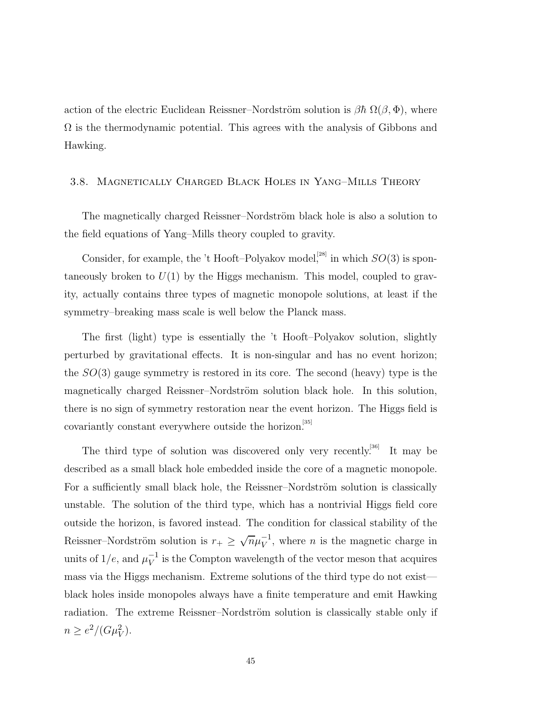action of the electric Euclidean Reissner–Nordström solution is  $\beta \hbar \Omega(\beta, \Phi)$ , where  $\Omega$  is the thermodynamic potential. This agrees with the analysis of Gibbons and Hawking.

## 3.8. Magnetically Charged Black Holes in Yang–Mills Theory

The magnetically charged Reissner–Nordström black hole is also a solution to the field equations of Yang–Mills theory coupled to gravity.

Consider, for example, the 't Hooft–Polyakov model,<sup>[28]</sup> in which  $SO(3)$  is spontaneously broken to  $U(1)$  by the Higgs mechanism. This model, coupled to gravity, actually contains three types of magnetic monopole solutions, at least if the symmetry–breaking mass scale is well below the Planck mass.

The first (light) type is essentially the 't Hooft–Polyakov solution, slightly perturbed by gravitational effects. It is non-singular and has no event horizon; the  $SO(3)$  gauge symmetry is restored in its core. The second (heavy) type is the magnetically charged Reissner–Nordström solution black hole. In this solution, there is no sign of symmetry restoration near the event horizon. The Higgs field is covariantly constant everywhere outside the horizon.[35]

The third type of solution was discovered only very recently.<sup>[36]</sup> It may be described as a small black hole embedded inside the core of a magnetic monopole. For a sufficiently small black hole, the Reissner–Nordström solution is classically unstable. The solution of the third type, which has a nontrivial Higgs field core outside the horizon, is favored instead. The condition for classical stability of the Reissner–Nordström solution is  $r_+ \geq \sqrt{n}\mu_V^{-1}$ , where *n* is the magnetic charge in units of  $1/e$ , and  $\mu_V^{-1}$  is the Compton wavelength of the vector meson that acquires mass via the Higgs mechanism. Extreme solutions of the third type do not exist black holes inside monopoles always have a finite temperature and emit Hawking radiation. The extreme Reissner–Nordström solution is classically stable only if  $n \geq e^2/(G\mu_V^2)$ .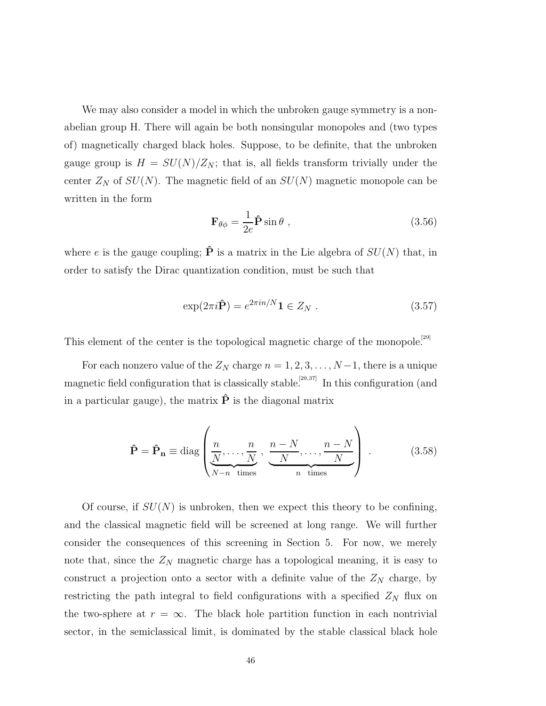We may also consider a model in which the unbroken gauge symmetry is a nonabelian group H. There will again be both nonsingular monopoles and (two types of) magnetically charged black holes. Suppose, to be definite, that the unbroken gauge group is  $H = SU(N)/Z_N$ ; that is, all fields transform trivially under the center  $Z_N$  of  $SU(N)$ . The magnetic field of an  $SU(N)$  magnetic monopole can be written in the form

$$
\mathbf{F}_{\theta\phi} = \frac{1}{2e}\hat{\mathbf{P}}\sin\theta , \qquad (3.56)
$$

where e is the gauge coupling;  $\hat{P}$  is a matrix in the Lie algebra of  $SU(N)$  that, in order to satisfy the Dirac quantization condition, must be such that

$$
\exp(2\pi i \hat{\mathbf{P}}) = e^{2\pi i n/N} \mathbf{1} \in Z_N . \tag{3.57}
$$

This element of the center is the topological magnetic charge of the monopole.<sup>[29]</sup>

For each nonzero value of the  $Z_N$  charge  $n = 1, 2, 3, \ldots, N-1$ , there is a unique magnetic field configuration that is classically stable.<sup>[29,37]</sup> In this configuration (and in a particular gauge), the matrix  $\hat{P}$  is the diagonal matrix

$$
\hat{\mathbf{P}} = \hat{\mathbf{P}}_{\mathbf{n}} \equiv \text{diag}\left(\underbrace{\frac{n}{N}, \dots, \frac{n}{N}}_{N-n \text{ times}}, \underbrace{\frac{n-N}{N}, \dots, \frac{n-N}{N}}_{n \text{ times}}\right) .
$$
 (3.58)

Of course, if  $SU(N)$  is unbroken, then we expect this theory to be confining, and the classical magnetic field will be screened at long range. We will further consider the consequences of this screening in Section 5. For now, we merely note that, since the  $Z_N$  magnetic charge has a topological meaning, it is easy to construct a projection onto a sector with a definite value of the  $Z_N$  charge, by restricting the path integral to field configurations with a specified  $Z_N$  flux on the two-sphere at  $r = \infty$ . The black hole partition function in each nontrivial sector, in the semiclassical limit, is dominated by the stable classical black hole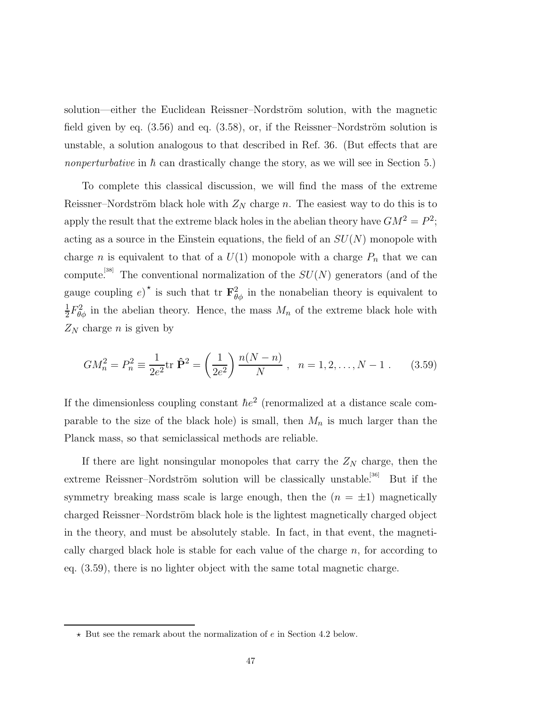solution—either the Euclidean Reissner–Nordström solution, with the magnetic field given by eq.  $(3.56)$  and eq.  $(3.58)$ , or, if the Reissner–Nordström solution is unstable, a solution analogous to that described in Ref. 36. (But effects that are *nonperturbative* in  $\hbar$  can drastically change the story, as we will see in Section 5.)

To complete this classical discussion, we will find the mass of the extreme Reissner–Nordström black hole with  $Z_N$  charge n. The easiest way to do this is to apply the result that the extreme black holes in the abelian theory have  $GM^2 = P^2$ ; acting as a source in the Einstein equations, the field of an  $SU(N)$  monopole with charge n is equivalent to that of a  $U(1)$  monopole with a charge  $P_n$  that we can compute.<sup>[38]</sup> The conventional normalization of the  $SU(N)$  generators (and of the gauge coupling  $e^{\dagger}$  is such that tr  $\mathbf{F}_{\theta\phi}^2$  in the nonabelian theory is equivalent to 1  $\frac{1}{2}F_{\theta\phi}^2$  in the abelian theory. Hence, the mass  $M_n$  of the extreme black hole with  $Z_N$  charge n is given by

$$
GM_n^2 = P_n^2 \equiv \frac{1}{2e^2} \text{tr } \hat{\mathbf{P}}^2 = \left(\frac{1}{2e^2}\right) \frac{n(N-n)}{N} , \quad n = 1, 2, ..., N-1 . \tag{3.59}
$$

If the dimensionless coupling constant  $\hbar e^2$  (renormalized at a distance scale comparable to the size of the black hole) is small, then  $M_n$  is much larger than the Planck mass, so that semiclassical methods are reliable.

If there are light nonsingular monopoles that carry the  $Z_N$  charge, then the extreme Reissner–Nordström solution will be classically unstable.<sup>[36]</sup> But if the symmetry breaking mass scale is large enough, then the  $(n = \pm 1)$  magnetically charged Reissner–Nordström black hole is the lightest magnetically charged object in the theory, and must be absolutely stable. In fact, in that event, the magnetically charged black hole is stable for each value of the charge  $n$ , for according to eq. (3.59), there is no lighter object with the same total magnetic charge.

 $\star$  But see the remark about the normalization of e in Section 4.2 below.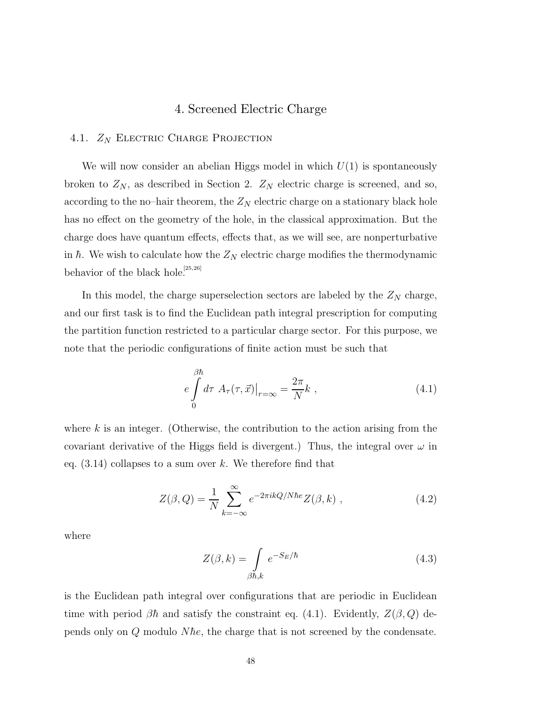# 4. Screened Electric Charge

## 4.1.  $Z_N$  ELECTRIC CHARGE PROJECTION

We will now consider an abelian Higgs model in which  $U(1)$  is spontaneously broken to  $Z_N$ , as described in Section 2.  $Z_N$  electric charge is screened, and so, according to the no–hair theorem, the  $Z_N$  electric charge on a stationary black hole has no effect on the geometry of the hole, in the classical approximation. But the charge does have quantum effects, effects that, as we will see, are nonperturbative in  $\hbar$ . We wish to calculate how the  $Z_N$  electric charge modifies the thermodynamic behavior of the black hole.<sup>[25,26]</sup>

In this model, the charge superselection sectors are labeled by the  $Z_N$  charge, and our first task is to find the Euclidean path integral prescription for computing the partition function restricted to a particular charge sector. For this purpose, we note that the periodic configurations of finite action must be such that

$$
e \int_{0}^{\beta \hbar} d\tau \, A_{\tau}(\tau, \vec{x}) \big|_{r=\infty} = \frac{2\pi}{N} k \;, \tag{4.1}
$$

where  $k$  is an integer. (Otherwise, the contribution to the action arising from the covariant derivative of the Higgs field is divergent.) Thus, the integral over  $\omega$  in eq.  $(3.14)$  collapses to a sum over k. We therefore find that

$$
Z(\beta, Q) = \frac{1}{N} \sum_{k=-\infty}^{\infty} e^{-2\pi i kQ/N\hbar e} Z(\beta, k) , \qquad (4.2)
$$

where

$$
Z(\beta, k) = \int_{\beta \hbar, k} e^{-S_E/\hbar}
$$
 (4.3)

is the Euclidean path integral over configurations that are periodic in Euclidean time with period  $\beta \hbar$  and satisfy the constraint eq. (4.1). Evidently,  $Z(\beta, Q)$  depends only on  $Q$  modulo  $N\hbar e$ , the charge that is not screened by the condensate.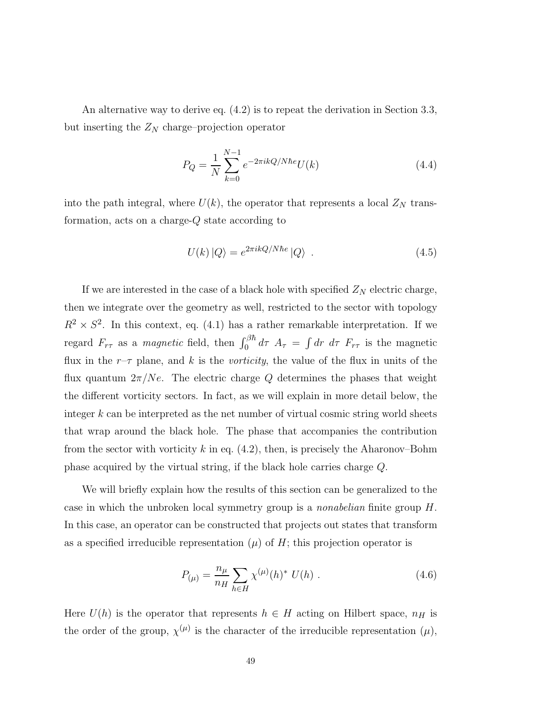An alternative way to derive eq. (4.2) is to repeat the derivation in Section 3.3, but inserting the  $Z_N$  charge–projection operator

$$
P_Q = \frac{1}{N} \sum_{k=0}^{N-1} e^{-2\pi i kQ/N\hbar e} U(k)
$$
\n(4.4)

into the path integral, where  $U(k)$ , the operator that represents a local  $Z_N$  transformation, acts on a charge- $Q$  state according to

$$
U(k) |Q\rangle = e^{2\pi i kQ/N\hbar e} |Q\rangle . \qquad (4.5)
$$

If we are interested in the case of a black hole with specified  $Z_N$  electric charge, then we integrate over the geometry as well, restricted to the sector with topology  $R^2 \times S^2$ . In this context, eq. (4.1) has a rather remarkable interpretation. If we regard  $F_{r\tau}$  as a magnetic field, then  $\int_0^{\beta \hbar} d\tau A_\tau = \int dr d\tau F_{r\tau}$  is the magnetic flux in the  $r-\tau$  plane, and k is the vorticity, the value of the flux in units of the flux quantum  $2\pi/N_e$ . The electric charge Q determines the phases that weight the different vorticity sectors. In fact, as we will explain in more detail below, the integer  $k$  can be interpreted as the net number of virtual cosmic string world sheets that wrap around the black hole. The phase that accompanies the contribution from the sector with vorticity k in eq.  $(4.2)$ , then, is precisely the Aharonov–Bohm phase acquired by the virtual string, if the black hole carries charge Q.

We will briefly explain how the results of this section can be generalized to the case in which the unbroken local symmetry group is a nonabelian finite group H. In this case, an operator can be constructed that projects out states that transform as a specified irreducible representation  $(\mu)$  of H; this projection operator is

$$
P_{(\mu)} = \frac{n_{\mu}}{n_{H}} \sum_{h \in H} \chi^{(\mu)}(h)^{*} U(h) . \qquad (4.6)
$$

Here  $U(h)$  is the operator that represents  $h \in H$  acting on Hilbert space,  $n_H$  is the order of the group,  $\chi^{(\mu)}$  is the character of the irreducible representation  $(\mu)$ ,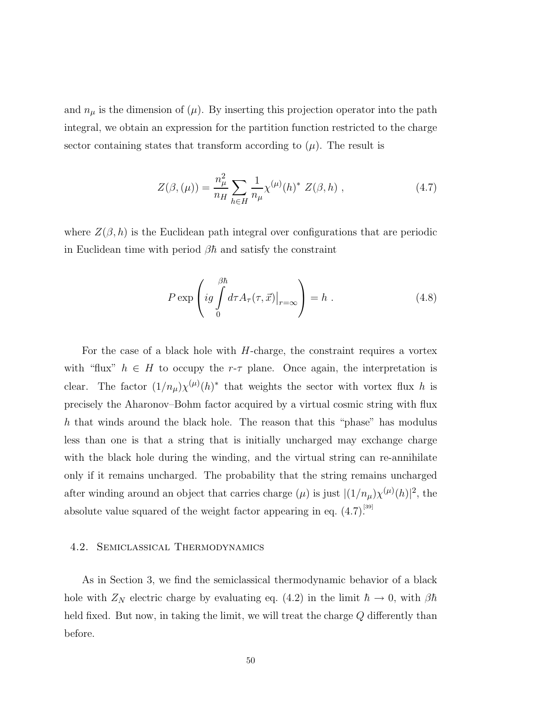and  $n_{\mu}$  is the dimension of  $(\mu)$ . By inserting this projection operator into the path integral, we obtain an expression for the partition function restricted to the charge sector containing states that transform according to  $(\mu)$ . The result is

$$
Z(\beta,(\mu)) = \frac{n_{\mu}^2}{n_H} \sum_{h \in H} \frac{1}{n_{\mu}} \chi^{(\mu)}(h)^* \ Z(\beta, h) \ , \tag{4.7}
$$

where  $Z(\beta, h)$  is the Euclidean path integral over configurations that are periodic in Euclidean time with period  $\beta \hbar$  and satisfy the constraint

$$
P \exp \left( i g \int_{0}^{\beta \hbar} d\tau A_{\tau}(\tau, \vec{x}) \Big|_{r=\infty} \right) = h . \qquad (4.8)
$$

For the case of a black hole with H-charge, the constraint requires a vortex with "flux"  $h \in H$  to occupy the r- $\tau$  plane. Once again, the interpretation is clear. The factor  $(1/n_{\mu})\chi^{(\mu)}(h)^{*}$  that weights the sector with vortex flux h is precisely the Aharonov–Bohm factor acquired by a virtual cosmic string with flux h that winds around the black hole. The reason that this "phase" has modulus less than one is that a string that is initially uncharged may exchange charge with the black hole during the winding, and the virtual string can re-annihilate only if it remains uncharged. The probability that the string remains uncharged after winding around an object that carries charge  $(\mu)$  is just  $|(1/n_{\mu})\chi^{(\mu)}(h)|^2$ , the absolute value squared of the weight factor appearing in eq.  $(4.7)^{[39]}$ 

#### 4.2. Semiclassical Thermodynamics

As in Section 3, we find the semiclassical thermodynamic behavior of a black hole with  $Z_N$  electric charge by evaluating eq. (4.2) in the limit  $\hbar \to 0$ , with  $\beta \hbar$ held fixed. But now, in taking the limit, we will treat the charge Q differently than before.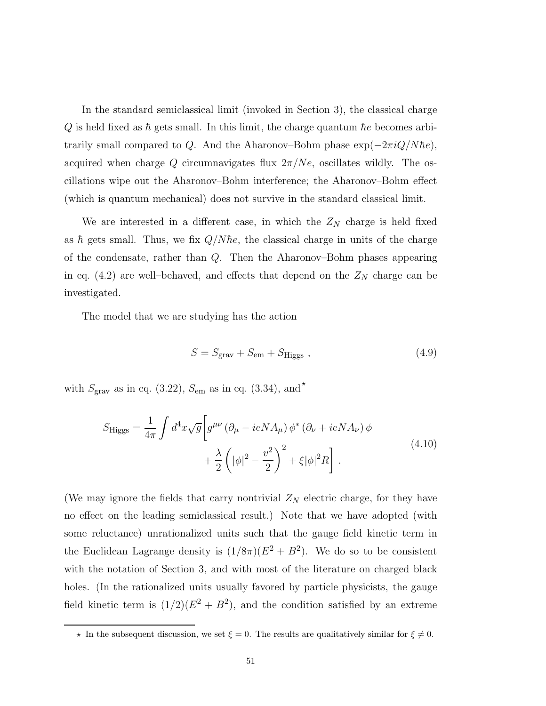In the standard semiclassical limit (invoked in Section 3), the classical charge Q is held fixed as  $\hbar$  gets small. In this limit, the charge quantum  $\hbar e$  becomes arbitrarily small compared to Q. And the Aharonov–Bohm phase  $\exp(-2\pi i Q/N\hbar e)$ , acquired when charge Q circumnavigates flux  $2\pi/Ne$ , oscillates wildly. The oscillations wipe out the Aharonov–Bohm interference; the Aharonov–Bohm effect (which is quantum mechanical) does not survive in the standard classical limit.

We are interested in a different case, in which the  $Z_N$  charge is held fixed as  $\hbar$  gets small. Thus, we fix  $Q/N\hbar e$ , the classical charge in units of the charge of the condensate, rather than Q. Then the Aharonov–Bohm phases appearing in eq. (4.2) are well-behaved, and effects that depend on the  $Z_N$  charge can be investigated.

The model that we are studying has the action

$$
S = S_{\text{grav}} + S_{\text{em}} + S_{\text{Higgs}} , \qquad (4.9)
$$

with  $S_{\text{grav}}$  as in eq. (3.22),  $S_{\text{em}}$  as in eq. (3.34), and<sup>\*</sup>

$$
S_{\text{Higgs}} = \frac{1}{4\pi} \int d^4x \sqrt{g} \left[ g^{\mu\nu} \left( \partial_\mu - ie \mathcal{N} A_\mu \right) \phi^* \left( \partial_\nu + ie \mathcal{N} A_\nu \right) \phi \right. \\ \left. + \frac{\lambda}{2} \left( |\phi|^2 - \frac{v^2}{2} \right)^2 + \xi |\phi|^2 R \right] \,. \tag{4.10}
$$

(We may ignore the fields that carry nontrivial  $Z_N$  electric charge, for they have no effect on the leading semiclassical result.) Note that we have adopted (with some reluctance) unrationalized units such that the gauge field kinetic term in the Euclidean Lagrange density is  $(1/8\pi)(E^2 + B^2)$ . We do so to be consistent with the notation of Section 3, and with most of the literature on charged black holes. (In the rationalized units usually favored by particle physicists, the gauge field kinetic term is  $(1/2)(E^2 + B^2)$ , and the condition satisfied by an extreme

 $\star$  In the subsequent discussion, we set  $\xi = 0$ . The results are qualitatively similar for  $\xi \neq 0$ .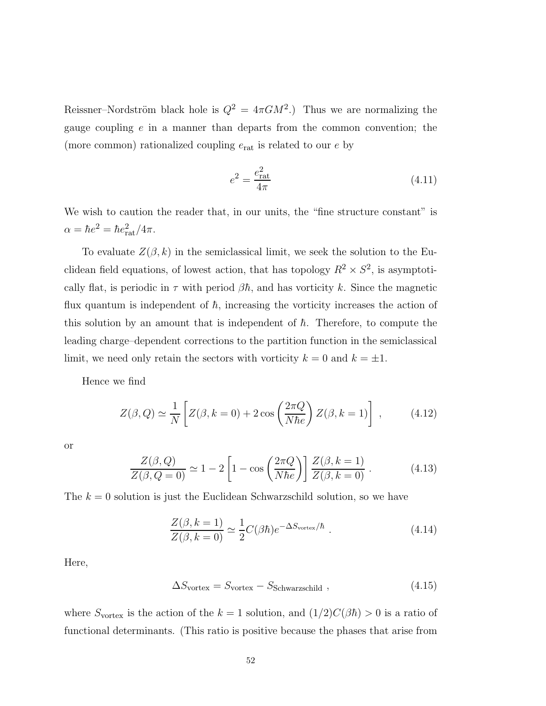Reissner–Nordström black hole is  $Q^2 = 4\pi GM^2$ .) Thus we are normalizing the gauge coupling  $e$  in a manner than departs from the common convention; the (more common) rationalized coupling  $e_{\text{rat}}$  is related to our  $e$  by

$$
e^2 = \frac{e_{\text{rat}}^2}{4\pi} \tag{4.11}
$$

We wish to caution the reader that, in our units, the "fine structure constant" is  $\alpha = \hbar e^2 = \hbar e_{\rm rat}^2/4\pi.$ 

To evaluate  $Z(\beta, k)$  in the semiclassical limit, we seek the solution to the Euclidean field equations, of lowest action, that has topology  $R^2 \times S^2$ , is asymptotically flat, is periodic in  $\tau$  with period  $\beta \hbar$ , and has vorticity k. Since the magnetic flux quantum is independent of  $\hbar$ , increasing the vorticity increases the action of this solution by an amount that is independent of  $\hbar$ . Therefore, to compute the leading charge–dependent corrections to the partition function in the semiclassical limit, we need only retain the sectors with vorticity  $k = 0$  and  $k = \pm 1$ .

Hence we find

$$
Z(\beta, Q) \simeq \frac{1}{N} \left[ Z(\beta, k = 0) + 2 \cos \left( \frac{2 \pi Q}{N \hbar e} \right) Z(\beta, k = 1) \right], \quad (4.12)
$$

or

$$
\frac{Z(\beta, Q)}{Z(\beta, Q = 0)} \simeq 1 - 2 \left[ 1 - \cos \left( \frac{2\pi Q}{N\hbar e} \right) \right] \frac{Z(\beta, k = 1)}{Z(\beta, k = 0)} . \tag{4.13}
$$

The  $k = 0$  solution is just the Euclidean Schwarzschild solution, so we have

$$
\frac{Z(\beta, k=1)}{Z(\beta, k=0)} \simeq \frac{1}{2} C(\beta \hbar) e^{-\Delta S_{\text{vortex}}/\hbar} . \tag{4.14}
$$

Here,

$$
\Delta S_{\text{vortex}} = S_{\text{vortex}} - S_{\text{Schwarzschild}} , \qquad (4.15)
$$

where  $S_{\text{vortex}}$  is the action of the  $k = 1$  solution, and  $(1/2)C(\beta \hbar) > 0$  is a ratio of functional determinants. (This ratio is positive because the phases that arise from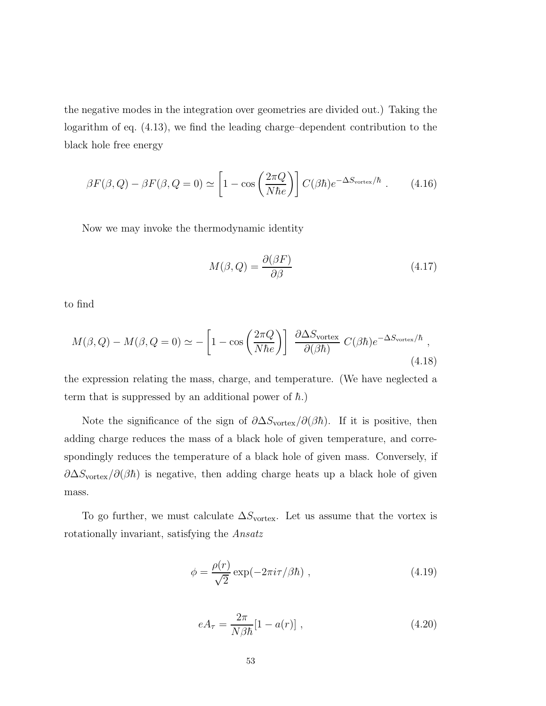the negative modes in the integration over geometries are divided out.) Taking the logarithm of eq. (4.13), we find the leading charge–dependent contribution to the black hole free energy

$$
\beta F(\beta, Q) - \beta F(\beta, Q = 0) \simeq \left[ 1 - \cos \left( \frac{2\pi Q}{N \hbar e} \right) \right] C(\beta \hbar) e^{-\Delta S_{\text{vortex}}/\hbar} \ . \tag{4.16}
$$

Now we may invoke the thermodynamic identity

$$
M(\beta, Q) = \frac{\partial(\beta F)}{\partial \beta} \tag{4.17}
$$

to find

$$
M(\beta, Q) - M(\beta, Q = 0) \simeq -\left[1 - \cos\left(\frac{2\pi Q}{N\hbar e}\right)\right] \frac{\partial \Delta S_{\text{vortex}}}{\partial(\beta \hbar)} C(\beta \hbar) e^{-\Delta S_{\text{vortex}}/\hbar},\tag{4.18}
$$

the expression relating the mass, charge, and temperature. (We have neglected a term that is suppressed by an additional power of  $\hbar$ .)

Note the significance of the sign of  $\partial \Delta S_{\text{vortex}}/\partial(\beta \hbar)$ . If it is positive, then adding charge reduces the mass of a black hole of given temperature, and correspondingly reduces the temperature of a black hole of given mass. Conversely, if  $\partial \Delta S_{\text{vortex}}/\partial(\beta \hbar)$  is negative, then adding charge heats up a black hole of given mass.

To go further, we must calculate  $\Delta S_{\text{vortex}}$ . Let us assume that the vortex is rotationally invariant, satisfying the Ansatz

$$
\phi = \frac{\rho(r)}{\sqrt{2}} \exp(-2\pi i \tau/\beta \hbar) , \qquad (4.19)
$$

$$
eA_{\tau} = \frac{2\pi}{N\beta\hbar} [1 - a(r)], \qquad (4.20)
$$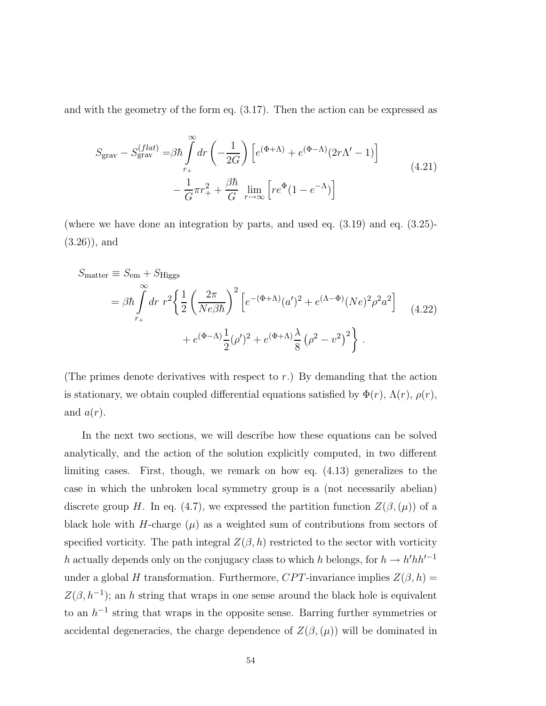and with the geometry of the form eq. (3.17). Then the action can be expressed as

$$
S_{\text{grav}} - S_{\text{grav}}^{(flat)} = \beta \hbar \int_{r_+}^{\infty} dr \left( -\frac{1}{2G} \right) \left[ e^{(\Phi + \Lambda)} + e^{(\Phi - \Lambda)} (2r\Lambda' - 1) \right] - \frac{1}{G} \pi r_+^2 + \frac{\beta \hbar}{G} \lim_{r \to \infty} \left[ r e^{\Phi} (1 - e^{-\Lambda}) \right]
$$
(4.21)

(where we have done an integration by parts, and used eq. (3.19) and eq. (3.25)- (3.26)), and

$$
S_{\text{matter}} \equiv S_{\text{em}} + S_{\text{Higgs}} \n= \beta \hbar \int_{r_+}^{\infty} dr \ r^2 \left\{ \frac{1}{2} \left( \frac{2\pi}{Ne\beta\hbar} \right)^2 \left[ e^{-(\Phi+\Lambda)} (a')^2 + e^{(\Lambda-\Phi)} (Ne)^2 \rho^2 a^2 \right] \right. \\ \left. + e^{(\Phi-\Lambda)} \frac{1}{2} (\rho')^2 + e^{(\Phi+\Lambda)} \frac{\lambda}{8} (\rho^2 - v^2)^2 \right\} .
$$
\n(4.22)

(The primes denote derivatives with respect to r.) By demanding that the action is stationary, we obtain coupled differential equations satisfied by  $\Phi(r)$ ,  $\Lambda(r)$ ,  $\rho(r)$ , and  $a(r)$ .

In the next two sections, we will describe how these equations can be solved analytically, and the action of the solution explicitly computed, in two different limiting cases. First, though, we remark on how eq. (4.13) generalizes to the case in which the unbroken local symmetry group is a (not necessarily abelian) discrete group H. In eq. (4.7), we expressed the partition function  $Z(\beta,(\mu))$  of a black hole with H-charge  $(\mu)$  as a weighted sum of contributions from sectors of specified vorticity. The path integral  $Z(\beta, h)$  restricted to the sector with vorticity h actually depends only on the conjugacy class to which h belongs, for  $h \to h' h h'^{-1}$ under a global H transformation. Furthermore,  $CPT$ -invariance implies  $Z(\beta, h)$  =  $Z(\beta, h^{-1})$ ; an h string that wraps in one sense around the black hole is equivalent to an  $h^{-1}$  string that wraps in the opposite sense. Barring further symmetries or accidental degeneracies, the charge dependence of  $Z(\beta,(\mu))$  will be dominated in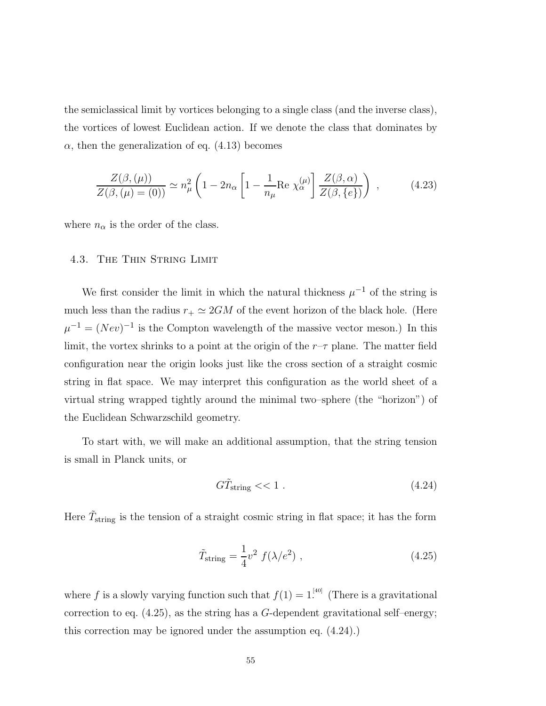the semiclassical limit by vortices belonging to a single class (and the inverse class), the vortices of lowest Euclidean action. If we denote the class that dominates by  $\alpha$ , then the generalization of eq. (4.13) becomes

$$
\frac{Z(\beta,(\mu))}{Z(\beta,(\mu))} \simeq n_{\mu}^{2} \left(1 - 2n_{\alpha} \left[1 - \frac{1}{n_{\mu}} \text{Re }\chi_{\alpha}^{(\mu)}\right] \frac{Z(\beta,\alpha)}{Z(\beta,\{e\})}\right) ,\qquad(4.23)
$$

where  $n_{\alpha}$  is the order of the class.

## 4.3. The Thin String Limit

We first consider the limit in which the natural thickness  $\mu^{-1}$  of the string is much less than the radius  $r_+ \simeq 2GM$  of the event horizon of the black hole. (Here  $\mu^{-1} = (Nev)^{-1}$  is the Compton wavelength of the massive vector meson.) In this limit, the vortex shrinks to a point at the origin of the  $r-\tau$  plane. The matter field configuration near the origin looks just like the cross section of a straight cosmic string in flat space. We may interpret this configuration as the world sheet of a virtual string wrapped tightly around the minimal two–sphere (the "horizon") of the Euclidean Schwarzschild geometry.

To start with, we will make an additional assumption, that the string tension is small in Planck units, or

$$
G\tilde{T}_{\text{string}} \ll 1. \tag{4.24}
$$

Here  $\tilde{T}_{\text{string}}$  is the tension of a straight cosmic string in flat space; it has the form

$$
\tilde{T}_{\text{string}} = \frac{1}{4}v^2 f(\lambda/e^2) , \qquad (4.25)
$$

where f is a slowly varying function such that  $f(1) = 1$ . (There is a gravitational correction to eq.  $(4.25)$ , as the string has a G-dependent gravitational self-energy; this correction may be ignored under the assumption eq. (4.24).)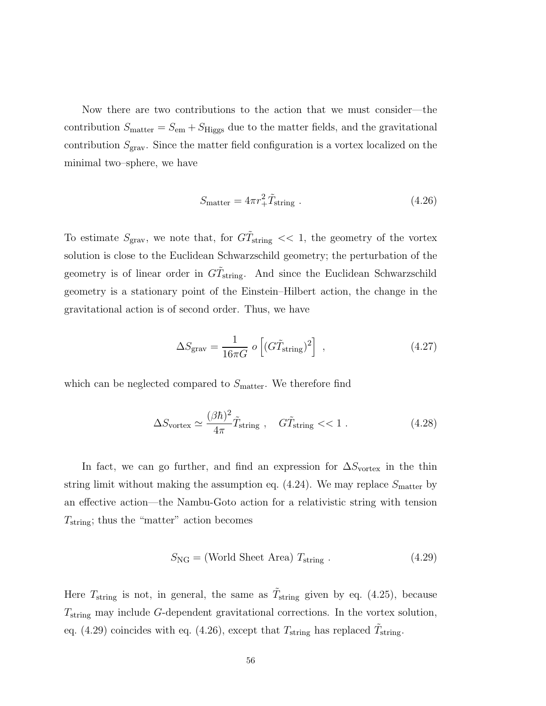Now there are two contributions to the action that we must consider—the contribution  $S_{\text{matter}} = S_{\text{em}} + S_{\text{Higgs}}$  due to the matter fields, and the gravitational contribution  $S_{\text{grav}}$ . Since the matter field configuration is a vortex localized on the minimal two–sphere, we have

$$
S_{\text{matter}} = 4\pi r_+^2 \tilde{T}_{\text{string}} \,. \tag{4.26}
$$

To estimate  $S_{\text{grav}}$ , we note that, for  $G\tilde{T}_{\text{string}} << 1$ , the geometry of the vortex solution is close to the Euclidean Schwarzschild geometry; the perturbation of the geometry is of linear order in  $G\tilde{T}_{string}$ . And since the Euclidean Schwarzschild geometry is a stationary point of the Einstein–Hilbert action, the change in the gravitational action is of second order. Thus, we have

$$
\Delta S_{\text{grav}} = \frac{1}{16\pi G} \ o \left[ (G\tilde{T}_{\text{string}})^2 \right] \ , \tag{4.27}
$$

which can be neglected compared to  $S_{\text{matter}}$ . We therefore find

$$
\Delta S_{\text{vortex}} \simeq \frac{(\beta \hbar)^2}{4\pi} \tilde{T}_{\text{string}} \,, \quad G\tilde{T}_{\text{string}} < < 1 \,. \tag{4.28}
$$

In fact, we can go further, and find an expression for  $\Delta S_{\text{vortex}}$  in the thin string limit without making the assumption eq.  $(4.24)$ . We may replace  $S_{\text{matter}}$  by an effective action—the Nambu-Goto action for a relativistic string with tension  $T_{\text{string}}$ ; thus the "matter" action becomes

$$
S_{\rm NG} = \text{(World Sheet Area)} T_{\rm string} . \tag{4.29}
$$

Here  $T_{\text{string}}$  is not, in general, the same as  $\tilde{T}_{\text{string}}$  given by eq. (4.25), because  $T_{\text{string}}$  may include G-dependent gravitational corrections. In the vortex solution, eq. (4.29) coincides with eq. (4.26), except that  $T_{\text{string}}$  has replaced  $\tilde{T}_{\text{string}}$ .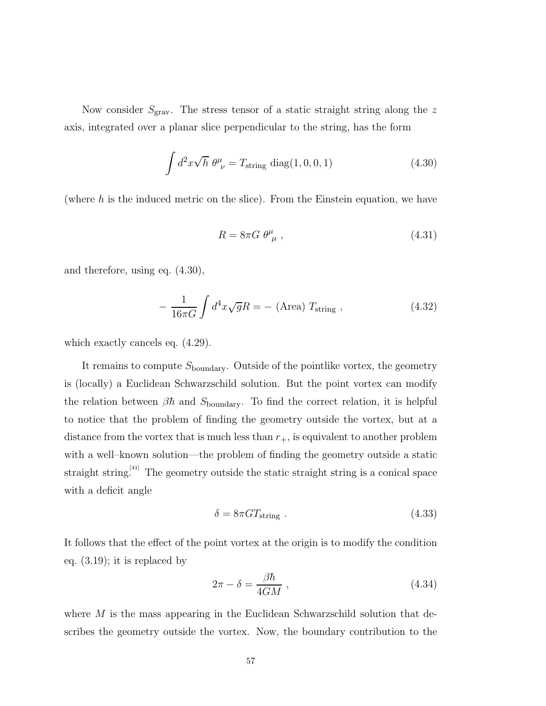Now consider  $S_{\text{grav}}$ . The stress tensor of a static straight string along the z axis, integrated over a planar slice perpendicular to the string, has the form

$$
\int d^2x \sqrt{h} \ \theta^{\mu}_{\ \nu} = T_{\text{string}} \ \text{diag}(1,0,0,1) \tag{4.30}
$$

(where  $h$  is the induced metric on the slice). From the Einstein equation, we have

$$
R = 8\pi G \,\theta^{\mu}_{\ \mu} \,, \tag{4.31}
$$

and therefore, using eq. (4.30),

$$
-\frac{1}{16\pi G} \int d^4x \sqrt{g}R = - (\text{Area}) T_{\text{string}} , \qquad (4.32)
$$

which exactly cancels eq. (4.29).

It remains to compute  $S_{\text{boundary}}$ . Outside of the pointlike vortex, the geometry is (locally) a Euclidean Schwarzschild solution. But the point vortex can modify the relation between  $\beta \hbar$  and  $S_{\text{boundary}}$ . To find the correct relation, it is helpful to notice that the problem of finding the geometry outside the vortex, but at a distance from the vortex that is much less than  $r_{+}$ , is equivalent to another problem with a well–known solution—the problem of finding the geometry outside a static straight string.<sup>[41]</sup> The geometry outside the static straight string is a conical space with a deficit angle

$$
\delta = 8\pi G T_{\text{string}} \tag{4.33}
$$

It follows that the effect of the point vortex at the origin is to modify the condition eq. (3.19); it is replaced by

$$
2\pi - \delta = \frac{\beta \hbar}{4GM} \,, \tag{4.34}
$$

where  $M$  is the mass appearing in the Euclidean Schwarzschild solution that describes the geometry outside the vortex. Now, the boundary contribution to the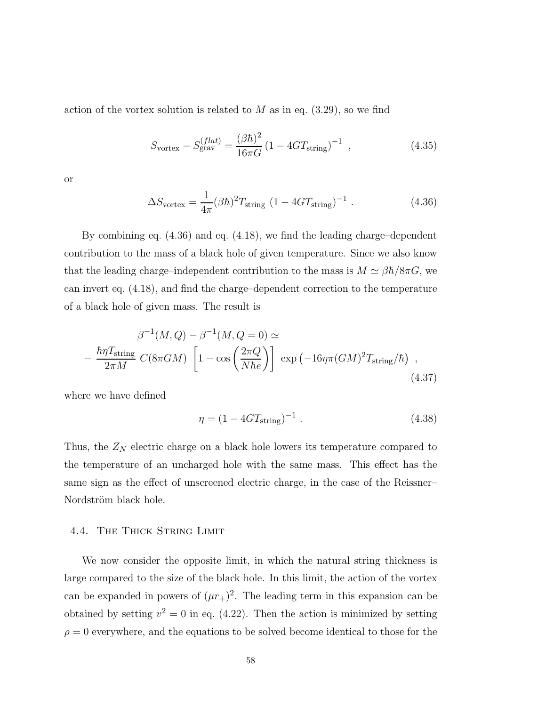action of the vortex solution is related to  $M$  as in eq. (3.29), so we find

$$
S_{\text{vortex}} - S_{\text{grav}}^{(flat)} = \frac{(\beta \hbar)^2}{16\pi G} (1 - 4GT_{\text{string}})^{-1} , \qquad (4.35)
$$

or

$$
\Delta S_{\text{vortex}} = \frac{1}{4\pi} (\beta \hbar)^2 T_{\text{string}} (1 - 4GT_{\text{string}})^{-1} . \tag{4.36}
$$

By combining eq. (4.36) and eq. (4.18), we find the leading charge–dependent contribution to the mass of a black hole of given temperature. Since we also know that the leading charge–independent contribution to the mass is  $M \simeq \beta \hbar / 8 \pi G$ , we can invert eq. (4.18), and find the charge–dependent correction to the temperature of a black hole of given mass. The result is

$$
\beta^{-1}(M,Q) - \beta^{-1}(M,Q=0) \simeq
$$
  

$$
-\frac{\hbar \eta T_{\text{string}}}{2\pi M} C(8\pi GM) \left[1 - \cos\left(\frac{2\pi Q}{N\hbar e}\right)\right] \exp\left(-16\eta \pi (GM)^2 T_{\text{string}}/\hbar\right) ,
$$
(4.37)

where we have defined

$$
\eta = (1 - 4GT_{\text{string}})^{-1} \tag{4.38}
$$

Thus, the  $\mathbb{Z}_N$  electric charge on a black hole lowers its temperature compared to the temperature of an uncharged hole with the same mass. This effect has the same sign as the effect of unscreened electric charge, in the case of the Reissner– Nordström black hole.

#### 4.4. The Thick String Limit

We now consider the opposite limit, in which the natural string thickness is large compared to the size of the black hole. In this limit, the action of the vortex can be expanded in powers of  $(\mu r_+)^2$ . The leading term in this expansion can be obtained by setting  $v^2 = 0$  in eq. (4.22). Then the action is minimized by setting  $\rho = 0$  everywhere, and the equations to be solved become identical to those for the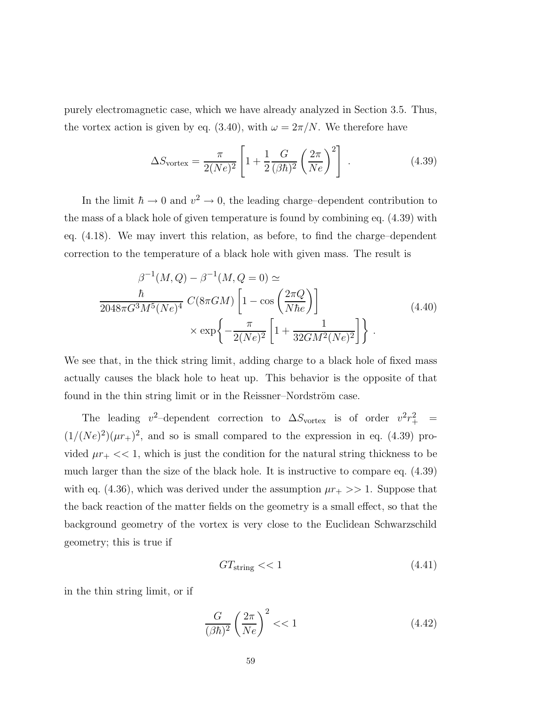purely electromagnetic case, which we have already analyzed in Section 3.5. Thus, the vortex action is given by eq. (3.40), with  $\omega = 2\pi/N$ . We therefore have

$$
\Delta S_{\text{vortex}} = \frac{\pi}{2(Ne)^2} \left[ 1 + \frac{1}{2} \frac{G}{(\beta \hbar)^2} \left( \frac{2\pi}{Ne} \right)^2 \right] \,. \tag{4.39}
$$

In the limit  $\hbar \to 0$  and  $v^2 \to 0$ , the leading charge–dependent contribution to the mass of a black hole of given temperature is found by combining eq. (4.39) with eq. (4.18). We may invert this relation, as before, to find the charge–dependent correction to the temperature of a black hole with given mass. The result is

$$
\beta^{-1}(M, Q) - \beta^{-1}(M, Q = 0) \simeq
$$
\n
$$
\frac{\hbar}{2048\pi G^3 M^5 (Ne)^4} C(8\pi GM) \left[1 - \cos\left(\frac{2\pi Q}{N\hbar e}\right)\right]
$$
\n
$$
\times \exp\left\{-\frac{\pi}{2(Ne)^2} \left[1 + \frac{1}{32GM^2(Ne)^2}\right]\right\}.
$$
\n(4.40)

We see that, in the thick string limit, adding charge to a black hole of fixed mass actually causes the black hole to heat up. This behavior is the opposite of that found in the thin string limit or in the Reissner–Nordström case.

The leading v<sup>2</sup>-dependent correction to  $\Delta S_{\text{vortex}}$  is of order  $v^2 r_+^2$  =  $(1/(Ne)^2)(\mu r_+)^2$ , and so is small compared to the expression in eq. (4.39) provided  $\mu r_{+} << 1$ , which is just the condition for the natural string thickness to be much larger than the size of the black hole. It is instructive to compare eq. (4.39) with eq. (4.36), which was derived under the assumption  $\mu r_{+} >> 1$ . Suppose that the back reaction of the matter fields on the geometry is a small effect, so that the background geometry of the vortex is very close to the Euclidean Schwarzschild geometry; this is true if

$$
GT_{\text{string}} \ll 1 \tag{4.41}
$$

in the thin string limit, or if

$$
\frac{G}{(\beta \hbar)^2} \left(\frac{2\pi}{Ne}\right)^2 \ll 1\tag{4.42}
$$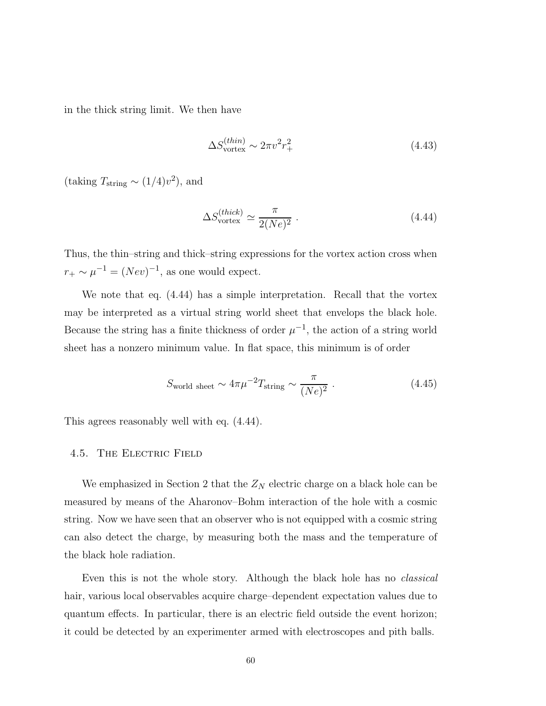in the thick string limit. We then have

$$
\Delta S_{\text{vortex}}^{(thin)} \sim 2\pi v^2 r_+^2 \tag{4.43}
$$

(taking  $T_{\text{string}} \sim (1/4)v^2$ ), and

$$
\Delta S_{\text{vortex}}^{(thick)} \simeq \frac{\pi}{2(Ne)^2} \ . \tag{4.44}
$$

Thus, the thin–string and thick–string expressions for the vortex action cross when  $r_+ \sim \mu^{-1} = (Nev)^{-1}$ , as one would expect.

We note that eq. (4.44) has a simple interpretation. Recall that the vortex may be interpreted as a virtual string world sheet that envelops the black hole. Because the string has a finite thickness of order  $\mu^{-1}$ , the action of a string world sheet has a nonzero minimum value. In flat space, this minimum is of order

$$
S_{\text{world sheet}} \sim 4\pi \mu^{-2} T_{\text{string}} \sim \frac{\pi}{(Ne)^2} \ . \tag{4.45}
$$

This agrees reasonably well with eq. (4.44).

#### 4.5. The Electric Field

We emphasized in Section 2 that the  $Z_N$  electric charge on a black hole can be measured by means of the Aharonov–Bohm interaction of the hole with a cosmic string. Now we have seen that an observer who is not equipped with a cosmic string can also detect the charge, by measuring both the mass and the temperature of the black hole radiation.

Even this is not the whole story. Although the black hole has no classical hair, various local observables acquire charge–dependent expectation values due to quantum effects. In particular, there is an electric field outside the event horizon; it could be detected by an experimenter armed with electroscopes and pith balls.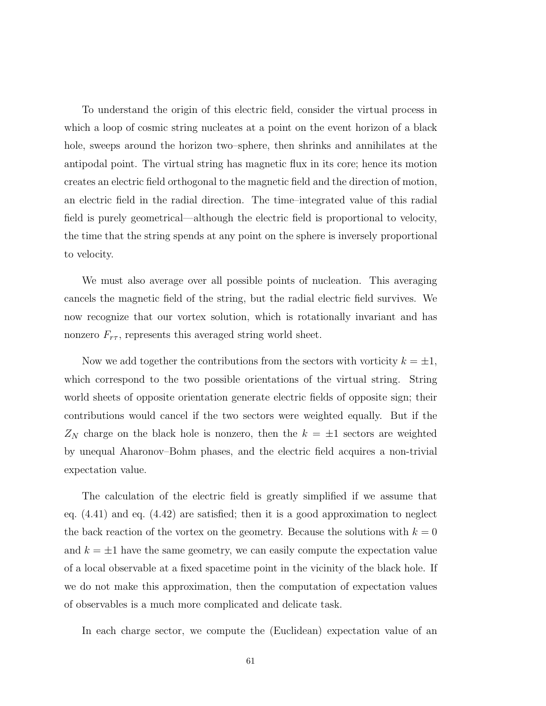To understand the origin of this electric field, consider the virtual process in which a loop of cosmic string nucleates at a point on the event horizon of a black hole, sweeps around the horizon two–sphere, then shrinks and annihilates at the antipodal point. The virtual string has magnetic flux in its core; hence its motion creates an electric field orthogonal to the magnetic field and the direction of motion, an electric field in the radial direction. The time–integrated value of this radial field is purely geometrical—although the electric field is proportional to velocity, the time that the string spends at any point on the sphere is inversely proportional to velocity.

We must also average over all possible points of nucleation. This averaging cancels the magnetic field of the string, but the radial electric field survives. We now recognize that our vortex solution, which is rotationally invariant and has nonzero  $F_{r\tau}$ , represents this averaged string world sheet.

Now we add together the contributions from the sectors with vorticity  $k = \pm 1$ , which correspond to the two possible orientations of the virtual string. String world sheets of opposite orientation generate electric fields of opposite sign; their contributions would cancel if the two sectors were weighted equally. But if the  $Z_N$  charge on the black hole is nonzero, then the  $k = \pm 1$  sectors are weighted by unequal Aharonov–Bohm phases, and the electric field acquires a non-trivial expectation value.

The calculation of the electric field is greatly simplified if we assume that eq. (4.41) and eq. (4.42) are satisfied; then it is a good approximation to neglect the back reaction of the vortex on the geometry. Because the solutions with  $k = 0$ and  $k = \pm 1$  have the same geometry, we can easily compute the expectation value of a local observable at a fixed spacetime point in the vicinity of the black hole. If we do not make this approximation, then the computation of expectation values of observables is a much more complicated and delicate task.

In each charge sector, we compute the (Euclidean) expectation value of an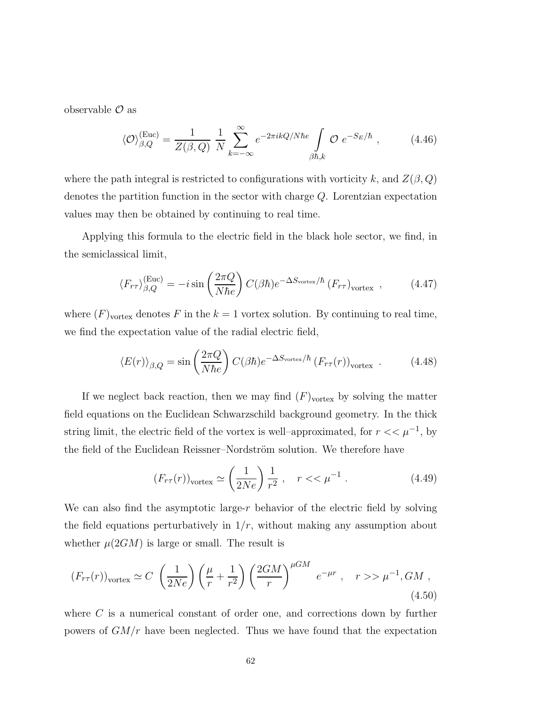observable  $\mathcal{O}$  as

$$
\langle \mathcal{O} \rangle_{\beta, Q}^{(\text{Euc})} = \frac{1}{Z(\beta, Q)} \frac{1}{N} \sum_{k=-\infty}^{\infty} e^{-2\pi i k Q/N \hbar e} \int_{\beta \hbar, k} \mathcal{O} \ e^{-S_E/\hbar} \;, \tag{4.46}
$$

where the path integral is restricted to configurations with vorticity k, and  $Z(\beta, Q)$ denotes the partition function in the sector with charge Q. Lorentzian expectation values may then be obtained by continuing to real time.

Applying this formula to the electric field in the black hole sector, we find, in the semiclassical limit,

$$
\langle F_{r\tau} \rangle_{\beta, Q}^{(\text{Euc})} = -i \sin \left( \frac{2\pi Q}{N \hbar e} \right) C(\beta \hbar) e^{-\Delta S_{\text{vortex}}/\hbar} (F_{r\tau})_{\text{vortex}} , \qquad (4.47)
$$

where  $(F)_{\text{vortex}}$  denotes F in the  $k = 1$  vortex solution. By continuing to real time, we find the expectation value of the radial electric field,

$$
\langle E(r) \rangle_{\beta,Q} = \sin\left(\frac{2\pi Q}{N\hbar e}\right) C(\beta\hbar) e^{-\Delta S_{\text{vortex}}/\hbar} \left(F_{r\tau}(r)\right)_{\text{vortex}}.
$$
 (4.48)

If we neglect back reaction, then we may find  $(F)_{\text{vortex}}$  by solving the matter field equations on the Euclidean Schwarzschild background geometry. In the thick string limit, the electric field of the vortex is well–approximated, for  $r \ll \mu^{-1}$ , by the field of the Euclidean Reissner–Nordström solution. We therefore have

$$
(F_{r\tau}(r))_{\text{vortex}} \simeq \left(\frac{1}{2Ne}\right) \frac{1}{r^2} \,, \quad r \ll \mu^{-1} \,. \tag{4.49}
$$

We can also find the asymptotic large- $r$  behavior of the electric field by solving the field equations perturbatively in  $1/r$ , without making any assumption about whether  $\mu(2GM)$  is large or small. The result is

$$
(F_{r\tau}(r))_{\text{vortex}} \simeq C \left(\frac{1}{2Ne}\right) \left(\frac{\mu}{r} + \frac{1}{r^2}\right) \left(\frac{2GM}{r}\right)^{\mu GM} e^{-\mu r}, \quad r >> \mu^{-1}, GM \tag{4.50}
$$

where  $C$  is a numerical constant of order one, and corrections down by further powers of  $GM/r$  have been neglected. Thus we have found that the expectation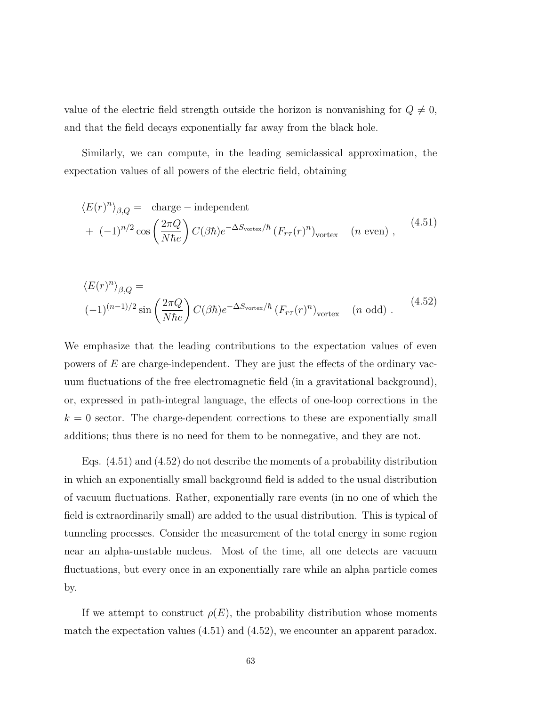value of the electric field strength outside the horizon is nonvanishing for  $Q \neq 0$ , and that the field decays exponentially far away from the black hole.

Similarly, we can compute, in the leading semiclassical approximation, the expectation values of all powers of the electric field, obtaining

$$
\langle E(r)^n \rangle_{\beta, Q} = \text{ charge} - \text{independent} + (-1)^{n/2} \cos \left( \frac{2\pi Q}{N\hbar e} \right) C(\beta \hbar) e^{-\Delta S_{\text{vortex}}/\hbar} (F_{r\tau}(r)^n)_{\text{vortex}} \quad (n \text{ even}),
$$
 (4.51)

$$
\langle E(r)^n \rangle_{\beta, Q} =
$$
  

$$
(-1)^{(n-1)/2} \sin\left(\frac{2\pi Q}{N\hbar e}\right) C(\beta\hbar) e^{-\Delta S_{\text{vortex}}/\hbar} (F_{r\tau}(r)^n)_{\text{vortex}} \quad (n \text{ odd}).
$$
 (4.52)

We emphasize that the leading contributions to the expectation values of even powers of  $E$  are charge-independent. They are just the effects of the ordinary vacuum fluctuations of the free electromagnetic field (in a gravitational background), or, expressed in path-integral language, the effects of one-loop corrections in the  $k = 0$  sector. The charge-dependent corrections to these are exponentially small additions; thus there is no need for them to be nonnegative, and they are not.

Eqs. (4.51) and (4.52) do not describe the moments of a probability distribution in which an exponentially small background field is added to the usual distribution of vacuum fluctuations. Rather, exponentially rare events (in no one of which the field is extraordinarily small) are added to the usual distribution. This is typical of tunneling processes. Consider the measurement of the total energy in some region near an alpha-unstable nucleus. Most of the time, all one detects are vacuum fluctuations, but every once in an exponentially rare while an alpha particle comes by.

If we attempt to construct  $\rho(E)$ , the probability distribution whose moments match the expectation values  $(4.51)$  and  $(4.52)$ , we encounter an apparent paradox.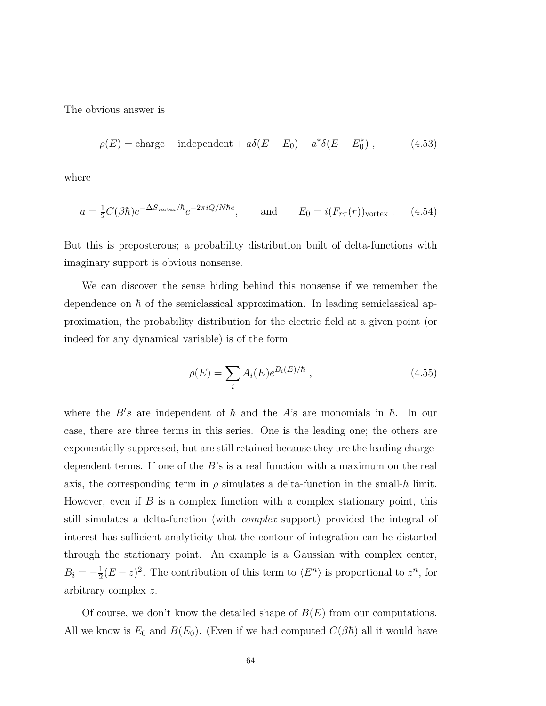The obvious answer is

$$
\rho(E) = \text{charge} - \text{independent} + a\delta(E - E_0) + a^*\delta(E - E_0^*) ,\tag{4.53}
$$

where

$$
a = \frac{1}{2}C(\beta\hbar)e^{-\Delta S_{\text{vortex}}/\hbar}e^{-2\pi iQ/N\hbar e}, \quad \text{and} \quad E_0 = i(F_{r\tau}(r))_{\text{vortex}}.
$$
 (4.54)

But this is preposterous; a probability distribution built of delta-functions with imaginary support is obvious nonsense.

We can discover the sense hiding behind this nonsense if we remember the dependence on  $\hbar$  of the semiclassical approximation. In leading semiclassical approximation, the probability distribution for the electric field at a given point (or indeed for any dynamical variable) is of the form

$$
\rho(E) = \sum_{i} A_i(E) e^{B_i(E)/\hbar} \tag{4.55}
$$

where the  $B's$  are independent of  $\hbar$  and the A's are monomials in  $\hbar$ . In our case, there are three terms in this series. One is the leading one; the others are exponentially suppressed, but are still retained because they are the leading chargedependent terms. If one of the B's is a real function with a maximum on the real axis, the corresponding term in  $\rho$  simulates a delta-function in the small- $\hbar$  limit. However, even if  $B$  is a complex function with a complex stationary point, this still simulates a delta-function (with complex support) provided the integral of interest has sufficient analyticity that the contour of integration can be distorted through the stationary point. An example is a Gaussian with complex center,  $B_i = -\frac{1}{2}$  $\frac{1}{2}(E-z)^2$ . The contribution of this term to  $\langle E^n \rangle$  is proportional to  $z^n$ , for arbitrary complex z.

Of course, we don't know the detailed shape of  $B(E)$  from our computations. All we know is  $E_0$  and  $B(E_0)$ . (Even if we had computed  $C(\beta \hbar)$  all it would have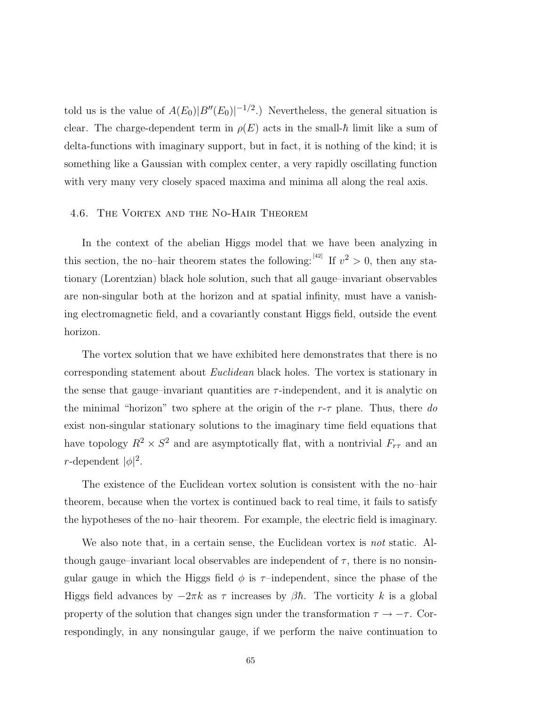told us is the value of  $A(E_0)|B''(E_0)|^{-1/2}$ .) Nevertheless, the general situation is clear. The charge-dependent term in  $\rho(E)$  acts in the small- $\hbar$  limit like a sum of delta-functions with imaginary support, but in fact, it is nothing of the kind; it is something like a Gaussian with complex center, a very rapidly oscillating function with very many very closely spaced maxima and minima all along the real axis.

#### 4.6. The Vortex and the No-Hair Theorem

In the context of the abelian Higgs model that we have been analyzing in this section, the no-hair theorem states the following:  $[42]$  If  $v^2 > 0$ , then any stationary (Lorentzian) black hole solution, such that all gauge–invariant observables are non-singular both at the horizon and at spatial infinity, must have a vanishing electromagnetic field, and a covariantly constant Higgs field, outside the event horizon.

The vortex solution that we have exhibited here demonstrates that there is no corresponding statement about *Euclidean* black holes. The vortex is stationary in the sense that gauge–invariant quantities are  $\tau$ -independent, and it is analytic on the minimal "horizon" two sphere at the origin of the  $r-\tau$  plane. Thus, there do exist non-singular stationary solutions to the imaginary time field equations that have topology  $R^2 \times S^2$  and are asymptotically flat, with a nontrivial  $F_{r\tau}$  and an r-dependent  $|\phi|^2$ .

The existence of the Euclidean vortex solution is consistent with the no–hair theorem, because when the vortex is continued back to real time, it fails to satisfy the hypotheses of the no–hair theorem. For example, the electric field is imaginary.

We also note that, in a certain sense, the Euclidean vortex is *not* static. Although gauge–invariant local observables are independent of  $\tau$ , there is no nonsingular gauge in which the Higgs field  $\phi$  is  $\tau$ -independent, since the phase of the Higgs field advances by  $-2\pi k$  as  $\tau$  increases by  $\beta \hbar$ . The vorticity k is a global property of the solution that changes sign under the transformation  $\tau \to -\tau$ . Correspondingly, in any nonsingular gauge, if we perform the naive continuation to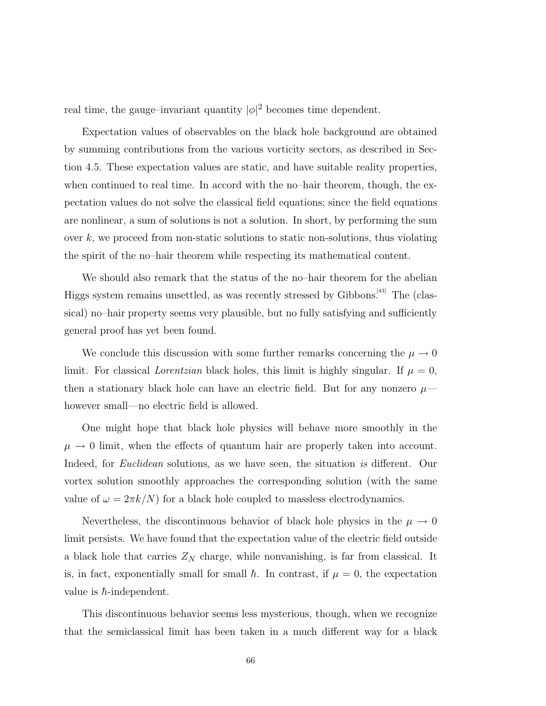real time, the gauge-invariant quantity  $|\phi|^2$  becomes time dependent.

Expectation values of observables on the black hole background are obtained by summing contributions from the various vorticity sectors, as described in Section 4.5. These expectation values are static, and have suitable reality properties, when continued to real time. In accord with the no-hair theorem, though, the expectation values do not solve the classical field equations; since the field equations are nonlinear, a sum of solutions is not a solution. In short, by performing the sum over  $k$ , we proceed from non-static solutions to static non-solutions, thus violating the spirit of the no–hair theorem while respecting its mathematical content.

We should also remark that the status of the no–hair theorem for the abelian Higgs system remains unsettled, as was recently stressed by Gibbons.<sup>[43]</sup> The (classical) no–hair property seems very plausible, but no fully satisfying and sufficiently general proof has yet been found.

We conclude this discussion with some further remarks concerning the  $\mu \to 0$ limit. For classical *Lorentzian* black holes, this limit is highly singular. If  $\mu = 0$ , then a stationary black hole can have an electric field. But for any nonzero  $\mu$  however small—no electric field is allowed.

One might hope that black hole physics will behave more smoothly in the  $\mu \rightarrow 0$  limit, when the effects of quantum hair are properly taken into account. Indeed, for *Euclidean* solutions, as we have seen, the situation is different. Our vortex solution smoothly approaches the corresponding solution (with the same value of  $\omega = 2\pi k/N$  for a black hole coupled to massless electrodynamics.

Nevertheless, the discontinuous behavior of black hole physics in the  $\mu \to 0$ limit persists. We have found that the expectation value of the electric field outside a black hole that carries  $Z_N$  charge, while nonvanishing, is far from classical. It is, in fact, exponentially small for small  $\hbar$ . In contrast, if  $\mu = 0$ , the expectation value is  $\hbar$ -independent.

This discontinuous behavior seems less mysterious, though, when we recognize that the semiclassical limit has been taken in a much different way for a black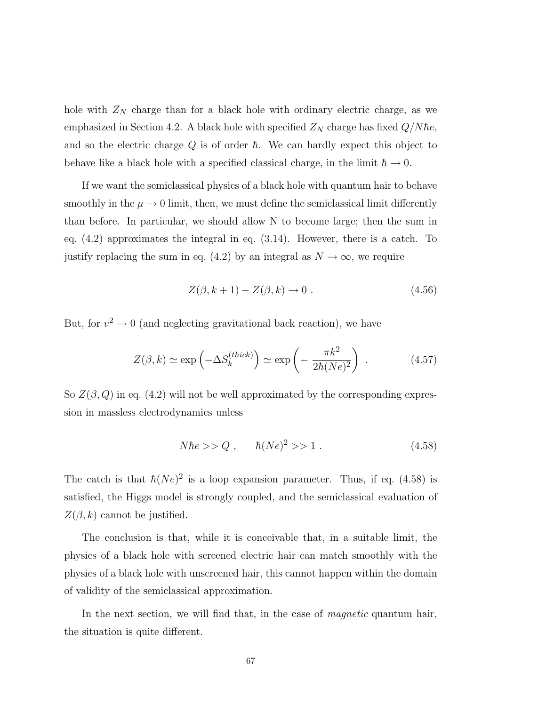hole with  $Z_N$  charge than for a black hole with ordinary electric charge, as we emphasized in Section 4.2. A black hole with specified  $Z_N$  charge has fixed  $Q/N\hbar e$ , and so the electric charge  $Q$  is of order  $\hbar$ . We can hardly expect this object to behave like a black hole with a specified classical charge, in the limit  $\hbar \rightarrow 0$ .

If we want the semiclassical physics of a black hole with quantum hair to behave smoothly in the  $\mu \to 0$  limit, then, we must define the semiclassical limit differently than before. In particular, we should allow N to become large; then the sum in eq. (4.2) approximates the integral in eq. (3.14). However, there is a catch. To justify replacing the sum in eq. (4.2) by an integral as  $N \to \infty$ , we require

$$
Z(\beta, k+1) - Z(\beta, k) \to 0.
$$
\n(4.56)

But, for  $v^2 \to 0$  (and neglecting gravitational back reaction), we have

$$
Z(\beta, k) \simeq \exp\left(-\Delta S_k^{(thick)}\right) \simeq \exp\left(-\frac{\pi k^2}{2\hbar (Ne)^2}\right) . \tag{4.57}
$$

So  $Z(\beta, Q)$  in eq. (4.2) will not be well approximated by the corresponding expression in massless electrodynamics unless

$$
N\hbar e >> Q
$$
,  $\hbar (Ne)^2 >> 1$ . (4.58)

The catch is that  $\hbar (Ne)^2$  is a loop expansion parameter. Thus, if eq. (4.58) is satisfied, the Higgs model is strongly coupled, and the semiclassical evaluation of  $Z(\beta, k)$  cannot be justified.

The conclusion is that, while it is conceivable that, in a suitable limit, the physics of a black hole with screened electric hair can match smoothly with the physics of a black hole with unscreened hair, this cannot happen within the domain of validity of the semiclassical approximation.

In the next section, we will find that, in the case of *magnetic* quantum hair, the situation is quite different.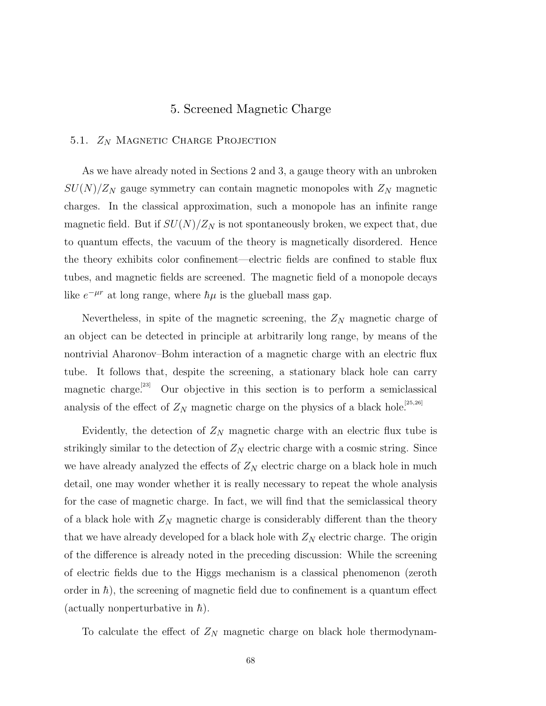# 5. Screened Magnetic Charge

# 5.1.  $Z_N$  Magnetic Charge Projection

As we have already noted in Sections 2 and 3, a gauge theory with an unbroken  $SU(N)/Z_N$  gauge symmetry can contain magnetic monopoles with  $Z_N$  magnetic charges. In the classical approximation, such a monopole has an infinite range magnetic field. But if  $SU(N)/Z_N$  is not spontaneously broken, we expect that, due to quantum effects, the vacuum of the theory is magnetically disordered. Hence the theory exhibits color confinement—electric fields are confined to stable flux tubes, and magnetic fields are screened. The magnetic field of a monopole decays like  $e^{-\mu r}$  at long range, where  $\hbar \mu$  is the glueball mass gap.

Nevertheless, in spite of the magnetic screening, the  $Z_N$  magnetic charge of an object can be detected in principle at arbitrarily long range, by means of the nontrivial Aharonov–Bohm interaction of a magnetic charge with an electric flux tube. It follows that, despite the screening, a stationary black hole can carry magnetic charge.<sup>[23]</sup> Our objective in this section is to perform a semiclassical analysis of the effect of  $Z_N$  magnetic charge on the physics of a black hole.<sup>[25,26]</sup>

Evidently, the detection of  $Z_N$  magnetic charge with an electric flux tube is strikingly similar to the detection of  $Z_N$  electric charge with a cosmic string. Since we have already analyzed the effects of  $Z_N$  electric charge on a black hole in much detail, one may wonder whether it is really necessary to repeat the whole analysis for the case of magnetic charge. In fact, we will find that the semiclassical theory of a black hole with  $Z_N$  magnetic charge is considerably different than the theory that we have already developed for a black hole with  $Z_N$  electric charge. The origin of the difference is already noted in the preceding discussion: While the screening of electric fields due to the Higgs mechanism is a classical phenomenon (zeroth order in  $\hbar$ ), the screening of magnetic field due to confinement is a quantum effect (actually nonperturbative in  $\hbar$ ).

To calculate the effect of  $Z_N$  magnetic charge on black hole thermodynam-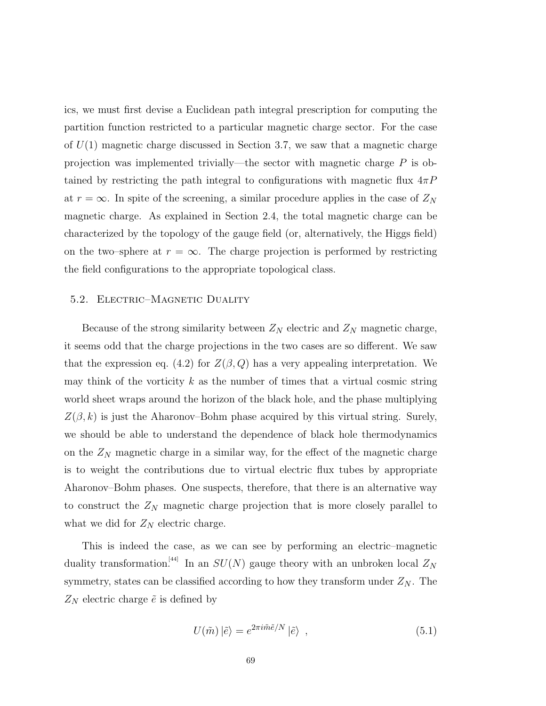ics, we must first devise a Euclidean path integral prescription for computing the partition function restricted to a particular magnetic charge sector. For the case of  $U(1)$  magnetic charge discussed in Section 3.7, we saw that a magnetic charge projection was implemented trivially—the sector with magnetic charge  $P$  is obtained by restricting the path integral to configurations with magnetic flux  $4\pi P$ at  $r = \infty$ . In spite of the screening, a similar procedure applies in the case of  $Z_N$ magnetic charge. As explained in Section 2.4, the total magnetic charge can be characterized by the topology of the gauge field (or, alternatively, the Higgs field) on the two–sphere at  $r = \infty$ . The charge projection is performed by restricting the field configurations to the appropriate topological class.

## 5.2. ELECTRIC-MAGNETIC DUALITY

Because of the strong similarity between  $Z_N$  electric and  $Z_N$  magnetic charge, it seems odd that the charge projections in the two cases are so different. We saw that the expression eq. (4.2) for  $Z(\beta, Q)$  has a very appealing interpretation. We may think of the vorticity  $k$  as the number of times that a virtual cosmic string world sheet wraps around the horizon of the black hole, and the phase multiplying  $Z(\beta, k)$  is just the Aharonov–Bohm phase acquired by this virtual string. Surely, we should be able to understand the dependence of black hole thermodynamics on the  $Z_N$  magnetic charge in a similar way, for the effect of the magnetic charge is to weight the contributions due to virtual electric flux tubes by appropriate Aharonov–Bohm phases. One suspects, therefore, that there is an alternative way to construct the  $Z_N$  magnetic charge projection that is more closely parallel to what we did for  $Z_N$  electric charge.

This is indeed the case, as we can see by performing an electric–magnetic duality transformation.<sup>[44]</sup> In an  $SU(N)$  gauge theory with an unbroken local  $Z_N$ symmetry, states can be classified according to how they transform under  $Z_N$ . The  $Z_N$  electric charge  $\tilde{e}$  is defined by

$$
U(\tilde{m})|\tilde{e}\rangle = e^{2\pi i \tilde{m}\tilde{e}/N}|\tilde{e}\rangle \quad , \tag{5.1}
$$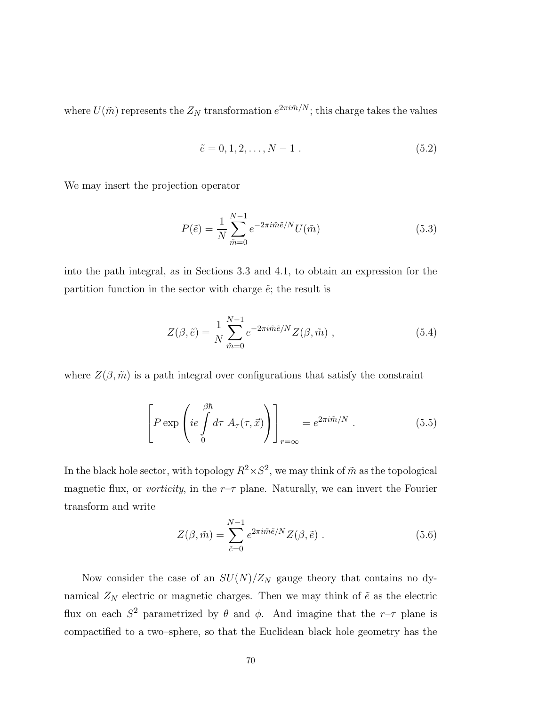where  $U(\tilde{m})$  represents the  $Z_N$  transformation  $e^{2\pi i \tilde{m}/N}$ ; this charge takes the values

$$
\tilde{e} = 0, 1, 2, \dots, N - 1 \tag{5.2}
$$

We may insert the projection operator

$$
P(\tilde{e}) = \frac{1}{N} \sum_{\tilde{m}=0}^{N-1} e^{-2\pi i \tilde{m}\tilde{e}/N} U(\tilde{m})
$$
\n(5.3)

into the path integral, as in Sections 3.3 and 4.1, to obtain an expression for the partition function in the sector with charge  $\tilde{e}$ ; the result is

$$
Z(\beta, \tilde{e}) = \frac{1}{N} \sum_{\tilde{m}=0}^{N-1} e^{-2\pi i \tilde{m}\tilde{e}/N} Z(\beta, \tilde{m}), \qquad (5.4)
$$

where  $Z(\beta, \tilde{m})$  is a path integral over configurations that satisfy the constraint

$$
\left[ P \exp \left( i e \int_0^{\beta \hbar} d\tau \, A_\tau(\tau, \vec{x}) \right) \right]_{\tau = \infty} = e^{2\pi i \tilde{m}/N} . \tag{5.5}
$$

In the black hole sector, with topology  $R^2 \times S^2$ , we may think of  $\tilde{m}$  as the topological magnetic flux, or *vorticity*, in the  $r-\tau$  plane. Naturally, we can invert the Fourier transform and write

$$
Z(\beta, \tilde{m}) = \sum_{\tilde{e}=0}^{N-1} e^{2\pi i \tilde{m}\tilde{e}/N} Z(\beta, \tilde{e}) . \qquad (5.6)
$$

Now consider the case of an  $SU(N)/Z_N$  gauge theory that contains no dynamical  $Z_N$  electric or magnetic charges. Then we may think of  $\tilde{e}$  as the electric flux on each  $S^2$  parametrized by  $\theta$  and  $\phi$ . And imagine that the r- $\tau$  plane is compactified to a two–sphere, so that the Euclidean black hole geometry has the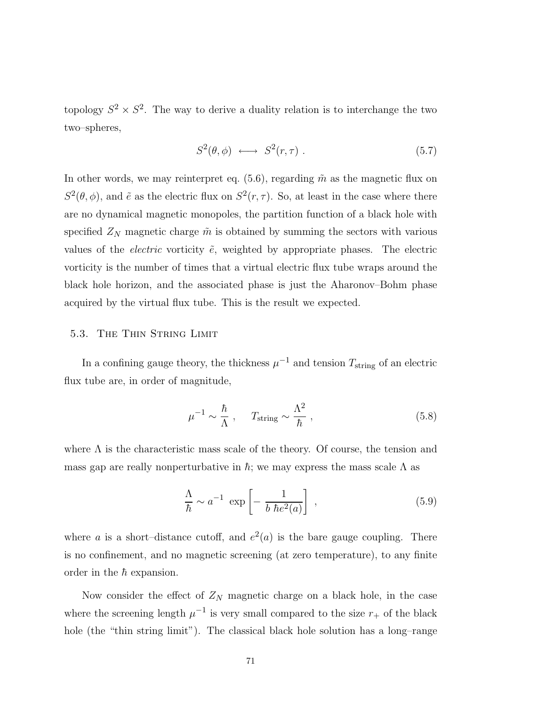topology  $S^2 \times S^2$ . The way to derive a duality relation is to interchange the two two–spheres,

$$
S^2(\theta, \phi) \longleftrightarrow S^2(r, \tau) . \tag{5.7}
$$

In other words, we may reinterpret eq.  $(5.6)$ , regarding  $\tilde{m}$  as the magnetic flux on  $S^2(\theta, \phi)$ , and  $\tilde{e}$  as the electric flux on  $S^2(r, \tau)$ . So, at least in the case where there are no dynamical magnetic monopoles, the partition function of a black hole with specified  $Z_N$  magnetic charge  $\tilde{m}$  is obtained by summing the sectors with various values of the *electric* vorticity  $\tilde{e}$ , weighted by appropriate phases. The electric vorticity is the number of times that a virtual electric flux tube wraps around the black hole horizon, and the associated phase is just the Aharonov–Bohm phase acquired by the virtual flux tube. This is the result we expected.

## 5.3. The Thin String Limit

In a confining gauge theory, the thickness  $\mu^{-1}$  and tension  $T_{\text{string}}$  of an electric flux tube are, in order of magnitude,

$$
\mu^{-1} \sim \frac{\hbar}{\Lambda} \;, \quad T_{\text{string}} \sim \frac{\Lambda^2}{\hbar} \;, \tag{5.8}
$$

where  $\Lambda$  is the characteristic mass scale of the theory. Of course, the tension and mass gap are really nonperturbative in  $\hbar$ ; we may express the mass scale  $\Lambda$  as

$$
\frac{\Lambda}{\hbar} \sim a^{-1} \exp\left[-\frac{1}{b \hbar e^2(a)}\right] \,,\tag{5.9}
$$

where a is a short-distance cutoff, and  $e^2(a)$  is the bare gauge coupling. There is no confinement, and no magnetic screening (at zero temperature), to any finite order in the  $\hbar$  expansion.

Now consider the effect of  $Z_N$  magnetic charge on a black hole, in the case where the screening length  $\mu^{-1}$  is very small compared to the size  $r_+$  of the black hole (the "thin string limit"). The classical black hole solution has a long-range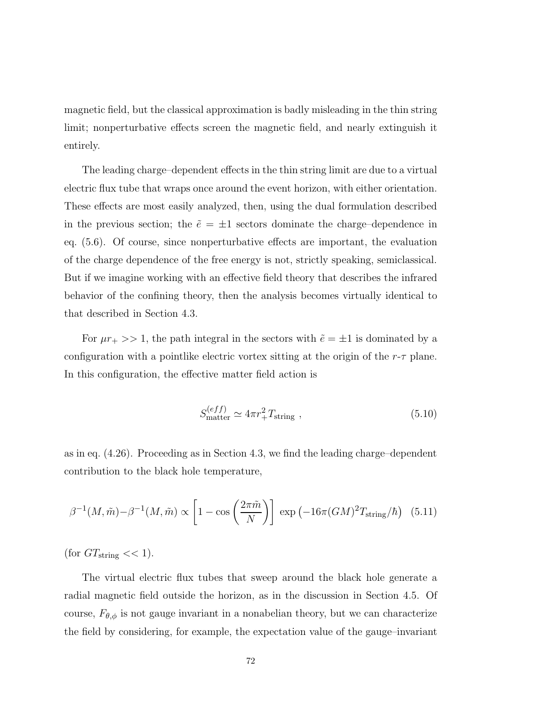magnetic field, but the classical approximation is badly misleading in the thin string limit; nonperturbative effects screen the magnetic field, and nearly extinguish it entirely.

The leading charge–dependent effects in the thin string limit are due to a virtual electric flux tube that wraps once around the event horizon, with either orientation. These effects are most easily analyzed, then, using the dual formulation described in the previous section; the  $\tilde{e} = \pm 1$  sectors dominate the charge–dependence in eq. (5.6). Of course, since nonperturbative effects are important, the evaluation of the charge dependence of the free energy is not, strictly speaking, semiclassical. But if we imagine working with an effective field theory that describes the infrared behavior of the confining theory, then the analysis becomes virtually identical to that described in Section 4.3.

For  $\mu r_+ >> 1$ , the path integral in the sectors with  $\tilde{e} = \pm 1$  is dominated by a configuration with a pointlike electric vortex sitting at the origin of the  $r-\tau$  plane. In this configuration, the effective matter field action is

$$
S_{\text{matter}}^{(eff)} \simeq 4\pi r_+^2 T_{\text{string}} \,, \tag{5.10}
$$

as in eq. (4.26). Proceeding as in Section 4.3, we find the leading charge–dependent contribution to the black hole temperature,

$$
\beta^{-1}(M, \tilde{m}) - \beta^{-1}(M, \tilde{m}) \propto \left[1 - \cos\left(\frac{2\pi \tilde{m}}{N}\right)\right] \exp\left(-16\pi (GM)^2 T_{\text{string}}/\hbar\right) (5.11)
$$

(for  $GT_{\text{string}} \ll 1$ ).

The virtual electric flux tubes that sweep around the black hole generate a radial magnetic field outside the horizon, as in the discussion in Section 4.5. Of course,  $F_{\theta, \phi}$  is not gauge invariant in a nonabelian theory, but we can characterize the field by considering, for example, the expectation value of the gauge–invariant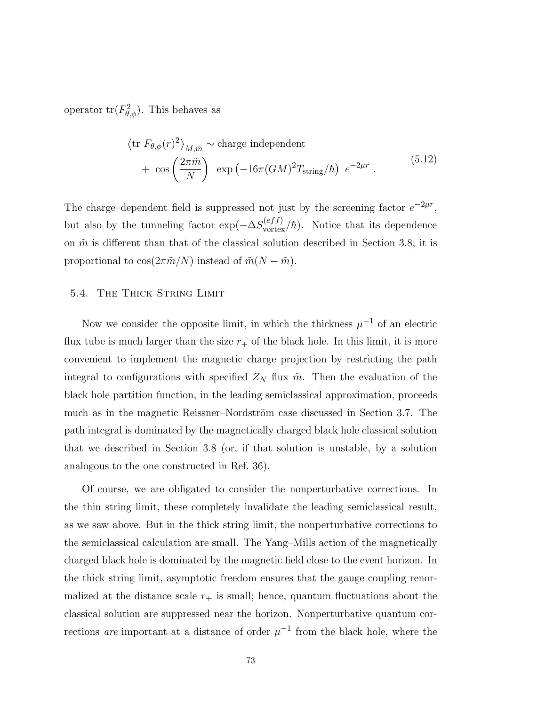operator  $\text{tr}(F_{\theta,\phi}^2)$ . This behaves as

$$
\langle \operatorname{tr} F_{\theta,\phi}(r)^2 \rangle_{M,\tilde{m}} \sim \text{charge independent}
$$
  
+  $\cos \left( \frac{2\pi \tilde{m}}{N} \right) \exp \left( -16\pi (GM)^2 T_{\text{string}} / \hbar \right) e^{-2\mu r}$ . (5.12)

The charge–dependent field is suppressed not just by the screening factor  $e^{-2\mu r}$ , but also by the tunneling factor  $\exp(-\Delta S_{\text{vortex}}^{(eff)}/\hbar)$ . Notice that its dependence on  $\tilde{m}$  is different than that of the classical solution described in Section 3.8; it is proportional to  $\cos(2\pi \tilde{m}/N)$  instead of  $\tilde{m}(N - \tilde{m})$ .

## 5.4. The Thick String Limit

Now we consider the opposite limit, in which the thickness  $\mu^{-1}$  of an electric flux tube is much larger than the size  $r_{+}$  of the black hole. In this limit, it is more convenient to implement the magnetic charge projection by restricting the path integral to configurations with specified  $Z_N$  flux  $\tilde{m}$ . Then the evaluation of the black hole partition function, in the leading semiclassical approximation, proceeds much as in the magnetic Reissner–Nordström case discussed in Section 3.7. The path integral is dominated by the magnetically charged black hole classical solution that we described in Section 3.8 (or, if that solution is unstable, by a solution analogous to the one constructed in Ref. 36).

Of course, we are obligated to consider the nonperturbative corrections. In the thin string limit, these completely invalidate the leading semiclassical result, as we saw above. But in the thick string limit, the nonperturbative corrections to the semiclassical calculation are small. The Yang–Mills action of the magnetically charged black hole is dominated by the magnetic field close to the event horizon. In the thick string limit, asymptotic freedom ensures that the gauge coupling renormalized at the distance scale  $r_+$  is small; hence, quantum fluctuations about the classical solution are suppressed near the horizon. Nonperturbative quantum corrections are important at a distance of order  $\mu^{-1}$  from the black hole, where the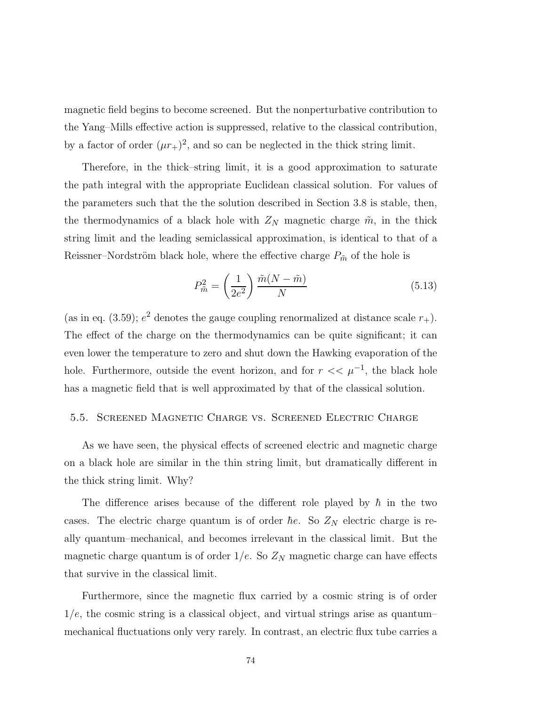magnetic field begins to become screened. But the nonperturbative contribution to the Yang–Mills effective action is suppressed, relative to the classical contribution, by a factor of order  $(\mu r_+)^2$ , and so can be neglected in the thick string limit.

Therefore, in the thick–string limit, it is a good approximation to saturate the path integral with the appropriate Euclidean classical solution. For values of the parameters such that the the solution described in Section 3.8 is stable, then, the thermodynamics of a black hole with  $Z_N$  magnetic charge  $\tilde{m}$ , in the thick string limit and the leading semiclassical approximation, is identical to that of a Reissner–Nordström black hole, where the effective charge  $P_{\tilde{m}}$  of the hole is

$$
P_{\tilde{m}}^2 = \left(\frac{1}{2e^2}\right) \frac{\tilde{m}(N - \tilde{m})}{N}
$$
\n(5.13)

(as in eq. (3.59);  $e^2$  denotes the gauge coupling renormalized at distance scale  $r_+$ ). The effect of the charge on the thermodynamics can be quite significant; it can even lower the temperature to zero and shut down the Hawking evaporation of the hole. Furthermore, outside the event horizon, and for  $r \ll \mu^{-1}$ , the black hole has a magnetic field that is well approximated by that of the classical solution.

#### 5.5. Screened Magnetic Charge vs. Screened Electric Charge

As we have seen, the physical effects of screened electric and magnetic charge on a black hole are similar in the thin string limit, but dramatically different in the thick string limit. Why?

The difference arises because of the different role played by  $\hbar$  in the two cases. The electric charge quantum is of order  $\hbar e$ . So  $Z_N$  electric charge is really quantum–mechanical, and becomes irrelevant in the classical limit. But the magnetic charge quantum is of order  $1/e$ . So  $Z_N$  magnetic charge can have effects that survive in the classical limit.

Furthermore, since the magnetic flux carried by a cosmic string is of order  $1/e$ , the cosmic string is a classical object, and virtual strings arise as quantum– mechanical fluctuations only very rarely. In contrast, an electric flux tube carries a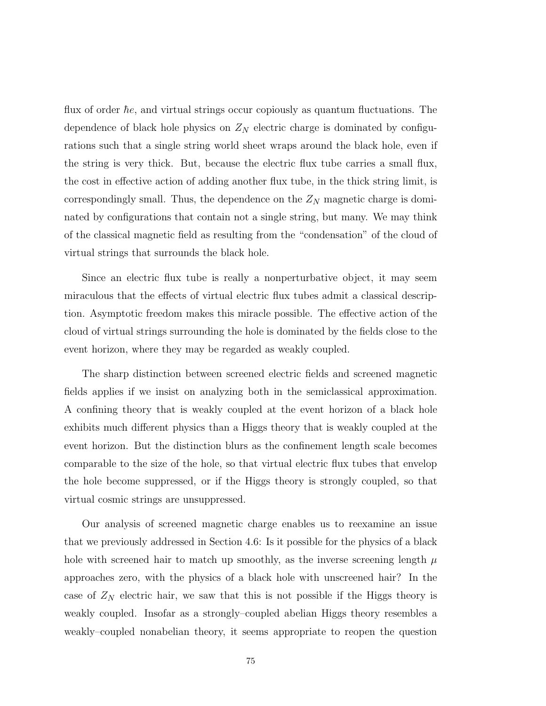flux of order  $\hbar e$ , and virtual strings occur copiously as quantum fluctuations. The dependence of black hole physics on  $Z_N$  electric charge is dominated by configurations such that a single string world sheet wraps around the black hole, even if the string is very thick. But, because the electric flux tube carries a small flux, the cost in effective action of adding another flux tube, in the thick string limit, is correspondingly small. Thus, the dependence on the  $Z_N$  magnetic charge is dominated by configurations that contain not a single string, but many. We may think of the classical magnetic field as resulting from the "condensation" of the cloud of virtual strings that surrounds the black hole.

Since an electric flux tube is really a nonperturbative object, it may seem miraculous that the effects of virtual electric flux tubes admit a classical description. Asymptotic freedom makes this miracle possible. The effective action of the cloud of virtual strings surrounding the hole is dominated by the fields close to the event horizon, where they may be regarded as weakly coupled.

The sharp distinction between screened electric fields and screened magnetic fields applies if we insist on analyzing both in the semiclassical approximation. A confining theory that is weakly coupled at the event horizon of a black hole exhibits much different physics than a Higgs theory that is weakly coupled at the event horizon. But the distinction blurs as the confinement length scale becomes comparable to the size of the hole, so that virtual electric flux tubes that envelop the hole become suppressed, or if the Higgs theory is strongly coupled, so that virtual cosmic strings are unsuppressed.

Our analysis of screened magnetic charge enables us to reexamine an issue that we previously addressed in Section 4.6: Is it possible for the physics of a black hole with screened hair to match up smoothly, as the inverse screening length  $\mu$ approaches zero, with the physics of a black hole with unscreened hair? In the case of  $Z_N$  electric hair, we saw that this is not possible if the Higgs theory is weakly coupled. Insofar as a strongly–coupled abelian Higgs theory resembles a weakly–coupled nonabelian theory, it seems appropriate to reopen the question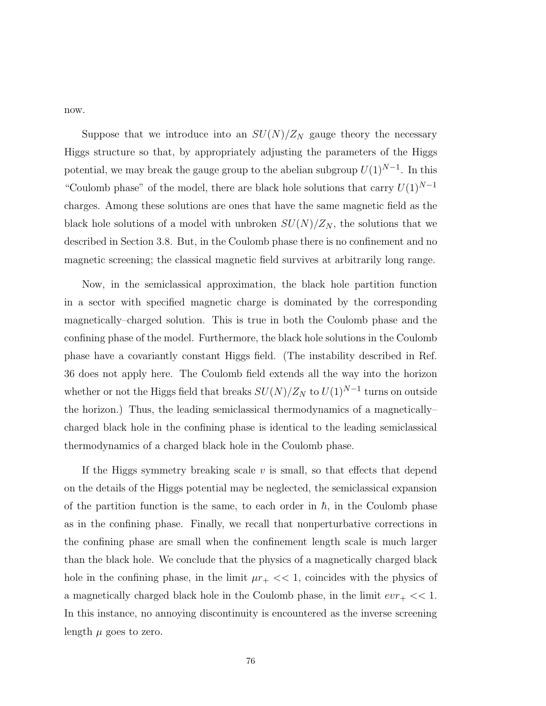now.

Suppose that we introduce into an  $SU(N)/Z_N$  gauge theory the necessary Higgs structure so that, by appropriately adjusting the parameters of the Higgs potential, we may break the gauge group to the abelian subgroup  $U(1)^{N-1}$ . In this "Coulomb phase" of the model, there are black hole solutions that carry  $U(1)^{N-1}$ charges. Among these solutions are ones that have the same magnetic field as the black hole solutions of a model with unbroken  $SU(N)/Z_N$ , the solutions that we described in Section 3.8. But, in the Coulomb phase there is no confinement and no magnetic screening; the classical magnetic field survives at arbitrarily long range.

Now, in the semiclassical approximation, the black hole partition function in a sector with specified magnetic charge is dominated by the corresponding magnetically–charged solution. This is true in both the Coulomb phase and the confining phase of the model. Furthermore, the black hole solutions in the Coulomb phase have a covariantly constant Higgs field. (The instability described in Ref. 36 does not apply here. The Coulomb field extends all the way into the horizon whether or not the Higgs field that breaks  $SU(N)/Z_N$  to  $U(1)^{N-1}$  turns on outside the horizon.) Thus, the leading semiclassical thermodynamics of a magnetically– charged black hole in the confining phase is identical to the leading semiclassical thermodynamics of a charged black hole in the Coulomb phase.

If the Higgs symmetry breaking scale  $v$  is small, so that effects that depend on the details of the Higgs potential may be neglected, the semiclassical expansion of the partition function is the same, to each order in  $\hbar$ , in the Coulomb phase as in the confining phase. Finally, we recall that nonperturbative corrections in the confining phase are small when the confinement length scale is much larger than the black hole. We conclude that the physics of a magnetically charged black hole in the confining phase, in the limit  $\mu r_{+} << 1$ , coincides with the physics of a magnetically charged black hole in the Coulomb phase, in the limit  $evr_{+} << 1$ . In this instance, no annoying discontinuity is encountered as the inverse screening length  $\mu$  goes to zero.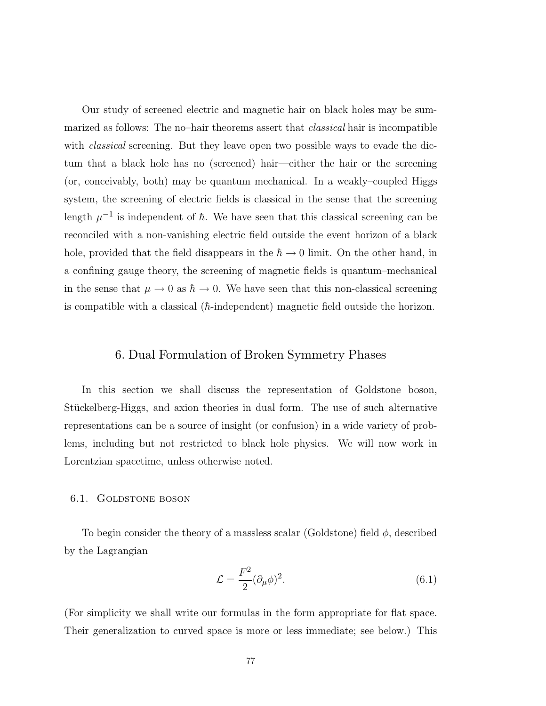Our study of screened electric and magnetic hair on black holes may be summarized as follows: The no–hair theorems assert that classical hair is incompatible with *classical* screening. But they leave open two possible ways to evade the dictum that a black hole has no (screened) hair—either the hair or the screening (or, conceivably, both) may be quantum mechanical. In a weakly–coupled Higgs system, the screening of electric fields is classical in the sense that the screening length  $\mu^{-1}$  is independent of  $\hbar$ . We have seen that this classical screening can be reconciled with a non-vanishing electric field outside the event horizon of a black hole, provided that the field disappears in the  $\hbar \to 0$  limit. On the other hand, in a confining gauge theory, the screening of magnetic fields is quantum–mechanical in the sense that  $\mu \to 0$  as  $\hbar \to 0$ . We have seen that this non-classical screening is compatible with a classical  $(\hbar$ -independent) magnetic field outside the horizon.

## 6. Dual Formulation of Broken Symmetry Phases

In this section we shall discuss the representation of Goldstone boson, Stückelberg-Higgs, and axion theories in dual form. The use of such alternative representations can be a source of insight (or confusion) in a wide variety of problems, including but not restricted to black hole physics. We will now work in Lorentzian spacetime, unless otherwise noted.

#### 6.1. GOLDSTONE BOSON

To begin consider the theory of a massless scalar (Goldstone) field  $\phi$ , described by the Lagrangian

$$
\mathcal{L} = \frac{F^2}{2} (\partial_\mu \phi)^2.
$$
\n(6.1)

(For simplicity we shall write our formulas in the form appropriate for flat space. Their generalization to curved space is more or less immediate; see below.) This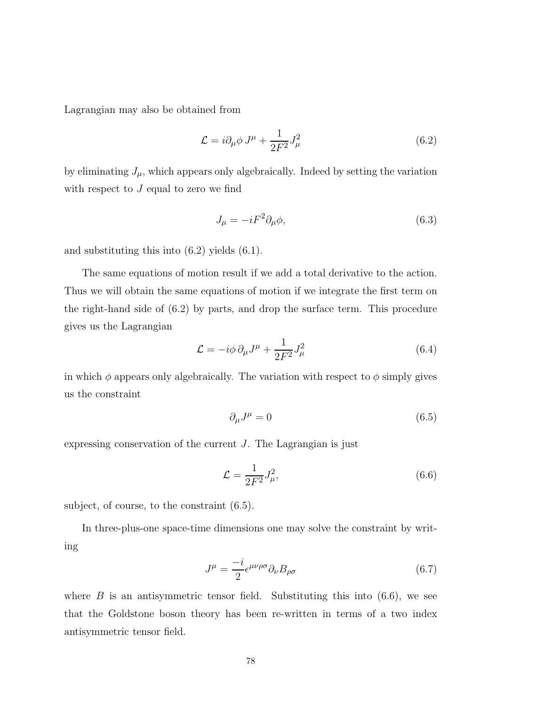Lagrangian may also be obtained from

$$
\mathcal{L} = i\partial_{\mu}\phi J^{\mu} + \frac{1}{2F^2}J_{\mu}^2
$$
\n(6.2)

by eliminating  $J_{\mu}$ , which appears only algebraically. Indeed by setting the variation with respect to  $J$  equal to zero we find

$$
J_{\mu} = -iF^2 \partial_{\mu} \phi,\tag{6.3}
$$

and substituting this into (6.2) yields (6.1).

The same equations of motion result if we add a total derivative to the action. Thus we will obtain the same equations of motion if we integrate the first term on the right-hand side of (6.2) by parts, and drop the surface term. This procedure gives us the Lagrangian

$$
\mathcal{L} = -i\phi \,\partial_{\mu}J^{\mu} + \frac{1}{2F^2}J_{\mu}^2 \tag{6.4}
$$

in which  $\phi$  appears only algebraically. The variation with respect to  $\phi$  simply gives us the constraint

$$
\partial_{\mu}J^{\mu} = 0 \tag{6.5}
$$

expressing conservation of the current J. The Lagrangian is just

$$
\mathcal{L} = \frac{1}{2F^2} J_\mu^2,\tag{6.6}
$$

subject, of course, to the constraint (6.5).

In three-plus-one space-time dimensions one may solve the constraint by writing

$$
J^{\mu} = \frac{-i}{2} \epsilon^{\mu\nu\rho\sigma} \partial_{\nu} B_{\rho\sigma} \tag{6.7}
$$

where  $B$  is an antisymmetric tensor field. Substituting this into  $(6.6)$ , we see that the Goldstone boson theory has been re-written in terms of a two index antisymmetric tensor field.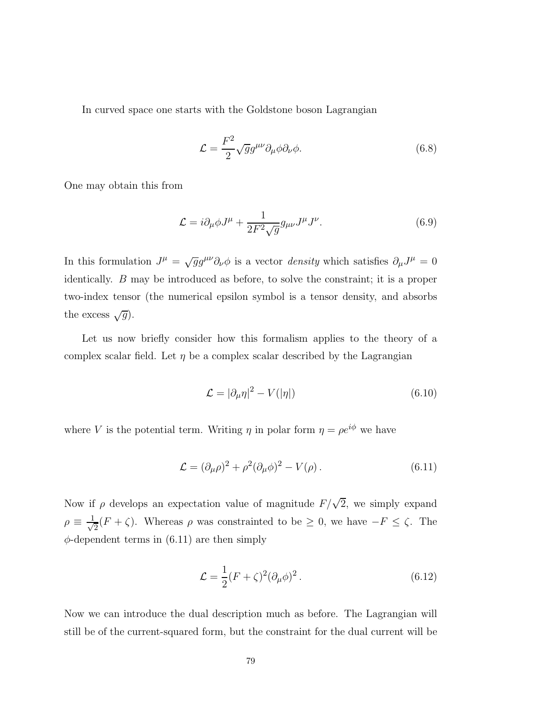In curved space one starts with the Goldstone boson Lagrangian

$$
\mathcal{L} = \frac{F^2}{2} \sqrt{g} g^{\mu \nu} \partial_{\mu} \phi \partial_{\nu} \phi.
$$
 (6.8)

One may obtain this from

$$
\mathcal{L} = i\partial_{\mu}\phi J^{\mu} + \frac{1}{2F^2\sqrt{g}}g_{\mu\nu}J^{\mu}J^{\nu}.
$$
\n(6.9)

In this formulation  $J^{\mu} = \sqrt{g}g^{\mu\nu}\partial_{\nu}\phi$  is a vector *density* which satisfies  $\partial_{\mu}J^{\mu} = 0$ identically. B may be introduced as before, to solve the constraint; it is a proper two-index tensor (the numerical epsilon symbol is a tensor density, and absorbs the excess  $\sqrt{g}$ ).

Let us now briefly consider how this formalism applies to the theory of a complex scalar field. Let  $\eta$  be a complex scalar described by the Lagrangian

$$
\mathcal{L} = |\partial_{\mu}\eta|^{2} - V(|\eta|) \tag{6.10}
$$

where V is the potential term. Writing  $\eta$  in polar form  $\eta = \rho e^{i\phi}$  we have

$$
\mathcal{L} = (\partial_{\mu}\rho)^{2} + \rho^{2}(\partial_{\mu}\phi)^{2} - V(\rho).
$$
 (6.11)

Now if  $\rho$  develops an expectation value of magnitude  $F/\sqrt{2}$ , we simply expand  $\rho \equiv \frac{1}{\sqrt{2}}$  $\frac{1}{2}(F+\zeta)$ . Whereas  $\rho$  was constrainted to be  $\geq 0$ , we have  $-F \leq \zeta$ . The  $\phi$ -dependent terms in (6.11) are then simply

$$
\mathcal{L} = \frac{1}{2}(F+\zeta)^2(\partial_\mu \phi)^2.
$$
\n(6.12)

Now we can introduce the dual description much as before. The Lagrangian will still be of the current-squared form, but the constraint for the dual current will be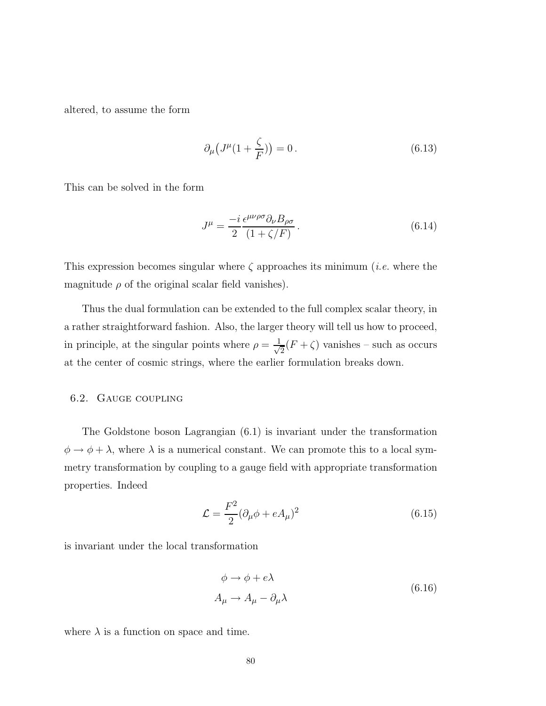altered, to assume the form

$$
\partial_{\mu}\left(J^{\mu}(1+\frac{\zeta}{F})\right) = 0. \tag{6.13}
$$

This can be solved in the form

$$
J^{\mu} = \frac{-i}{2} \frac{\epsilon^{\mu\nu\rho\sigma} \partial_{\nu} B_{\rho\sigma}}{(1 + \zeta/F)}.
$$
\n(6.14)

This expression becomes singular where  $\zeta$  approaches its minimum (*i.e.* where the magnitude  $\rho$  of the original scalar field vanishes).

Thus the dual formulation can be extended to the full complex scalar theory, in a rather straightforward fashion. Also, the larger theory will tell us how to proceed, in principle, at the singular points where  $\rho = \frac{1}{\sqrt{2}}$  $\frac{1}{2}(F+\zeta)$  vanishes – such as occurs at the center of cosmic strings, where the earlier formulation breaks down.

### 6.2. Gauge coupling

The Goldstone boson Lagrangian (6.1) is invariant under the transformation  $\phi \to \phi + \lambda$ , where  $\lambda$  is a numerical constant. We can promote this to a local symmetry transformation by coupling to a gauge field with appropriate transformation properties. Indeed

$$
\mathcal{L} = \frac{F^2}{2} (\partial_\mu \phi + eA_\mu)^2 \tag{6.15}
$$

is invariant under the local transformation

$$
\phi \to \phi + e\lambda
$$
  
\n
$$
A_{\mu} \to A_{\mu} - \partial_{\mu}\lambda
$$
\n(6.16)

where  $\lambda$  is a function on space and time.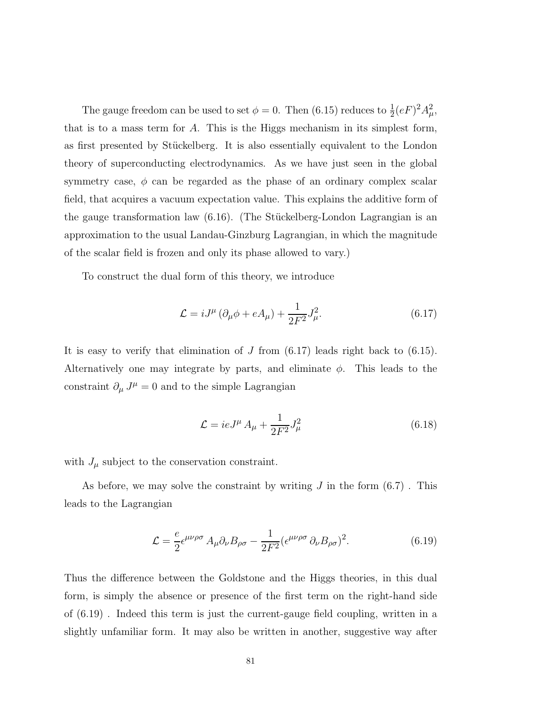The gauge freedom can be used to set  $\phi = 0$ . Then (6.15) reduces to  $\frac{1}{2}(eF)^2 A_\mu^2$ , that is to a mass term for A. This is the Higgs mechanism in its simplest form, as first presented by Stückelberg. It is also essentially equivalent to the London theory of superconducting electrodynamics. As we have just seen in the global symmetry case,  $\phi$  can be regarded as the phase of an ordinary complex scalar field, that acquires a vacuum expectation value. This explains the additive form of the gauge transformation law  $(6.16)$ . (The Stückelberg-London Lagrangian is an approximation to the usual Landau-Ginzburg Lagrangian, in which the magnitude of the scalar field is frozen and only its phase allowed to vary.)

To construct the dual form of this theory, we introduce

$$
\mathcal{L} = iJ^{\mu} \left( \partial_{\mu} \phi + eA_{\mu} \right) + \frac{1}{2F^2} J_{\mu}^2. \tag{6.17}
$$

It is easy to verify that elimination of  $J$  from  $(6.17)$  leads right back to  $(6.15)$ . Alternatively one may integrate by parts, and eliminate  $\phi$ . This leads to the constraint  $\partial_{\mu} J^{\mu} = 0$  and to the simple Lagrangian

$$
\mathcal{L} = ieJ^{\mu} A_{\mu} + \frac{1}{2F^2} J_{\mu}^2
$$
\n(6.18)

with  $J_{\mu}$  subject to the conservation constraint.

As before, we may solve the constraint by writing  $J$  in the form  $(6.7)$ . This leads to the Lagrangian

$$
\mathcal{L} = \frac{e}{2} \epsilon^{\mu \nu \rho \sigma} A_{\mu} \partial_{\nu} B_{\rho \sigma} - \frac{1}{2F^2} (\epsilon^{\mu \nu \rho \sigma} \partial_{\nu} B_{\rho \sigma})^2.
$$
 (6.19)

Thus the difference between the Goldstone and the Higgs theories, in this dual form, is simply the absence or presence of the first term on the right-hand side of (6.19) . Indeed this term is just the current-gauge field coupling, written in a slightly unfamiliar form. It may also be written in another, suggestive way after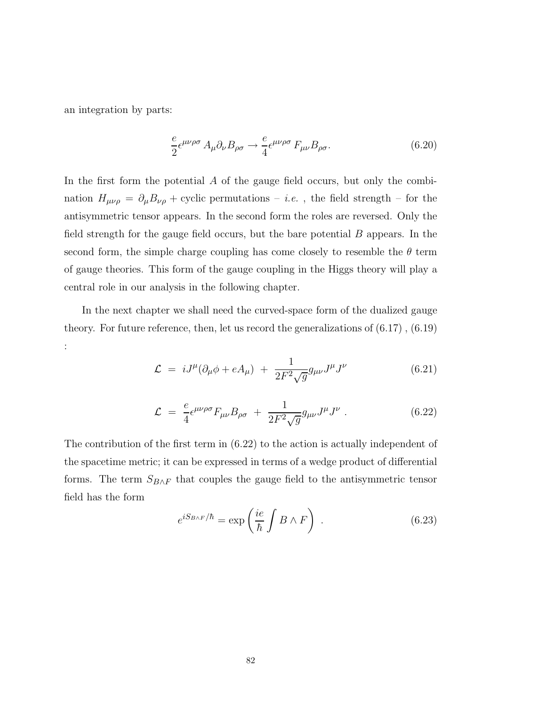an integration by parts:

$$
\frac{e}{2}\epsilon^{\mu\nu\rho\sigma}A_{\mu}\partial_{\nu}B_{\rho\sigma} \to \frac{e}{4}\epsilon^{\mu\nu\rho\sigma}F_{\mu\nu}B_{\rho\sigma}.\tag{6.20}
$$

In the first form the potential  $A$  of the gauge field occurs, but only the combination  $H_{\mu\nu\rho} = \partial_{\mu}B_{\nu\rho} + \text{cyclic permutations} - i.e.$ , the field strength – for the antisymmetric tensor appears. In the second form the roles are reversed. Only the field strength for the gauge field occurs, but the bare potential  $B$  appears. In the second form, the simple charge coupling has come closely to resemble the  $\theta$  term of gauge theories. This form of the gauge coupling in the Higgs theory will play a central role in our analysis in the following chapter.

In the next chapter we shall need the curved-space form of the dualized gauge theory. For future reference, then, let us record the generalizations of (6.17) , (6.19) :

$$
\mathcal{L} = iJ^{\mu}(\partial_{\mu}\phi + eA_{\mu}) + \frac{1}{2F^{2}\sqrt{g}}g_{\mu\nu}J^{\mu}J^{\nu}
$$
 (6.21)

$$
\mathcal{L} = \frac{e}{4} \epsilon^{\mu \nu \rho \sigma} F_{\mu \nu} B_{\rho \sigma} + \frac{1}{2F^2 \sqrt{g}} g_{\mu \nu} J^{\mu} J^{\nu} . \qquad (6.22)
$$

The contribution of the first term in (6.22) to the action is actually independent of the spacetime metric; it can be expressed in terms of a wedge product of differential forms. The term  $S_{\mathcal{B}\wedge F}$  that couples the gauge field to the antisymmetric tensor field has the form

$$
e^{iS_{B\wedge F}/\hbar} = \exp\left(\frac{ie}{\hbar} \int B \wedge F\right) \ . \tag{6.23}
$$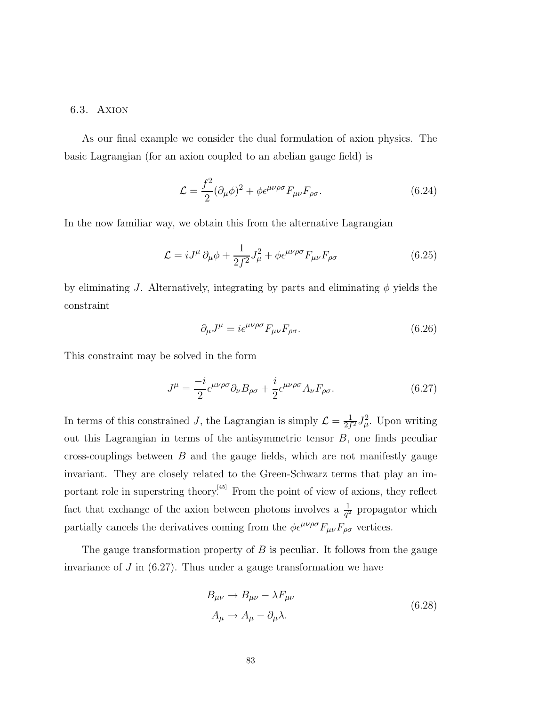#### 6.3. Axion

As our final example we consider the dual formulation of axion physics. The basic Lagrangian (for an axion coupled to an abelian gauge field) is

$$
\mathcal{L} = \frac{f^2}{2} (\partial_{\mu} \phi)^2 + \phi \epsilon^{\mu \nu \rho \sigma} F_{\mu \nu} F_{\rho \sigma}.
$$
 (6.24)

In the now familiar way, we obtain this from the alternative Lagrangian

$$
\mathcal{L} = iJ^{\mu} \partial_{\mu} \phi + \frac{1}{2f^2} J_{\mu}^2 + \phi \epsilon^{\mu \nu \rho \sigma} F_{\mu \nu} F_{\rho \sigma}
$$
(6.25)

by eliminating J. Alternatively, integrating by parts and eliminating  $\phi$  yields the constraint

$$
\partial_{\mu}J^{\mu} = i\epsilon^{\mu\nu\rho\sigma}F_{\mu\nu}F_{\rho\sigma}.
$$
\n(6.26)

This constraint may be solved in the form

$$
J^{\mu} = \frac{-i}{2} \epsilon^{\mu\nu\rho\sigma} \partial_{\nu} B_{\rho\sigma} + \frac{i}{2} \epsilon^{\mu\nu\rho\sigma} A_{\nu} F_{\rho\sigma}.
$$
 (6.27)

In terms of this constrained J, the Lagrangian is simply  $\mathcal{L} = \frac{1}{2f}$  $\frac{1}{2f^2}J_\mu^2$ . Upon writing out this Lagrangian in terms of the antisymmetric tensor  $B$ , one finds peculiar cross-couplings between  $B$  and the gauge fields, which are not manifestly gauge invariant. They are closely related to the Green-Schwarz terms that play an important role in superstring theory.<sup>[45]</sup> From the point of view of axions, they reflect fact that exchange of the axion between photons involves a  $\frac{1}{q^2}$  propagator which partially cancels the derivatives coming from the  $\phi \epsilon^{\mu\nu\rho\sigma}F_{\mu\nu}F_{\rho\sigma}$  vertices.

The gauge transformation property of  $B$  is peculiar. It follows from the gauge invariance of J in (6.27). Thus under a gauge transformation we have

$$
B_{\mu\nu} \to B_{\mu\nu} - \lambda F_{\mu\nu}
$$
  
\n
$$
A_{\mu} \to A_{\mu} - \partial_{\mu}\lambda.
$$
\n(6.28)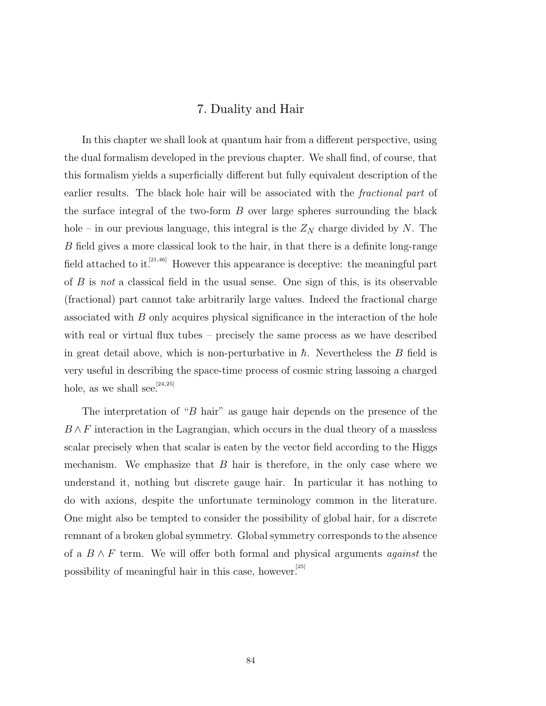# 7. Duality and Hair

In this chapter we shall look at quantum hair from a different perspective, using the dual formalism developed in the previous chapter. We shall find, of course, that this formalism yields a superficially different but fully equivalent description of the earlier results. The black hole hair will be associated with the *fractional part* of the surface integral of the two-form B over large spheres surrounding the black hole – in our previous language, this integral is the  $Z_N$  charge divided by N. The B field gives a more classical look to the hair, in that there is a definite long-range field attached to it.<sup>[21,46]</sup> However this appearance is deceptive: the meaningful part of  $B$  is not a classical field in the usual sense. One sign of this, is its observable (fractional) part cannot take arbitrarily large values. Indeed the fractional charge associated with B only acquires physical significance in the interaction of the hole with real or virtual flux tubes – precisely the same process as we have described in great detail above, which is non-perturbative in  $\hbar$ . Nevertheless the B field is very useful in describing the space-time process of cosmic string lassoing a charged hole, as we shall see.  $[24,25]$ 

The interpretation of "B hair" as gauge hair depends on the presence of the  $B \wedge F$  interaction in the Lagrangian, which occurs in the dual theory of a massless scalar precisely when that scalar is eaten by the vector field according to the Higgs mechanism. We emphasize that  $B$  hair is therefore, in the only case where we understand it, nothing but discrete gauge hair. In particular it has nothing to do with axions, despite the unfortunate terminology common in the literature. One might also be tempted to consider the possibility of global hair, for a discrete remnant of a broken global symmetry. Global symmetry corresponds to the absence of a  $B \wedge F$  term. We will offer both formal and physical arguments *against* the possibility of meaningful hair in this case, however.<sup>[25]</sup>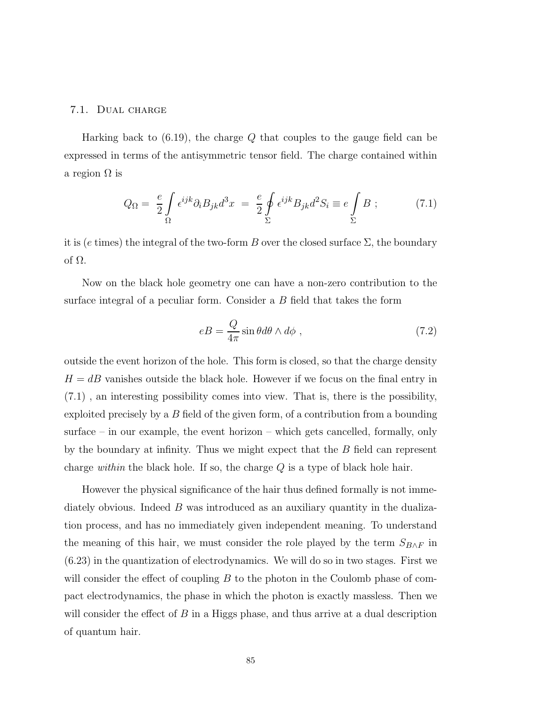#### 7.1. Dual charge

Harking back to  $(6.19)$ , the charge Q that couples to the gauge field can be expressed in terms of the antisymmetric tensor field. The charge contained within a region  $\Omega$  is

$$
Q_{\Omega} = \frac{e}{2} \int_{\Omega} \epsilon^{ijk} \partial_i B_{jk} d^3 x = \frac{e}{2} \oint_{\Sigma} \epsilon^{ijk} B_{jk} d^2 S_i \equiv e \int_{\Sigma} B ; \qquad (7.1)
$$

it is (e times) the integral of the two-form B over the closed surface  $\Sigma$ , the boundary of Ω.

Now on the black hole geometry one can have a non-zero contribution to the surface integral of a peculiar form. Consider a B field that takes the form

$$
eB = \frac{Q}{4\pi} \sin\theta d\theta \wedge d\phi , \qquad (7.2)
$$

outside the event horizon of the hole. This form is closed, so that the charge density  $H = dB$  vanishes outside the black hole. However if we focus on the final entry in (7.1) , an interesting possibility comes into view. That is, there is the possibility, exploited precisely by a B field of the given form, of a contribution from a bounding surface – in our example, the event horizon – which gets cancelled, formally, only by the boundary at infinity. Thus we might expect that the B field can represent charge within the black hole. If so, the charge  $Q$  is a type of black hole hair.

However the physical significance of the hair thus defined formally is not immediately obvious. Indeed  $B$  was introduced as an auxiliary quantity in the dualization process, and has no immediately given independent meaning. To understand the meaning of this hair, we must consider the role played by the term  $S_{B\wedge F}$  in (6.23) in the quantization of electrodynamics. We will do so in two stages. First we will consider the effect of coupling  $B$  to the photon in the Coulomb phase of compact electrodynamics, the phase in which the photon is exactly massless. Then we will consider the effect of  $B$  in a Higgs phase, and thus arrive at a dual description of quantum hair.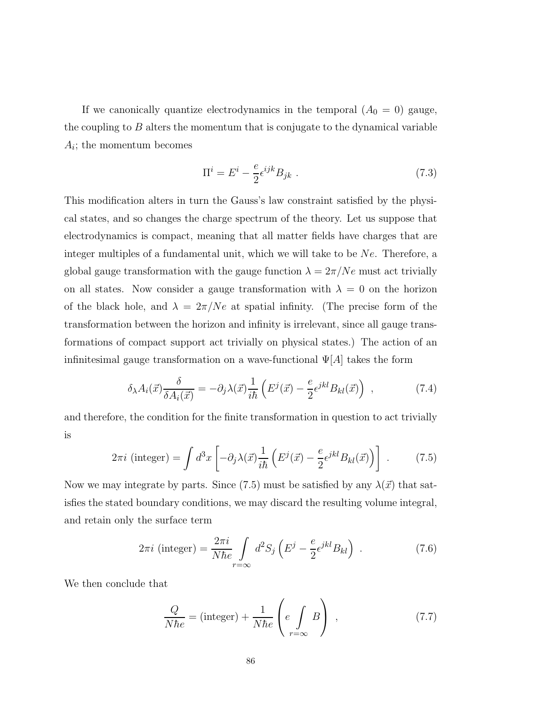If we canonically quantize electrodynamics in the temporal  $(A_0 = 0)$  gauge, the coupling to  $B$  alters the momentum that is conjugate to the dynamical variable  $A_i$ ; the momentum becomes

$$
\Pi^i = E^i - \frac{e}{2} \epsilon^{ijk} B_{jk} . \qquad (7.3)
$$

This modification alters in turn the Gauss's law constraint satisfied by the physical states, and so changes the charge spectrum of the theory. Let us suppose that electrodynamics is compact, meaning that all matter fields have charges that are integer multiples of a fundamental unit, which we will take to be  $Ne$ . Therefore, a global gauge transformation with the gauge function  $\lambda = 2\pi/N_e$  must act trivially on all states. Now consider a gauge transformation with  $\lambda = 0$  on the horizon of the black hole, and  $\lambda = 2\pi/N_e$  at spatial infinity. (The precise form of the transformation between the horizon and infinity is irrelevant, since all gauge transformations of compact support act trivially on physical states.) The action of an infinitesimal gauge transformation on a wave-functional  $\Psi[A]$  takes the form

$$
\delta_{\lambda} A_i(\vec{x}) \frac{\delta}{\delta A_i(\vec{x})} = -\partial_j \lambda(\vec{x}) \frac{1}{i\hbar} \left( E^j(\vec{x}) - \frac{e}{2} \epsilon^{jkl} B_{kl}(\vec{x}) \right) , \qquad (7.4)
$$

and therefore, the condition for the finite transformation in question to act trivially is

$$
2\pi i \text{ (integer)} = \int d^3x \left[ -\partial_j \lambda(\vec{x}) \frac{1}{i\hbar} \left( E^j(\vec{x}) - \frac{e}{2} \epsilon^{jkl} B_{kl}(\vec{x}) \right) \right] \,. \tag{7.5}
$$

Now we may integrate by parts. Since (7.5) must be satisfied by any  $\lambda(\vec{x})$  that satisfies the stated boundary conditions, we may discard the resulting volume integral, and retain only the surface term

$$
2\pi i \text{ (integer)} = \frac{2\pi i}{N\hbar e} \int_{r=\infty} d^2 S_j \left( E^j - \frac{e}{2} \epsilon^{jkl} B_{kl} \right) \,. \tag{7.6}
$$

We then conclude that

$$
\frac{Q}{N\hbar e} = (\text{integer}) + \frac{1}{N\hbar e} \left( e \int_{r=\infty} B \right) ,\qquad (7.7)
$$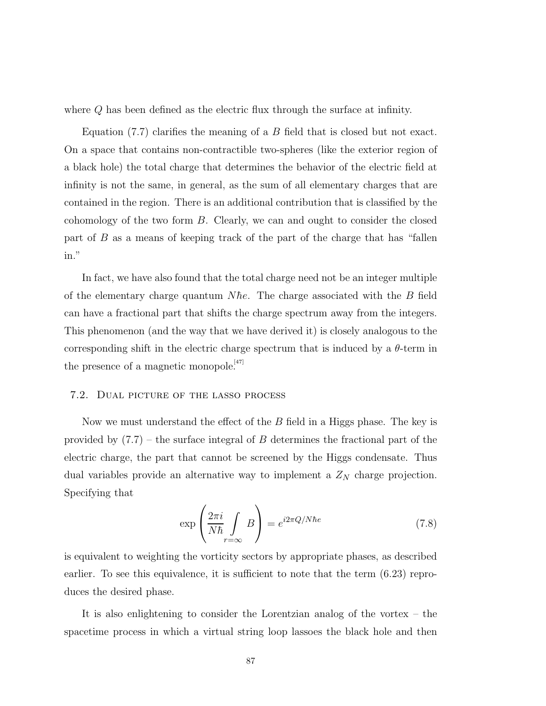where Q has been defined as the electric flux through the surface at infinity.

Equation  $(7.7)$  clarifies the meaning of a B field that is closed but not exact. On a space that contains non-contractible two-spheres (like the exterior region of a black hole) the total charge that determines the behavior of the electric field at infinity is not the same, in general, as the sum of all elementary charges that are contained in the region. There is an additional contribution that is classified by the cohomology of the two form B. Clearly, we can and ought to consider the closed part of  $B$  as a means of keeping track of the part of the charge that has "fallen in."

In fact, we have also found that the total charge need not be an integer multiple of the elementary charge quantum  $N\hbar e$ . The charge associated with the B field can have a fractional part that shifts the charge spectrum away from the integers. This phenomenon (and the way that we have derived it) is closely analogous to the corresponding shift in the electric charge spectrum that is induced by a  $\theta$ -term in the presence of a magnetic monopole.<sup>[47]</sup>

#### 7.2. Dual picture of the lasso process

Now we must understand the effect of the  $B$  field in a Higgs phase. The key is provided by  $(7.7)$  – the surface integral of B determines the fractional part of the electric charge, the part that cannot be screened by the Higgs condensate. Thus dual variables provide an alternative way to implement a  $Z_N$  charge projection. Specifying that

$$
\exp\left(\frac{2\pi i}{N\hbar}\int\limits_{r=\infty}B\right) = e^{i2\pi Q/N\hbar e} \tag{7.8}
$$

is equivalent to weighting the vorticity sectors by appropriate phases, as described earlier. To see this equivalence, it is sufficient to note that the term (6.23) reproduces the desired phase.

It is also enlightening to consider the Lorentzian analog of the vortex – the spacetime process in which a virtual string loop lassoes the black hole and then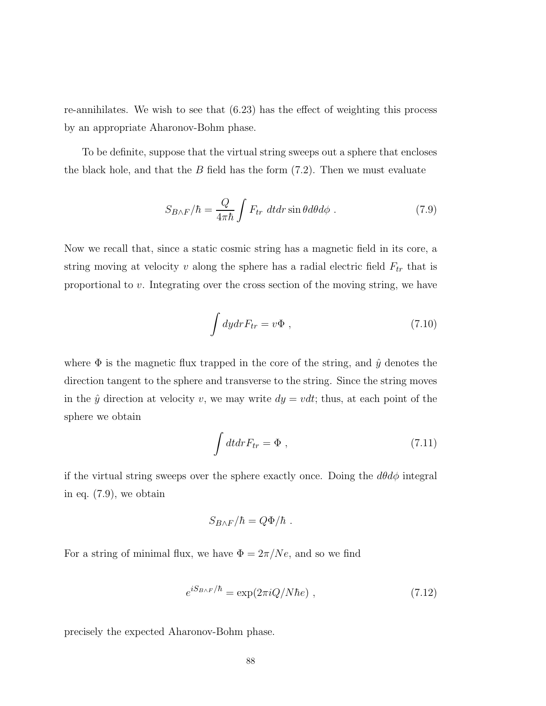re-annihilates. We wish to see that (6.23) has the effect of weighting this process by an appropriate Aharonov-Bohm phase.

To be definite, suppose that the virtual string sweeps out a sphere that encloses the black hole, and that the  $B$  field has the form  $(7.2)$ . Then we must evaluate

$$
S_{B\wedge F}/\hbar = \frac{Q}{4\pi\hbar} \int F_{tr} \, dt dr \sin\theta d\theta d\phi \; . \tag{7.9}
$$

Now we recall that, since a static cosmic string has a magnetic field in its core, a string moving at velocity v along the sphere has a radial electric field  $F_{tr}$  that is proportional to  $v$ . Integrating over the cross section of the moving string, we have

$$
\int dy dr F_{tr} = v \Phi , \qquad (7.10)
$$

where  $\Phi$  is the magnetic flux trapped in the core of the string, and  $\hat{y}$  denotes the direction tangent to the sphere and transverse to the string. Since the string moves in the  $\hat{y}$  direction at velocity v, we may write  $dy = vdt$ ; thus, at each point of the sphere we obtain

$$
\int dt dr F_{tr} = \Phi , \qquad (7.11)
$$

if the virtual string sweeps over the sphere exactly once. Doing the  $d\theta d\phi$  integral in eq. (7.9), we obtain

$$
S_{B\wedge F}/\hbar = Q\Phi/\hbar .
$$

For a string of minimal flux, we have  $\Phi = 2\pi / Ne$ , and so we find

$$
e^{iS_{B\wedge F}/\hbar} = \exp(2\pi i Q/N\hbar e) , \qquad (7.12)
$$

precisely the expected Aharonov-Bohm phase.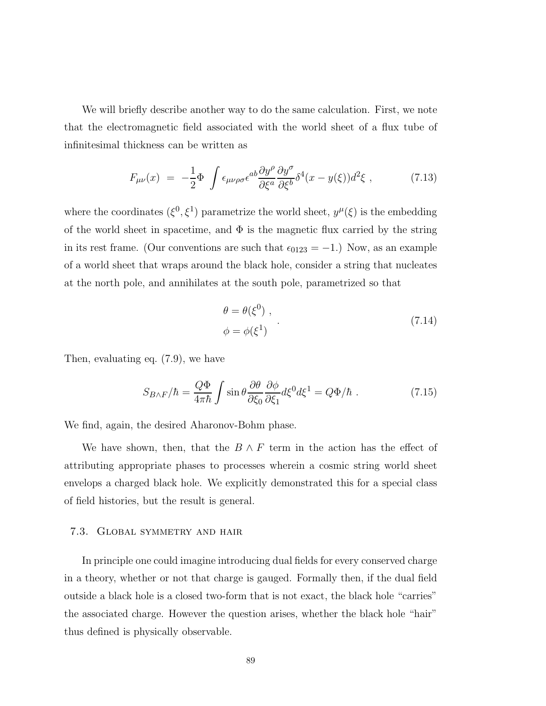We will briefly describe another way to do the same calculation. First, we note that the electromagnetic field associated with the world sheet of a flux tube of infinitesimal thickness can be written as

$$
F_{\mu\nu}(x) = -\frac{1}{2}\Phi \int \epsilon_{\mu\nu\rho\sigma} \epsilon^{ab} \frac{\partial y^{\rho}}{\partial \xi^{a}} \frac{\partial y^{\sigma}}{\partial \xi^{b}} \delta^{4}(x - y(\xi)) d^{2}\xi , \qquad (7.13)
$$

where the coordinates  $(\xi^0, \xi^1)$  parametrize the world sheet,  $y^{\mu}(\xi)$  is the embedding of the world sheet in spacetime, and  $\Phi$  is the magnetic flux carried by the string in its rest frame. (Our conventions are such that  $\epsilon_{0123} = -1$ .) Now, as an example of a world sheet that wraps around the black hole, consider a string that nucleates at the north pole, and annihilates at the south pole, parametrized so that

$$
\begin{aligned}\n\theta &= \theta(\xi^0) , \\
\phi &= \phi(\xi^1)\n\end{aligned} \tag{7.14}
$$

Then, evaluating eq. (7.9), we have

$$
S_{B\wedge F}/\hbar = \frac{Q\Phi}{4\pi\hbar} \int \sin\theta \frac{\partial\theta}{\partial \xi_0} \frac{\partial\phi}{\partial \xi_1} d\xi^0 d\xi^1 = Q\Phi/\hbar \ . \tag{7.15}
$$

We find, again, the desired Aharonov-Bohm phase.

We have shown, then, that the  $B \wedge F$  term in the action has the effect of attributing appropriate phases to processes wherein a cosmic string world sheet envelops a charged black hole. We explicitly demonstrated this for a special class of field histories, but the result is general.

#### 7.3. Global symmetry and hair

In principle one could imagine introducing dual fields for every conserved charge in a theory, whether or not that charge is gauged. Formally then, if the dual field outside a black hole is a closed two-form that is not exact, the black hole "carries" the associated charge. However the question arises, whether the black hole "hair" thus defined is physically observable.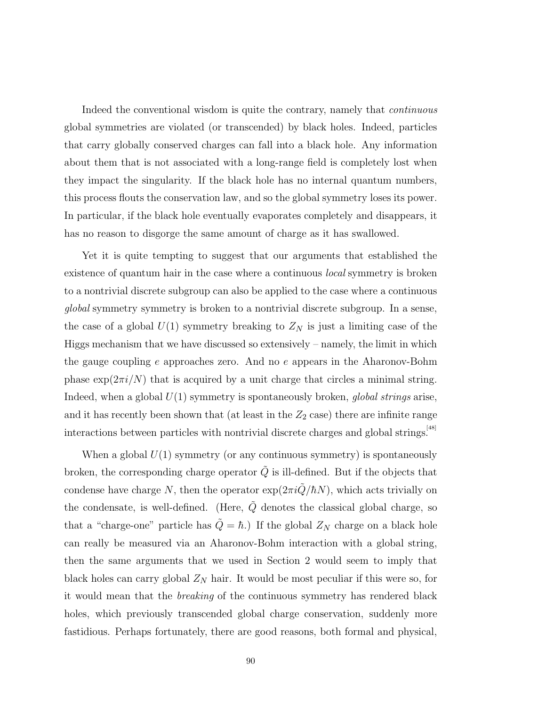Indeed the conventional wisdom is quite the contrary, namely that *continuous* global symmetries are violated (or transcended) by black holes. Indeed, particles that carry globally conserved charges can fall into a black hole. Any information about them that is not associated with a long-range field is completely lost when they impact the singularity. If the black hole has no internal quantum numbers, this process flouts the conservation law, and so the global symmetry loses its power. In particular, if the black hole eventually evaporates completely and disappears, it has no reason to disgorge the same amount of charge as it has swallowed.

Yet it is quite tempting to suggest that our arguments that established the existence of quantum hair in the case where a continuous *local* symmetry is broken to a nontrivial discrete subgroup can also be applied to the case where a continuous global symmetry symmetry is broken to a nontrivial discrete subgroup. In a sense, the case of a global  $U(1)$  symmetry breaking to  $Z_N$  is just a limiting case of the Higgs mechanism that we have discussed so extensively – namely, the limit in which the gauge coupling e approaches zero. And no e appears in the Aharonov-Bohm phase  $\exp(2\pi i/N)$  that is acquired by a unit charge that circles a minimal string. Indeed, when a global  $U(1)$  symmetry is spontaneously broken, global strings arise, and it has recently been shown that (at least in the  $Z_2$  case) there are infinite range interactions between particles with nontrivial discrete charges and global strings.<sup>[48]</sup>

When a global  $U(1)$  symmetry (or any continuous symmetry) is spontaneously broken, the corresponding charge operator  $\tilde{Q}$  is ill-defined. But if the objects that condense have charge N, then the operator  $\exp(2\pi i \tilde{Q}/\hbar N)$ , which acts trivially on the condensate, is well-defined. (Here,  $\tilde{Q}$  denotes the classical global charge, so that a "charge-one" particle has  $\tilde{Q} = \hbar$ .) If the global  $Z_N$  charge on a black hole can really be measured via an Aharonov-Bohm interaction with a global string, then the same arguments that we used in Section 2 would seem to imply that black holes can carry global  $Z_N$  hair. It would be most peculiar if this were so, for it would mean that the breaking of the continuous symmetry has rendered black holes, which previously transcended global charge conservation, suddenly more fastidious. Perhaps fortunately, there are good reasons, both formal and physical,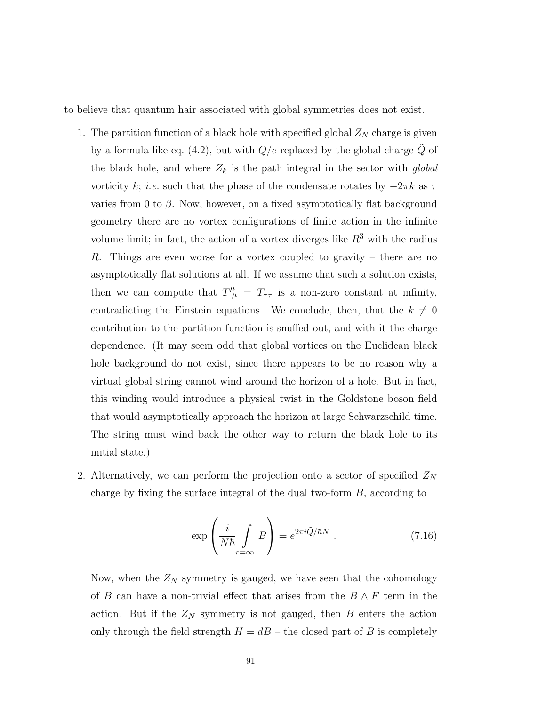to believe that quantum hair associated with global symmetries does not exist.

- 1. The partition function of a black hole with specified global  $Z_N$  charge is given by a formula like eq. (4.2), but with  $Q/e$  replaced by the global charge  $\tilde{Q}$  of the black hole, and where  $Z_k$  is the path integral in the sector with *global* vorticity k; *i.e.* such that the phase of the condensate rotates by  $-2\pi k$  as  $\tau$ varies from 0 to  $\beta$ . Now, however, on a fixed asymptotically flat background geometry there are no vortex configurations of finite action in the infinite volume limit; in fact, the action of a vortex diverges like  $R^3$  with the radius R. Things are even worse for a vortex coupled to gravity – there are no asymptotically flat solutions at all. If we assume that such a solution exists, then we can compute that  $T^{\mu}_{\mu} = T_{\tau\tau}$  is a non-zero constant at infinity, contradicting the Einstein equations. We conclude, then, that the  $k \neq 0$ contribution to the partition function is snuffed out, and with it the charge dependence. (It may seem odd that global vortices on the Euclidean black hole background do not exist, since there appears to be no reason why a virtual global string cannot wind around the horizon of a hole. But in fact, this winding would introduce a physical twist in the Goldstone boson field that would asymptotically approach the horizon at large Schwarzschild time. The string must wind back the other way to return the black hole to its initial state.)
- 2. Alternatively, we can perform the projection onto a sector of specified  $Z_N$ charge by fixing the surface integral of the dual two-form  $B$ , according to

$$
\exp\left(\frac{i}{N\hbar}\int\limits_{r=\infty}B\right) = e^{2\pi i\tilde{Q}/\hbar N} \ . \tag{7.16}
$$

Now, when the  $Z_N$  symmetry is gauged, we have seen that the cohomology of B can have a non-trivial effect that arises from the  $B \wedge F$  term in the action. But if the  $Z_N$  symmetry is not gauged, then B enters the action only through the field strength  $H = dB$  – the closed part of B is completely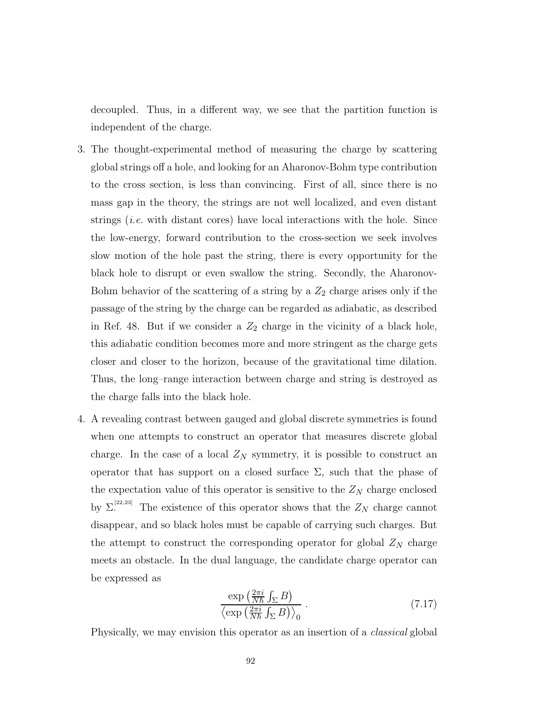decoupled. Thus, in a different way, we see that the partition function is independent of the charge.

- 3. The thought-experimental method of measuring the charge by scattering global strings off a hole, and looking for an Aharonov-Bohm type contribution to the cross section, is less than convincing. First of all, since there is no mass gap in the theory, the strings are not well localized, and even distant strings (*i.e.* with distant cores) have local interactions with the hole. Since the low-energy, forward contribution to the cross-section we seek involves slow motion of the hole past the string, there is every opportunity for the black hole to disrupt or even swallow the string. Secondly, the Aharonov-Bohm behavior of the scattering of a string by a  $Z_2$  charge arises only if the passage of the string by the charge can be regarded as adiabatic, as described in Ref. 48. But if we consider a  $Z_2$  charge in the vicinity of a black hole, this adiabatic condition becomes more and more stringent as the charge gets closer and closer to the horizon, because of the gravitational time dilation. Thus, the long–range interaction between charge and string is destroyed as the charge falls into the black hole.
- 4. A revealing contrast between gauged and global discrete symmetries is found when one attempts to construct an operator that measures discrete global charge. In the case of a local  $Z_N$  symmetry, it is possible to construct an operator that has support on a closed surface  $\Sigma$ , such that the phase of the expectation value of this operator is sensitive to the  $Z_N$  charge enclosed by  $\Sigma^{[22,23]}$  The existence of this operator shows that the  $Z_N$  charge cannot disappear, and so black holes must be capable of carrying such charges. But the attempt to construct the corresponding operator for global  $Z_N$  charge meets an obstacle. In the dual language, the candidate charge operator can be expressed as

$$
\frac{\exp\left(\frac{2\pi i}{N\hbar}\int_{\Sigma}B\right)}{\left\langle \exp\left(\frac{2\pi i}{N\hbar}\int_{\Sigma}B\right)\right\rangle _{0}}\tag{7.17}
$$

Physically, we may envision this operator as an insertion of a classical global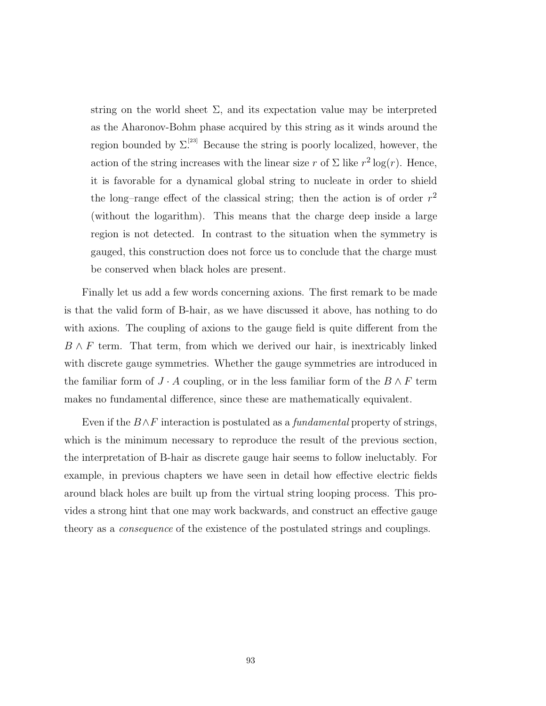string on the world sheet  $\Sigma$ , and its expectation value may be interpreted as the Aharonov-Bohm phase acquired by this string as it winds around the region bounded by  $\Sigma^{[23]}$  Because the string is poorly localized, however, the action of the string increases with the linear size r of  $\Sigma$  like  $r^2 \log(r)$ . Hence, it is favorable for a dynamical global string to nucleate in order to shield the long–range effect of the classical string; then the action is of order  $r^2$ (without the logarithm). This means that the charge deep inside a large region is not detected. In contrast to the situation when the symmetry is gauged, this construction does not force us to conclude that the charge must be conserved when black holes are present.

Finally let us add a few words concerning axions. The first remark to be made is that the valid form of B-hair, as we have discussed it above, has nothing to do with axions. The coupling of axions to the gauge field is quite different from the  $B \wedge F$  term. That term, from which we derived our hair, is inextricably linked with discrete gauge symmetries. Whether the gauge symmetries are introduced in the familiar form of  $J \cdot A$  coupling, or in the less familiar form of the  $B \wedge F$  term makes no fundamental difference, since these are mathematically equivalent.

Even if the  $B \wedge F$  interaction is postulated as a *fundamental* property of strings, which is the minimum necessary to reproduce the result of the previous section, the interpretation of B-hair as discrete gauge hair seems to follow ineluctably. For example, in previous chapters we have seen in detail how effective electric fields around black holes are built up from the virtual string looping process. This provides a strong hint that one may work backwards, and construct an effective gauge theory as a consequence of the existence of the postulated strings and couplings.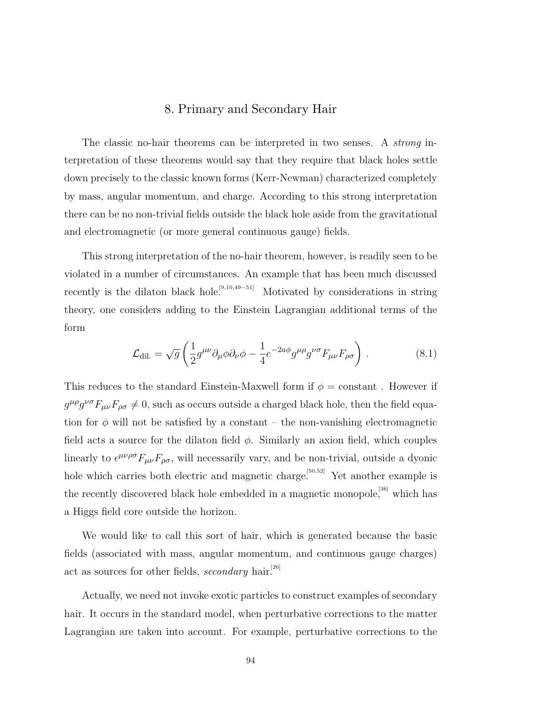# 8. Primary and Secondary Hair

The classic no-hair theorems can be interpreted in two senses. A strong interpretation of these theorems would say that they require that black holes settle down precisely to the classic known forms (Kerr-Newman) characterized completely by mass, angular momentum, and charge. According to this strong interpretation there can be no non-trivial fields outside the black hole aside from the gravitational and electromagnetic (or more general continuous gauge) fields.

This strong interpretation of the no-hair theorem, however, is readily seen to be violated in a number of circumstances. An example that has been much discussed recently is the dilaton black hole.<sup>[9,10,49–51]</sup> Motivated by considerations in string theory, one considers adding to the Einstein Lagrangian additional terms of the form

$$
\mathcal{L}_{\text{dil.}} = \sqrt{g} \left( \frac{1}{2} g^{\mu \nu} \partial_{\mu} \phi \partial_{\nu} \phi - \frac{1}{4} e^{-2a\phi} g^{\mu \rho} g^{\nu \sigma} F_{\mu \nu} F_{\rho \sigma} \right) . \tag{8.1}
$$

This reduces to the standard Einstein-Maxwell form if  $\phi = constant$ . However if  $g^{\mu\rho}g^{\nu\sigma}F_{\mu\nu}F_{\rho\sigma}\neq 0$ , such as occurs outside a charged black hole, then the field equation for  $\phi$  will not be satisfied by a constant – the non-vanishing electromagnetic field acts a source for the dilaton field  $\phi$ . Similarly an axion field, which couples linearly to  $\epsilon^{\mu\nu\rho\sigma}F_{\mu\nu}F_{\rho\sigma}$ , will necessarily vary, and be non-trivial, outside a dyonic hole which carries both electric and magnetic charge.<sup>[50,52]</sup> Yet another example is the recently discovered black hole embedded in a magnetic monopole, which has a Higgs field core outside the horizon.

We would like to call this sort of hair, which is generated because the basic fields (associated with mass, angular momentum, and continuous gauge charges) act as sources for other fields, secondary hair.<sup>[26]</sup>

Actually, we need not invoke exotic particles to construct examples of secondary hair. It occurs in the standard model, when perturbative corrections to the matter Lagrangian are taken into account. For example, perturbative corrections to the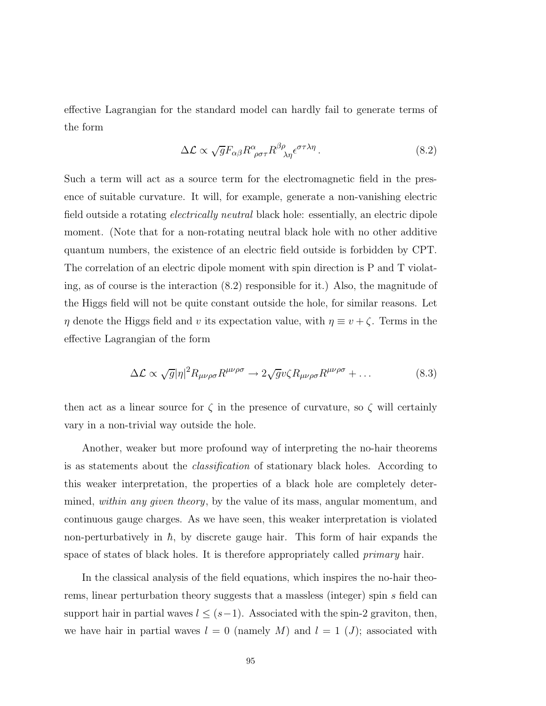effective Lagrangian for the standard model can hardly fail to generate terms of the form

$$
\Delta \mathcal{L} \propto \sqrt{g} F_{\alpha\beta} R^{\alpha}_{\ \rho\sigma\tau} R^{\beta\rho}_{\ \lambda\eta} \epsilon^{\sigma\tau\lambda\eta} \,. \tag{8.2}
$$

Such a term will act as a source term for the electromagnetic field in the presence of suitable curvature. It will, for example, generate a non-vanishing electric field outside a rotating electrically neutral black hole: essentially, an electric dipole moment. (Note that for a non-rotating neutral black hole with no other additive quantum numbers, the existence of an electric field outside is forbidden by CPT. The correlation of an electric dipole moment with spin direction is P and T violating, as of course is the interaction (8.2) responsible for it.) Also, the magnitude of the Higgs field will not be quite constant outside the hole, for similar reasons. Let  $\eta$  denote the Higgs field and v its expectation value, with  $\eta \equiv v + \zeta$ . Terms in the effective Lagrangian of the form

$$
\Delta \mathcal{L} \propto \sqrt{g} |\eta|^2 R_{\mu\nu\rho\sigma} R^{\mu\nu\rho\sigma} \to 2\sqrt{g} v \zeta R_{\mu\nu\rho\sigma} R^{\mu\nu\rho\sigma} + \dots \tag{8.3}
$$

then act as a linear source for  $\zeta$  in the presence of curvature, so  $\zeta$  will certainly vary in a non-trivial way outside the hole.

Another, weaker but more profound way of interpreting the no-hair theorems is as statements about the classification of stationary black holes. According to this weaker interpretation, the properties of a black hole are completely determined, within any given theory, by the value of its mass, angular momentum, and continuous gauge charges. As we have seen, this weaker interpretation is violated non-perturbatively in  $\hbar$ , by discrete gauge hair. This form of hair expands the space of states of black holes. It is therefore appropriately called *primary* hair.

In the classical analysis of the field equations, which inspires the no-hair theorems, linear perturbation theory suggests that a massless (integer) spin s field can support hair in partial waves  $l \leq (s-1)$ . Associated with the spin-2 graviton, then, we have hair in partial waves  $l = 0$  (namely M) and  $l = 1$  (J); associated with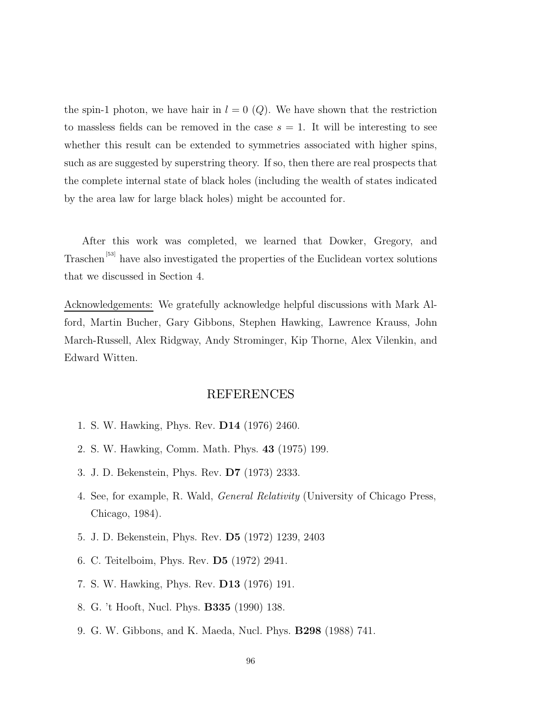the spin-1 photon, we have hair in  $l = 0 \ (Q)$ . We have shown that the restriction to massless fields can be removed in the case  $s = 1$ . It will be interesting to see whether this result can be extended to symmetries associated with higher spins, such as are suggested by superstring theory. If so, then there are real prospects that the complete internal state of black holes (including the wealth of states indicated by the area law for large black holes) might be accounted for.

After this work was completed, we learned that Dowker, Gregory, and Traschen[53] have also investigated the properties of the Euclidean vortex solutions that we discussed in Section 4.

Acknowledgements: We gratefully acknowledge helpful discussions with Mark Alford, Martin Bucher, Gary Gibbons, Stephen Hawking, Lawrence Krauss, John March-Russell, Alex Ridgway, Andy Strominger, Kip Thorne, Alex Vilenkin, and Edward Witten.

## REFERENCES

- 1. S. W. Hawking, Phys. Rev. D14 (1976) 2460.
- 2. S. W. Hawking, Comm. Math. Phys. 43 (1975) 199.
- 3. J. D. Bekenstein, Phys. Rev. D7 (1973) 2333.
- 4. See, for example, R. Wald, General Relativity (University of Chicago Press, Chicago, 1984).
- 5. J. D. Bekenstein, Phys. Rev. D5 (1972) 1239, 2403
- 6. C. Teitelboim, Phys. Rev. D5 (1972) 2941.
- 7. S. W. Hawking, Phys. Rev. D13 (1976) 191.
- 8. G. 't Hooft, Nucl. Phys. B335 (1990) 138.
- 9. G. W. Gibbons, and K. Maeda, Nucl. Phys. B298 (1988) 741.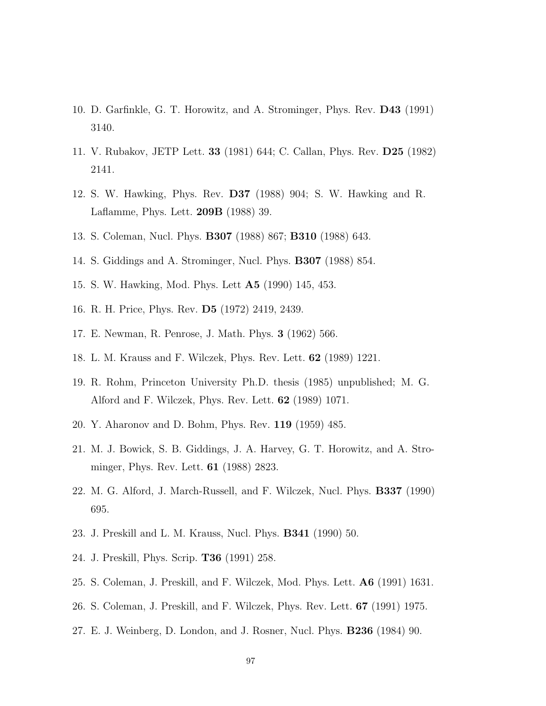- 10. D. Garfinkle, G. T. Horowitz, and A. Strominger, Phys. Rev. D43 (1991) 3140.
- 11. V. Rubakov, JETP Lett. 33 (1981) 644; C. Callan, Phys. Rev. D25 (1982) 2141.
- 12. S. W. Hawking, Phys. Rev. D37 (1988) 904; S. W. Hawking and R. Laflamme, Phys. Lett. 209B (1988) 39.
- 13. S. Coleman, Nucl. Phys. B307 (1988) 867; B310 (1988) 643.
- 14. S. Giddings and A. Strominger, Nucl. Phys. B307 (1988) 854.
- 15. S. W. Hawking, Mod. Phys. Lett A5 (1990) 145, 453.
- 16. R. H. Price, Phys. Rev. D5 (1972) 2419, 2439.
- 17. E. Newman, R. Penrose, J. Math. Phys. 3 (1962) 566.
- 18. L. M. Krauss and F. Wilczek, Phys. Rev. Lett. 62 (1989) 1221.
- 19. R. Rohm, Princeton University Ph.D. thesis (1985) unpublished; M. G. Alford and F. Wilczek, Phys. Rev. Lett. 62 (1989) 1071.
- 20. Y. Aharonov and D. Bohm, Phys. Rev. 119 (1959) 485.
- 21. M. J. Bowick, S. B. Giddings, J. A. Harvey, G. T. Horowitz, and A. Strominger, Phys. Rev. Lett. 61 (1988) 2823.
- 22. M. G. Alford, J. March-Russell, and F. Wilczek, Nucl. Phys. B337 (1990) 695.
- 23. J. Preskill and L. M. Krauss, Nucl. Phys. B341 (1990) 50.
- 24. J. Preskill, Phys. Scrip. T36 (1991) 258.
- 25. S. Coleman, J. Preskill, and F. Wilczek, Mod. Phys. Lett. A6 (1991) 1631.
- 26. S. Coleman, J. Preskill, and F. Wilczek, Phys. Rev. Lett. 67 (1991) 1975.
- 27. E. J. Weinberg, D. London, and J. Rosner, Nucl. Phys. B236 (1984) 90.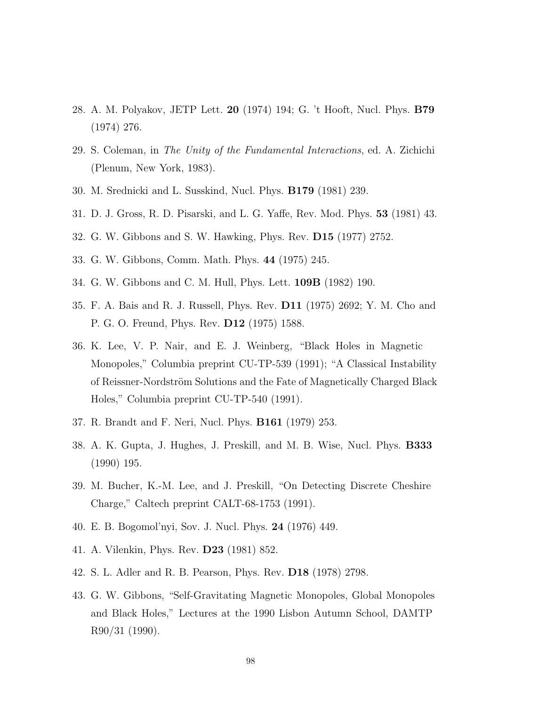- 28. A. M. Polyakov, JETP Lett. 20 (1974) 194; G. 't Hooft, Nucl. Phys. B79 (1974) 276.
- 29. S. Coleman, in The Unity of the Fundamental Interactions, ed. A. Zichichi (Plenum, New York, 1983).
- 30. M. Srednicki and L. Susskind, Nucl. Phys. B179 (1981) 239.
- 31. D. J. Gross, R. D. Pisarski, and L. G. Yaffe, Rev. Mod. Phys. 53 (1981) 43.
- 32. G. W. Gibbons and S. W. Hawking, Phys. Rev. D15 (1977) 2752.
- 33. G. W. Gibbons, Comm. Math. Phys. 44 (1975) 245.
- 34. G. W. Gibbons and C. M. Hull, Phys. Lett. 109B (1982) 190.
- 35. F. A. Bais and R. J. Russell, Phys. Rev. D11 (1975) 2692; Y. M. Cho and P. G. O. Freund, Phys. Rev. D12 (1975) 1588.
- 36. K. Lee, V. P. Nair, and E. J. Weinberg, "Black Holes in Magnetic Monopoles," Columbia preprint CU-TP-539 (1991); "A Classical Instability of Reissner-Nordström Solutions and the Fate of Magnetically Charged Black Holes," Columbia preprint CU-TP-540 (1991).
- 37. R. Brandt and F. Neri, Nucl. Phys. B161 (1979) 253.
- 38. A. K. Gupta, J. Hughes, J. Preskill, and M. B. Wise, Nucl. Phys. B333 (1990) 195.
- 39. M. Bucher, K.-M. Lee, and J. Preskill, "On Detecting Discrete Cheshire Charge," Caltech preprint CALT-68-1753 (1991).
- 40. E. B. Bogomol'nyi, Sov. J. Nucl. Phys. 24 (1976) 449.
- 41. A. Vilenkin, Phys. Rev. D23 (1981) 852.
- 42. S. L. Adler and R. B. Pearson, Phys. Rev. D18 (1978) 2798.
- 43. G. W. Gibbons, "Self-Gravitating Magnetic Monopoles, Global Monopoles and Black Holes," Lectures at the 1990 Lisbon Autumn School, DAMTP R90/31 (1990).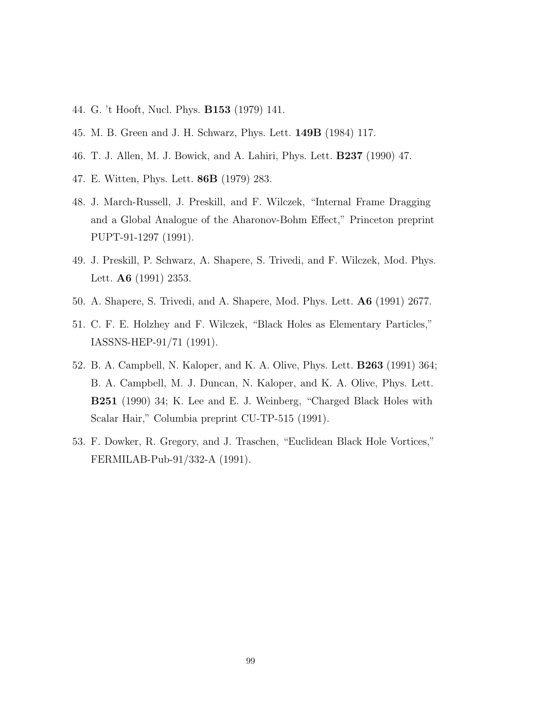- 44. G. 't Hooft, Nucl. Phys. B153 (1979) 141.
- 45. M. B. Green and J. H. Schwarz, Phys. Lett. 149B (1984) 117.
- 46. T. J. Allen, M. J. Bowick, and A. Lahiri, Phys. Lett. B237 (1990) 47.
- 47. E. Witten, Phys. Lett. 86B (1979) 283.
- 48. J. March-Russell, J. Preskill, and F. Wilczek, "Internal Frame Dragging and a Global Analogue of the Aharonov-Bohm Effect," Princeton preprint PUPT-91-1297 (1991).
- 49. J. Preskill, P. Schwarz, A. Shapere, S. Trivedi, and F. Wilczek, Mod. Phys. Lett. A6 (1991) 2353.
- 50. A. Shapere, S. Trivedi, and A. Shapere, Mod. Phys. Lett. A6 (1991) 2677.
- 51. C. F. E. Holzhey and F. Wilczek, "Black Holes as Elementary Particles," IASSNS-HEP-91/71 (1991).
- 52. B. A. Campbell, N. Kaloper, and K. A. Olive, Phys. Lett. B263 (1991) 364; B. A. Campbell, M. J. Duncan, N. Kaloper, and K. A. Olive, Phys. Lett. B251 (1990) 34; K. Lee and E. J. Weinberg, "Charged Black Holes with Scalar Hair," Columbia preprint CU-TP-515 (1991).
- 53. F. Dowker, R. Gregory, and J. Traschen, "Euclidean Black Hole Vortices," FERMILAB-Pub-91/332-A (1991).